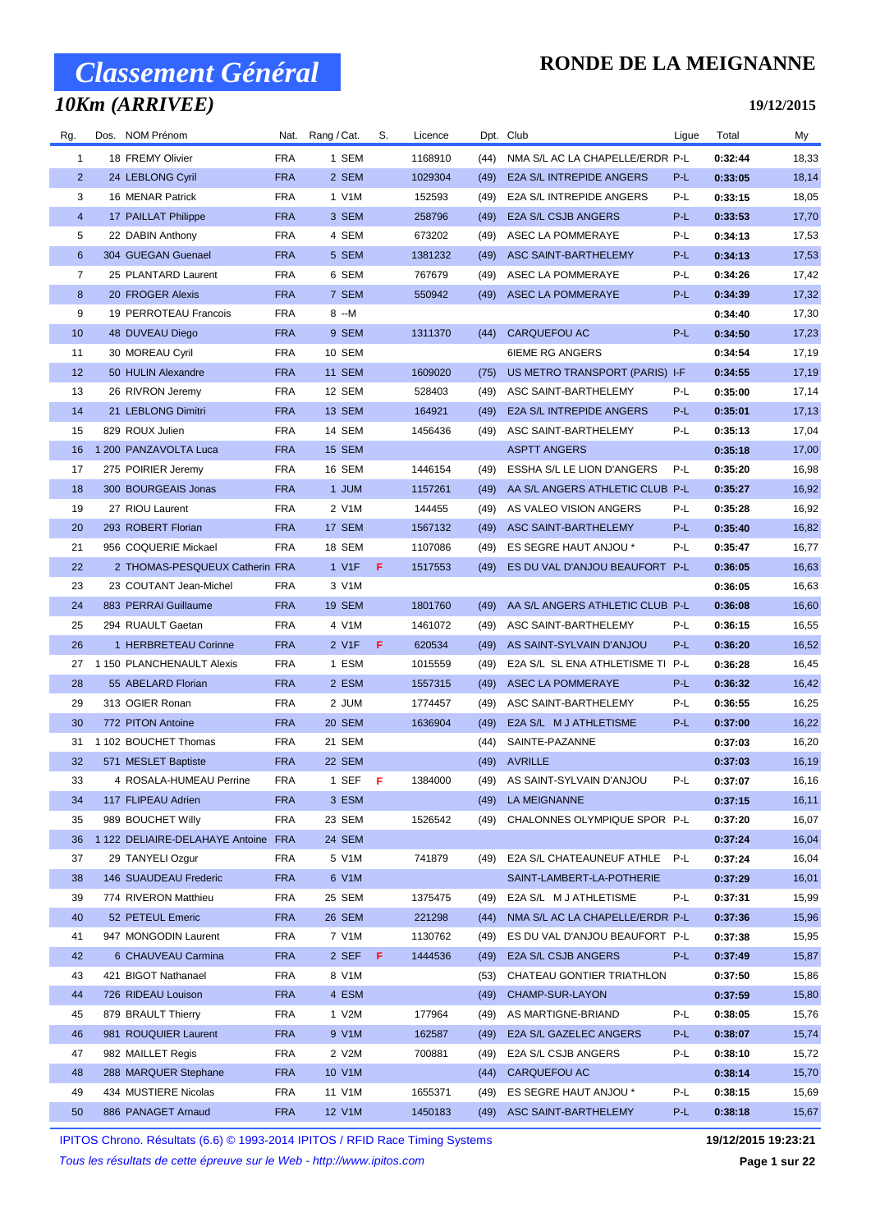### *10Km (ARRIVEE)*

### **RONDE DE LA MEIGNANNE**

#### **19/12/2015**

| Rg.            | Dos. NOM Prénom                     |            | Nat. Rang / Cat. | S.  | Licence |      | Dpt. Club                        | Ligue | Total   | My    |
|----------------|-------------------------------------|------------|------------------|-----|---------|------|----------------------------------|-------|---------|-------|
| 1              | 18 FREMY Olivier                    | <b>FRA</b> | 1 SEM            |     | 1168910 | (44) | NMA S/L AC LA CHAPELLE/ERDR P-L  |       | 0:32:44 | 18,33 |
| $\overline{2}$ | 24 LEBLONG Cyril                    | <b>FRA</b> | 2 SEM            |     | 1029304 | (49) | E2A S/L INTREPIDE ANGERS         | P-L   | 0:33:05 | 18,14 |
| 3              | 16 MENAR Patrick                    | <b>FRA</b> | 1 V1M            |     | 152593  | (49) | E2A S/L INTREPIDE ANGERS         | P-L   | 0:33:15 | 18,05 |
| $\overline{4}$ | 17 PAILLAT Philippe                 | <b>FRA</b> | 3 SEM            |     | 258796  | (49) | E2A S/L CSJB ANGERS              | P-L   | 0:33:53 | 17,70 |
| 5              | 22 DABIN Anthony                    | <b>FRA</b> | 4 SEM            |     | 673202  | (49) | ASEC LA POMMERAYE                | P-L   | 0:34:13 | 17,53 |
| 6              | 304 GUEGAN Guenael                  | <b>FRA</b> | 5 SEM            |     | 1381232 | (49) | ASC SAINT-BARTHELEMY             | P-L   | 0:34:13 | 17,53 |
| 7              | 25 PLANTARD Laurent                 | <b>FRA</b> | 6 SEM            |     | 767679  | (49) | ASEC LA POMMERAYE                | P-L   | 0:34:26 | 17,42 |
| 8              | 20 FROGER Alexis                    | <b>FRA</b> | 7 SEM            |     | 550942  | (49) | ASEC LA POMMERAYE                | P-L   | 0:34:39 | 17,32 |
| 9              | 19 PERROTEAU Francois               | FRA        | 8 --M            |     |         |      |                                  |       | 0:34:40 | 17,30 |
| 10             | 48 DUVEAU Diego                     | <b>FRA</b> | 9 SEM            |     | 1311370 | (44) | CARQUEFOU AC                     | P-L   | 0:34:50 | 17,23 |
| 11             | 30 MOREAU Cyril                     | <b>FRA</b> | 10 SEM           |     |         |      | <b>6IEME RG ANGERS</b>           |       | 0:34:54 | 17,19 |
| 12             | 50 HULIN Alexandre                  | <b>FRA</b> | <b>11 SEM</b>    |     | 1609020 | (75) | US METRO TRANSPORT (PARIS) I-F   |       | 0:34:55 | 17,19 |
| 13             | 26 RIVRON Jeremy                    | <b>FRA</b> | 12 SEM           |     | 528403  | (49) | ASC SAINT-BARTHELEMY             | P-L   | 0:35:00 | 17,14 |
| 14             | 21 LEBLONG Dimitri                  | <b>FRA</b> | <b>13 SEM</b>    |     | 164921  | (49) | E2A S/L INTREPIDE ANGERS         | P-L   | 0:35:01 | 17,13 |
| 15             | 829 ROUX Julien                     | <b>FRA</b> | 14 SEM           |     | 1456436 | (49) | ASC SAINT-BARTHELEMY             | P-L   | 0:35:13 | 17,04 |
| 16             | 1 200 PANZAVOLTA Luca               | <b>FRA</b> | 15 SEM           |     |         |      | <b>ASPTT ANGERS</b>              |       | 0:35:18 | 17,00 |
| 17             | 275 POIRIER Jeremy                  | <b>FRA</b> | 16 SEM           |     | 1446154 | (49) | ESSHA S/L LE LION D'ANGERS       | P-L   | 0:35:20 | 16,98 |
| 18             | 300 BOURGEAIS Jonas                 | <b>FRA</b> | 1 JUM            |     | 1157261 | (49) | AA S/L ANGERS ATHLETIC CLUB P-L  |       | 0:35:27 | 16,92 |
| 19             | 27 RIOU Laurent                     | <b>FRA</b> | 2 V1M            |     | 144455  | (49) | AS VALEO VISION ANGERS           | P-L   | 0:35:28 | 16,92 |
| 20             | 293 ROBERT Florian                  | <b>FRA</b> | 17 SEM           |     | 1567132 | (49) | ASC SAINT-BARTHELEMY             | P-L   | 0:35:40 | 16,82 |
| 21             | 956 COQUERIE Mickael                | <b>FRA</b> | 18 SEM           |     | 1107086 | (49) | ES SEGRE HAUT ANJOU *            | P-L   | 0:35:47 | 16,77 |
| 22             | 2 THOMAS-PESQUEUX Catherin FRA      |            | 1 V1F            | F.  | 1517553 | (49) | ES DU VAL D'ANJOU BEAUFORT P-L   |       | 0:36:05 | 16,63 |
| 23             | 23 COUTANT Jean-Michel              | <b>FRA</b> | 3 V1M            |     |         |      |                                  |       | 0:36:05 | 16,63 |
| 24             | 883 PERRAI Guillaume                | <b>FRA</b> | <b>19 SEM</b>    |     | 1801760 | (49) | AA S/L ANGERS ATHLETIC CLUB P-L  |       | 0:36:08 | 16,60 |
| 25             | 294 RUAULT Gaetan                   | <b>FRA</b> | 4 V1M            |     | 1461072 | (49) | ASC SAINT-BARTHELEMY             | P-L   | 0:36:15 | 16,55 |
| 26             | 1 HERBRETEAU Corinne                | <b>FRA</b> | 2 V1F            | - F | 620534  | (49) | AS SAINT-SYLVAIN D'ANJOU         | P-L   | 0:36:20 | 16,52 |
| 27             | 1 150 PLANCHENAULT Alexis           | <b>FRA</b> | 1 ESM            |     | 1015559 | (49) | E2A S/L SL ENA ATHLETISME TI P-L |       | 0:36:28 | 16,45 |
| 28             | 55 ABELARD Florian                  | <b>FRA</b> | 2 ESM            |     | 1557315 | (49) | <b>ASEC LA POMMERAYE</b>         | P-L   | 0:36:32 | 16,42 |
| 29             | 313 OGIER Ronan                     | <b>FRA</b> | 2 JUM            |     | 1774457 | (49) | ASC SAINT-BARTHELEMY             | P-L   | 0:36:55 | 16,25 |
| 30             | 772 PITON Antoine                   | <b>FRA</b> | 20 SEM           |     | 1636904 | (49) | E2A S/L M J ATHLETISME           | P-L   | 0:37:00 | 16,22 |
| 31             | 1 102 BOUCHET Thomas                | <b>FRA</b> | 21 SEM           |     |         | (44) | SAINTE-PAZANNE                   |       | 0:37:03 | 16,20 |
| 32             | 571 MESLET Baptiste                 | <b>FRA</b> | 22 SEM           |     |         |      | (49) AVRILLE                     |       | 0:37:03 | 16,19 |
| 33             | 4 ROSALA-HUMEAU Perrine             | FRA        | 1 SEF $F$        |     | 1384000 |      | (49) AS SAINT-SYLVAIN D'ANJOU    | P-L   | 0:37:07 | 16,16 |
| 34             | 117 FLIPEAU Adrien                  | <b>FRA</b> | 3 ESM            |     |         |      | (49) LA MEIGNANNE                |       | 0:37:15 | 16,11 |
| 35             | 989 BOUCHET Willy                   | <b>FRA</b> | 23 SEM           |     | 1526542 | (49) | CHALONNES OLYMPIQUE SPOR P-L     |       | 0:37:20 | 16,07 |
| 36             | 1 122 DELIAIRE-DELAHAYE Antoine FRA |            | 24 SEM           |     |         |      |                                  |       | 0:37:24 | 16,04 |
| 37             | 29 TANYELI Ozgur                    | <b>FRA</b> | 5 V1M            |     | 741879  | (49) | E2A S/L CHATEAUNEUF ATHLE P-L    |       | 0:37:24 | 16,04 |
| 38             | 146 SUAUDEAU Frederic               | <b>FRA</b> | 6 V1M            |     |         |      | SAINT-LAMBERT-LA-POTHERIE        |       | 0:37:29 | 16,01 |
| 39             | 774 RIVERON Matthieu                | <b>FRA</b> | 25 SEM           |     | 1375475 | (49) | E2A S/L M J ATHLETISME           | P-L   | 0:37:31 | 15,99 |
| 40             | 52 PETEUL Emeric                    | <b>FRA</b> | 26 SEM           |     | 221298  | (44) | NMA S/L AC LA CHAPELLE/ERDR P-L  |       | 0:37:36 | 15,96 |
| 41             | 947 MONGODIN Laurent                | <b>FRA</b> | 7 V1M            |     | 1130762 | (49) | ES DU VAL D'ANJOU BEAUFORT P-L   |       | 0:37:38 | 15,95 |
| 42             | 6 CHAUVEAU Carmina                  | <b>FRA</b> | 2 SEF F          |     | 1444536 | (49) | E2A S/L CSJB ANGERS              | P-L   | 0:37:49 | 15,87 |
| 43             | 421 BIGOT Nathanael                 | FRA        | 8 V1M            |     |         | (53) | CHATEAU GONTIER TRIATHLON        |       | 0:37:50 | 15,86 |
| 44             | 726 RIDEAU Louison                  | <b>FRA</b> | 4 ESM            |     |         | (49) | CHAMP-SUR-LAYON                  |       | 0:37:59 | 15,80 |
| 45             | 879 BRAULT Thierry                  | <b>FRA</b> | 1 V2M            |     | 177964  | (49) | AS MARTIGNE-BRIAND               | P-L   | 0:38:05 | 15,76 |
| 46             | 981 ROUQUIER Laurent                | <b>FRA</b> | 9 V1M            |     | 162587  | (49) | E2A S/L GAZELEC ANGERS           | P-L   | 0:38:07 | 15,74 |
| 47             | 982 MAILLET Regis                   | <b>FRA</b> | 2 V2M            |     | 700881  | (49) | E2A S/L CSJB ANGERS              | P-L   | 0:38:10 | 15,72 |
| 48             | 288 MARQUER Stephane                | <b>FRA</b> | 10 V1M           |     |         | (44) | CARQUEFOU AC                     |       | 0:38:14 | 15,70 |
| 49             | 434 MUSTIERE Nicolas                | <b>FRA</b> | 11 V1M           |     | 1655371 | (49) | ES SEGRE HAUT ANJOU *            | P-L   | 0:38:15 | 15,69 |
| 50             | 886 PANAGET Arnaud                  | <b>FRA</b> | 12 V1M           |     | 1450183 | (49) | ASC SAINT-BARTHELEMY             | P-L   | 0:38:18 | 15,67 |

IPITOS Chrono. Résultats (6.6) © 1993-2014 IPITOS / RFID Race Timing Systems **19/12/2015 19:23:21**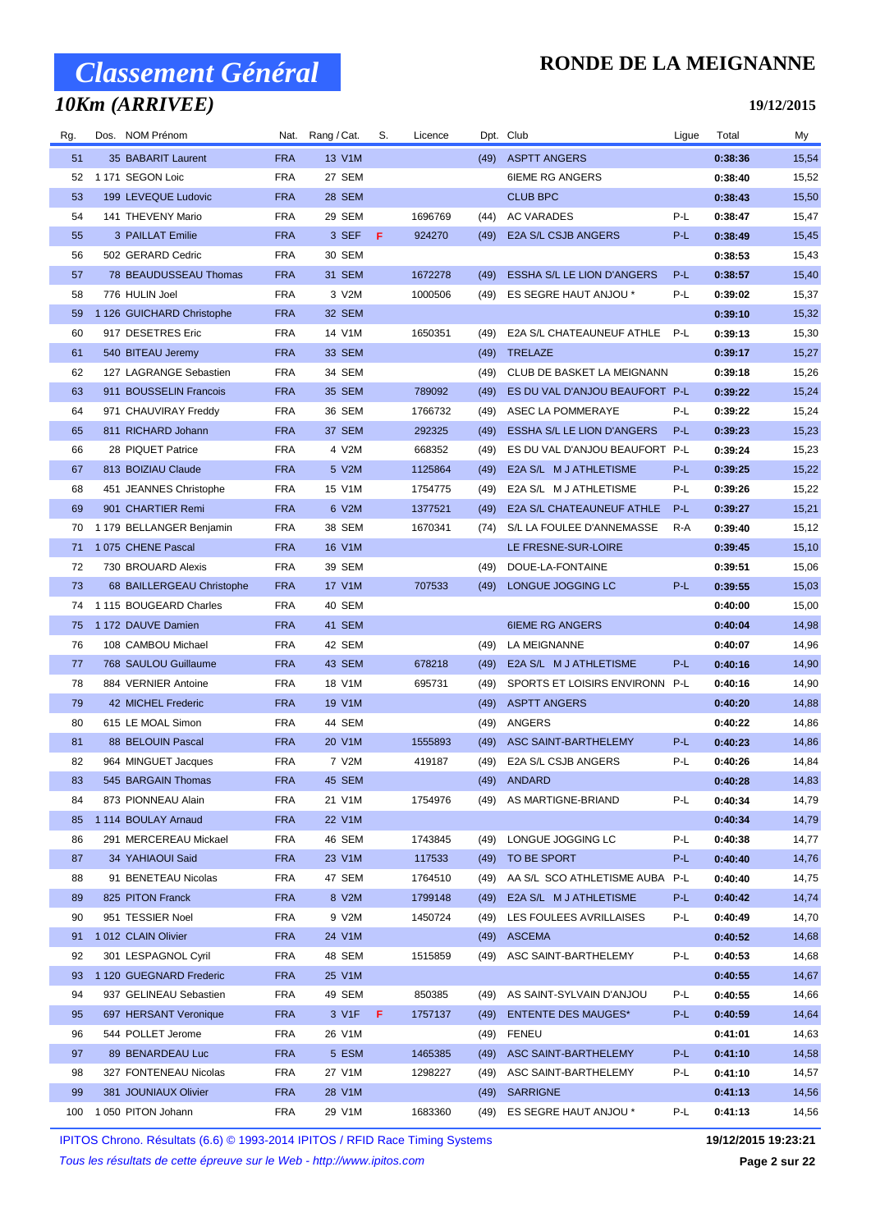## *10Km (ARRIVEE)*

### **RONDE DE LA MEIGNANNE**

**19/12/2015**

| Rg. | Dos. NOM Prénom           |            | Nat. Rang / Cat. | S. | Licence |      | Dpt. Club                                                | Ligue | Total   | My    |
|-----|---------------------------|------------|------------------|----|---------|------|----------------------------------------------------------|-------|---------|-------|
| 51  | 35 BABARIT Laurent        | <b>FRA</b> | 13 V1M           |    |         | (49) | <b>ASPTT ANGERS</b>                                      |       | 0:38:36 | 15,54 |
| 52  | 1 171 SEGON Loic          | <b>FRA</b> | 27 SEM           |    |         |      | <b>6IEME RG ANGERS</b>                                   |       | 0:38:40 | 15,52 |
| 53  | 199 LEVEQUE Ludovic       | <b>FRA</b> | 28 SEM           |    |         |      | <b>CLUB BPC</b>                                          |       | 0:38:43 | 15,50 |
| 54  | 141 THEVENY Mario         | <b>FRA</b> | 29 SEM           |    | 1696769 | (44) | AC VARADES                                               | P-L   | 0:38:47 | 15,47 |
| 55  | 3 PAILLAT Emilie          | <b>FRA</b> | 3 SEF F          |    | 924270  | (49) | <b>E2A S/L CSJB ANGERS</b>                               | $P-L$ | 0:38:49 | 15,45 |
| 56  | 502 GERARD Cedric         | <b>FRA</b> | 30 SEM           |    |         |      |                                                          |       | 0:38:53 | 15,43 |
| 57  | 78 BEAUDUSSEAU Thomas     | <b>FRA</b> | 31 SEM           |    | 1672278 | (49) | ESSHA S/L LE LION D'ANGERS                               | P-L   | 0:38:57 | 15,40 |
| 58  | 776 HULIN Joel            | <b>FRA</b> | 3 V2M            |    | 1000506 |      | (49) ES SEGRE HAUT ANJOU *                               | P-L   | 0:39:02 | 15,37 |
| 59  | 1 126 GUICHARD Christophe | <b>FRA</b> | 32 SEM           |    |         |      |                                                          |       | 0:39:10 | 15,32 |
| 60  | 917 DESETRES Eric         | FRA        | 14 V1M           |    | 1650351 | (49) | E2A S/L CHATEAUNEUF ATHLE                                | P-L   | 0:39:13 | 15,30 |
| 61  | 540 BITEAU Jeremy         | <b>FRA</b> | 33 SEM           |    |         | (49) | TRELAZE                                                  |       | 0:39:17 | 15,27 |
| 62  | 127 LAGRANGE Sebastien    | <b>FRA</b> | 34 SEM           |    |         | (49) | CLUB DE BASKET LA MEIGNANN                               |       | 0:39:18 | 15,26 |
| 63  | 911 BOUSSELIN Francois    | <b>FRA</b> | 35 SEM           |    | 789092  | (49) | ES DU VAL D'ANJOU BEAUFORT P-L                           |       | 0:39:22 | 15,24 |
| 64  | 971 CHAUVIRAY Freddy      | <b>FRA</b> | 36 SEM           |    | 1766732 | (49) | ASEC LA POMMERAYE                                        | P-L   | 0:39:22 | 15,24 |
| 65  | 811 RICHARD Johann        | <b>FRA</b> | 37 SEM           |    | 292325  | (49) | ESSHA S/L LE LION D'ANGERS                               | P-L   | 0:39:23 | 15,23 |
| 66  | 28 PIQUET Patrice         | <b>FRA</b> | 4 V2M            |    | 668352  | (49) | ES DU VAL D'ANJOU BEAUFORT P-L                           |       | 0:39:24 | 15,23 |
| 67  | 813 BOIZIAU Claude        | <b>FRA</b> | 5 V2M            |    | 1125864 | (49) | E2A S/L M J ATHLETISME                                   | P-L   | 0:39:25 | 15,22 |
| 68  | 451 JEANNES Christophe    | <b>FRA</b> | 15 V1M           |    | 1754775 | (49) | E2A S/L M J ATHLETISME                                   | P-L   | 0:39:26 | 15,22 |
| 69  | 901 CHARTIER Remi         | <b>FRA</b> | 6 V2M            |    | 1377521 | (49) | E2A S/L CHATEAUNEUF ATHLE                                | P-L   | 0:39:27 | 15,21 |
| 70  | 1 179 BELLANGER Benjamin  | <b>FRA</b> | 38 SEM           |    | 1670341 | (74) | S/L LA FOULEE D'ANNEMASSE                                | R-A   | 0:39:40 | 15,12 |
| 71  | 1075 CHENE Pascal         | <b>FRA</b> | 16 V1M           |    |         |      | LE FRESNE-SUR-LOIRE                                      |       | 0:39:45 | 15,10 |
| 72  | 730 BROUARD Alexis        | <b>FRA</b> | 39 SEM           |    |         | (49) | DOUE-LA-FONTAINE                                         |       | 0:39:51 | 15,06 |
| 73  | 68 BAILLERGEAU Christophe | <b>FRA</b> | 17 V1M           |    | 707533  |      | LONGUE JOGGING LC                                        | P-L   | 0:39:55 | 15,03 |
|     | 74 1115 BOUGEARD Charles  | <b>FRA</b> | 40 SEM           |    |         | (49) |                                                          |       | 0:40:00 | 15,00 |
| 75  | 1 172 DAUVE Damien        | <b>FRA</b> | 41 SEM           |    |         |      | <b>6IEME RG ANGERS</b>                                   |       | 0:40:04 | 14,98 |
|     |                           |            |                  |    |         |      |                                                          |       |         |       |
| 76  | 108 CAMBOU Michael        | <b>FRA</b> | 42 SEM           |    |         | (49) | LA MEIGNANNE                                             |       | 0:40:07 | 14,96 |
| 77  | 768 SAULOU Guillaume      | <b>FRA</b> | 43 SEM           |    | 678218  | (49) | E2A S/L M J ATHLETISME<br>SPORTS ET LOISIRS ENVIRONN P-L | P-L   | 0:40:16 | 14,90 |
| 78  | 884 VERNIER Antoine       | <b>FRA</b> | 18 V1M           |    | 695731  | (49) |                                                          |       | 0:40:16 | 14,90 |
| 79  | 42 MICHEL Frederic        | <b>FRA</b> | 19 V1M           |    |         | (49) | <b>ASPTT ANGERS</b>                                      |       | 0:40:20 | 14,88 |
| 80  | 615 LE MOAL Simon         | <b>FRA</b> | 44 SEM           |    |         | (49) | ANGERS                                                   |       | 0:40:22 | 14,86 |
| 81  | 88 BELOUIN Pascal         | <b>FRA</b> | 20 V1M           |    | 1555893 | (49) | ASC SAINT-BARTHELEMY                                     | P-L   | 0:40:23 | 14,86 |
| 82  | 964 MINGUET Jacques       | <b>FRA</b> | 7 V2M            |    | 419187  | (49) | E2A S/L CSJB ANGERS                                      | P-L   | 0:40:26 | 14,84 |
| 83  | 545 BARGAIN Thomas        | <b>FRA</b> | 45 SEM           |    |         |      | $(49)$ ANDARD                                            |       | 0:40:28 | 14,83 |
| 84  | 873 PIONNEAU Alain        | FRA        | 21 V1M           |    | 1754976 |      | (49) AS MARTIGNE-BRIAND                                  | P-L   | 0:40:34 | 14,79 |
| 85  | 1 114 BOULAY Arnaud       | <b>FRA</b> | 22 V1M           |    |         |      |                                                          |       | 0:40:34 | 14,79 |
| 86  | 291 MERCEREAU Mickael     | <b>FRA</b> | 46 SEM           |    | 1743845 | (49) | LONGUE JOGGING LC                                        | P-L   | 0:40:38 | 14,77 |
| 87  | 34 YAHIAOUI Said          | <b>FRA</b> | 23 V1M           |    | 117533  |      | (49) TO BE SPORT                                         | P-L   | 0:40:40 | 14,76 |
| 88  | 91 BENETEAU Nicolas       | <b>FRA</b> | 47 SEM           |    | 1764510 | (49) | AA S/L SCO ATHLETISME AUBA P-L                           |       | 0:40:40 | 14,75 |
| 89  | 825 PITON Franck          | <b>FRA</b> | 8 V2M            |    | 1799148 | (49) | E2A S/L M J ATHLETISME                                   | P-L   | 0:40:42 | 14,74 |
| 90  | 951 TESSIER Noel          | FRA        | 9 V2M            |    | 1450724 | (49) | LES FOULEES AVRILLAISES                                  | P-L   | 0:40:49 | 14,70 |
| 91  | 1012 CLAIN Olivier        | <b>FRA</b> | 24 V1M           |    |         |      | (49) ASCEMA                                              |       | 0:40:52 | 14,68 |
| 92  | 301 LESPAGNOL Cyril       | FRA        | 48 SEM           |    | 1515859 |      | (49) ASC SAINT-BARTHELEMY                                | P-L   | 0:40:53 | 14,68 |
| 93  | 1 120 GUEGNARD Frederic   | <b>FRA</b> | 25 V1M           |    |         |      |                                                          |       | 0:40:55 | 14,67 |
| 94  | 937 GELINEAU Sebastien    | <b>FRA</b> | 49 SEM           |    | 850385  | (49) | AS SAINT-SYLVAIN D'ANJOU                                 | P-L   | 0:40:55 | 14,66 |
| 95  | 697 HERSANT Veronique     | <b>FRA</b> | 3 V1F <b>F</b>   |    | 1757137 | (49) | <b>ENTENTE DES MAUGES*</b>                               | P-L   | 0:40:59 | 14,64 |
| 96  | 544 POLLET Jerome         | FRA        | 26 V1M           |    |         | (49) | FENEU                                                    |       | 0:41:01 | 14,63 |
| 97  | 89 BENARDEAU Luc          | <b>FRA</b> | 5 ESM            |    | 1465385 | (49) | ASC SAINT-BARTHELEMY                                     | P-L   | 0:41:10 | 14,58 |
| 98  | 327 FONTENEAU Nicolas     | <b>FRA</b> | 27 V1M           |    | 1298227 | (49) | ASC SAINT-BARTHELEMY                                     | P-L   | 0:41:10 | 14,57 |
| 99  | 381 JOUNIAUX Olivier      | <b>FRA</b> | 28 V1M           |    |         |      | (49) SARRIGNE                                            |       | 0:41:13 | 14,56 |
| 100 | 1 050 PITON Johann        | <b>FRA</b> | 29 V1M           |    | 1683360 |      | (49) ES SEGRE HAUT ANJOU *                               | P-L   | 0:41:13 | 14,56 |

IPITOS Chrono. Résultats (6.6) © 1993-2014 IPITOS / RFID Race Timing Systems **19/12/2015 19:23:21**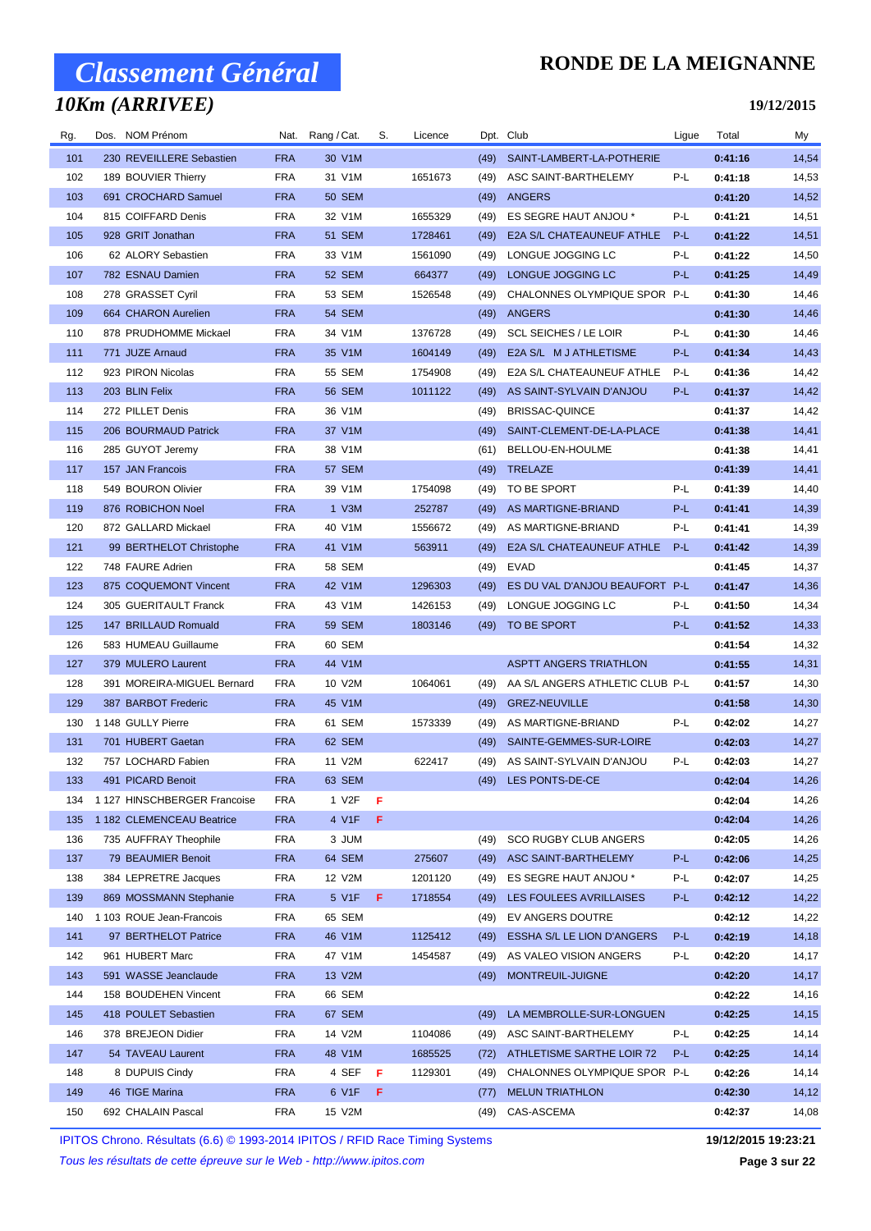## *10Km (ARRIVEE)*

### **RONDE DE LA MEIGNANNE**

**19/12/2015**

| Rg. | Dos. NOM Prénom              |            | Nat. Rang / Cat.   | S. | Licence |      | Dpt. Club                       | Ligue | Total   | My    |
|-----|------------------------------|------------|--------------------|----|---------|------|---------------------------------|-------|---------|-------|
| 101 | 230 REVEILLERE Sebastien     | <b>FRA</b> | 30 V1M             |    |         | (49) | SAINT-LAMBERT-LA-POTHERIE       |       | 0:41:16 | 14,54 |
| 102 | 189 BOUVIER Thierry          | <b>FRA</b> | 31 V1M             |    | 1651673 | (49) | ASC SAINT-BARTHELEMY            | P-L   | 0:41:18 | 14,53 |
| 103 | 691 CROCHARD Samuel          | <b>FRA</b> | <b>50 SEM</b>      |    |         | (49) | ANGERS                          |       | 0:41:20 | 14,52 |
| 104 | 815 COIFFARD Denis           | <b>FRA</b> | 32 V1M             |    | 1655329 | (49) | ES SEGRE HAUT ANJOU *           | P-L   | 0:41:21 | 14,51 |
| 105 | 928 GRIT Jonathan            | <b>FRA</b> | 51 SEM             |    | 1728461 | (49) | E2A S/L CHATEAUNEUF ATHLE       | P-L   | 0:41:22 | 14,51 |
| 106 | 62 ALORY Sebastien           | <b>FRA</b> | 33 V1M             |    | 1561090 | (49) | LONGUE JOGGING LC               | P-L   | 0:41:22 | 14,50 |
| 107 | 782 ESNAU Damien             | <b>FRA</b> | 52 SEM             |    | 664377  | (49) | LONGUE JOGGING LC               | P-L   | 0:41:25 | 14,49 |
| 108 | 278 GRASSET Cyril            | FRA        | 53 SEM             |    | 1526548 | (49) | CHALONNES OLYMPIQUE SPOR P-L    |       | 0:41:30 | 14,46 |
| 109 | 664 CHARON Aurelien          | <b>FRA</b> | 54 SEM             |    |         | (49) | ANGERS                          |       | 0:41:30 | 14,46 |
| 110 | 878 PRUDHOMME Mickael        | FRA        | 34 V1M             |    | 1376728 | (49) | <b>SCL SEICHES / LE LOIR</b>    | P-L   | 0:41:30 | 14,46 |
| 111 | 771 JUZE Arnaud              | <b>FRA</b> | 35 V1M             |    | 1604149 | (49) | E2A S/L M J ATHLETISME          | P-L   | 0:41:34 | 14,43 |
| 112 | 923 PIRON Nicolas            | FRA        | 55 SEM             |    | 1754908 | (49) | E2A S/L CHATEAUNEUF ATHLE       | P-L   | 0:41:36 | 14,42 |
| 113 | 203 BLIN Felix               | <b>FRA</b> | <b>56 SEM</b>      |    | 1011122 | (49) | AS SAINT-SYLVAIN D'ANJOU        | P-L   | 0:41:37 | 14,42 |
| 114 | 272 PILLET Denis             | FRA        | 36 V1M             |    |         | (49) | <b>BRISSAC-QUINCE</b>           |       | 0:41:37 | 14,42 |
| 115 | 206 BOURMAUD Patrick         | <b>FRA</b> | 37 V1M             |    |         | (49) | SAINT-CLEMENT-DE-LA-PLACE       |       | 0:41:38 | 14,41 |
| 116 | 285 GUYOT Jeremy             | FRA        | 38 V1M             |    |         | (61) | BELLOU-EN-HOULME                |       | 0:41:38 | 14,41 |
| 117 | 157 JAN Francois             | <b>FRA</b> | 57 SEM             |    |         | (49) | TRELAZE                         |       | 0:41:39 | 14,41 |
| 118 | 549 BOURON Olivier           | <b>FRA</b> | 39 V1M             |    | 1754098 | (49) | TO BE SPORT                     | P-L   | 0:41:39 | 14,40 |
| 119 | 876 ROBICHON Noel            | <b>FRA</b> | 1 V3M              |    | 252787  | (49) | AS MARTIGNE-BRIAND              | P-L   | 0:41:41 | 14,39 |
| 120 | 872 GALLARD Mickael          | <b>FRA</b> | 40 V1M             |    | 1556672 | (49) | AS MARTIGNE-BRIAND              | P-L   | 0:41:41 | 14,39 |
| 121 | 99 BERTHELOT Christophe      | <b>FRA</b> | 41 V1M             |    | 563911  | (49) | E2A S/L CHATEAUNEUF ATHLE       | $P-L$ | 0:41:42 | 14,39 |
| 122 | 748 FAURE Adrien             | <b>FRA</b> | 58 SEM             |    |         | (49) | EVAD                            |       | 0:41:45 | 14,37 |
| 123 | 875 COQUEMONT Vincent        | <b>FRA</b> | 42 V1M             |    | 1296303 | (49) | ES DU VAL D'ANJOU BEAUFORT P-L  |       | 0:41:47 | 14,36 |
| 124 | 305 GUERITAULT Franck        | FRA        | 43 V1M             |    | 1426153 | (49) | LONGUE JOGGING LC               | P-L   | 0:41:50 | 14,34 |
| 125 | 147 BRILLAUD Romuald         | <b>FRA</b> | <b>59 SEM</b>      |    | 1803146 | (49) | TO BE SPORT                     | P-L   | 0:41:52 | 14,33 |
| 126 | 583 HUMEAU Guillaume         | FRA        | 60 SEM             |    |         |      |                                 |       | 0:41:54 | 14,32 |
| 127 | 379 MULERO Laurent           | <b>FRA</b> | 44 V1M             |    |         |      | <b>ASPTT ANGERS TRIATHLON</b>   |       | 0:41:55 | 14,31 |
| 128 | 391 MOREIRA-MIGUEL Bernard   | <b>FRA</b> | 10 V2M             |    | 1064061 | (49) | AA S/L ANGERS ATHLETIC CLUB P-L |       | 0:41:57 | 14,30 |
| 129 | 387 BARBOT Frederic          | <b>FRA</b> | 45 V1M             |    |         | (49) | <b>GREZ-NEUVILLE</b>            |       | 0:41:58 | 14,30 |
| 130 | 1 148 GULLY Pierre           | FRA        | 61 SEM             |    | 1573339 | (49) | AS MARTIGNE-BRIAND              | P-L   | 0:42:02 | 14,27 |
| 131 | 701 HUBERT Gaetan            | <b>FRA</b> | 62 SEM             |    |         | (49) | SAINTE-GEMMES-SUR-LOIRE         |       | 0:42:03 | 14,27 |
| 132 | 757 LOCHARD Fabien           | FRA        | 11 V2M             |    | 622417  | (49) | AS SAINT-SYLVAIN D'ANJOU        | P-L   | 0:42:03 | 14,27 |
| 133 | 491 PICARD Benoit            | FRA        | 63 SEM             |    |         |      | (49) LES PONTS-DE-CE            |       | 0:42:04 | 14,26 |
| 134 | 1 127 HINSCHBERGER Francoise | FRA        | 1 V <sub>2</sub> F | F  |         |      |                                 |       | 0:42:04 | 14,26 |
| 135 | 1 182 CLEMENCEAU Beatrice    | <b>FRA</b> | 4 V1F              | F  |         |      |                                 |       | 0:42:04 | 14,26 |
| 136 | 735 AUFFRAY Theophile        | FRA        | 3 JUM              |    |         | (49) | <b>SCO RUGBY CLUB ANGERS</b>    |       | 0:42:05 | 14,26 |
| 137 | 79 BEAUMIER Benoit           | <b>FRA</b> | 64 SEM             |    | 275607  | (49) | ASC SAINT-BARTHELEMY            | P-L   | 0:42:06 | 14,25 |
| 138 | 384 LEPRETRE Jacques         | FRA        | 12 V2M             |    | 1201120 | (49) | ES SEGRE HAUT ANJOU *           | P-L   | 0:42:07 | 14,25 |
| 139 | 869 MOSSMANN Stephanie       | <b>FRA</b> | 5 V1F              | F  | 1718554 | (49) | LES FOULEES AVRILLAISES         | P-L   | 0:42:12 | 14,22 |
| 140 | 1 103 ROUE Jean-Francois     | FRA        | 65 SEM             |    |         | (49) | EV ANGERS DOUTRE                |       | 0:42:12 | 14,22 |
| 141 | 97 BERTHELOT Patrice         | <b>FRA</b> | 46 V1M             |    | 1125412 | (49) | ESSHA S/L LE LION D'ANGERS      | P-L   | 0:42:19 | 14,18 |
| 142 | 961 HUBERT Marc              | FRA        | 47 V1M             |    | 1454587 | (49) | AS VALEO VISION ANGERS          | P-L   | 0:42:20 | 14,17 |
| 143 | 591 WASSE Jeanclaude         | <b>FRA</b> | 13 V2M             |    |         | (49) | MONTREUIL-JUIGNE                |       | 0:42:20 | 14,17 |
| 144 | 158 BOUDEHEN Vincent         | FRA        | 66 SEM             |    |         |      |                                 |       | 0:42:22 | 14,16 |
| 145 | 418 POULET Sebastien         | <b>FRA</b> | 67 SEM             |    |         | (49) | LA MEMBROLLE-SUR-LONGUEN        |       | 0:42:25 | 14,15 |
| 146 | 378 BREJEON Didier           | FRA        | 14 V2M             |    | 1104086 | (49) | ASC SAINT-BARTHELEMY            | P-L   | 0:42:25 | 14,14 |
| 147 | 54 TAVEAU Laurent            | <b>FRA</b> | 48 V1M             |    | 1685525 | (72) | ATHLETISME SARTHE LOIR 72       | P-L   | 0:42:25 | 14,14 |
| 148 | 8 DUPUIS Cindy               | FRA        | 4 SEF              | F  | 1129301 | (49) | CHALONNES OLYMPIQUE SPOR P-L    |       | 0:42:26 | 14,14 |
| 149 | 46 TIGE Marina               | <b>FRA</b> | 6 V1F              | F  |         | (77) | <b>MELUN TRIATHLON</b>          |       | 0:42:30 | 14,12 |
| 150 | 692 CHALAIN Pascal           | FRA        | 15 V2M             |    |         | (49) | CAS-ASCEMA                      |       | 0:42:37 | 14,08 |

IPITOS Chrono. Résultats (6.6) © 1993-2014 IPITOS / RFID Race Timing Systems **19/12/2015 19:23:21**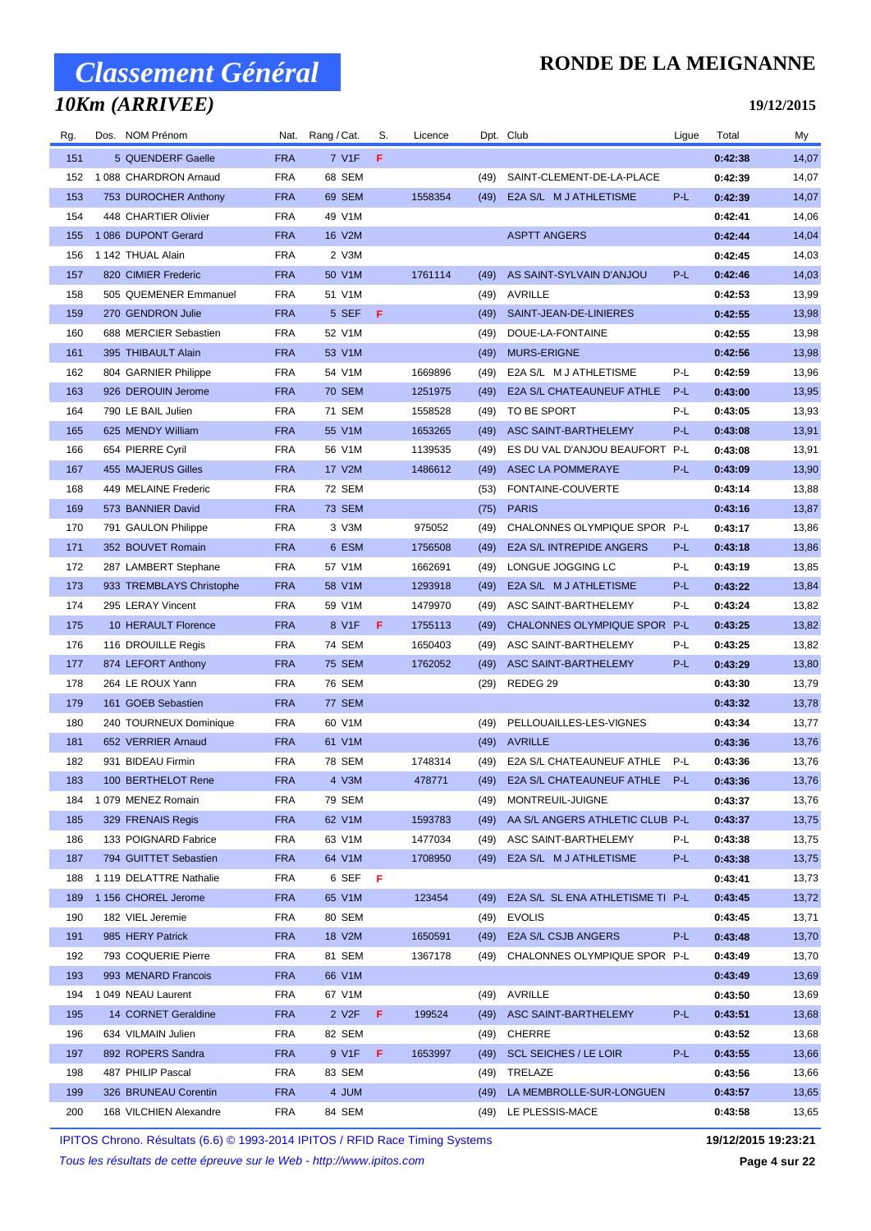## *10Km (ARRIVEE)*

### **RONDE DE LA MEIGNANNE**

#### **19/12/2015**

| Rg. | Dos. NOM Prénom          | Nat.       | Rang / Cat.    | S.  | Licence |      | Dpt. Club                         | Ligue | Total   | My    |
|-----|--------------------------|------------|----------------|-----|---------|------|-----------------------------------|-------|---------|-------|
| 151 | 5 QUENDERF Gaelle        | <b>FRA</b> | 7 V1F          | F   |         |      |                                   |       | 0:42:38 | 14,07 |
| 152 | 1 088 CHARDRON Arnaud    | <b>FRA</b> | 68 SEM         |     |         | (49) | SAINT-CLEMENT-DE-LA-PLACE         |       | 0:42:39 | 14,07 |
| 153 | 753 DUROCHER Anthony     | <b>FRA</b> | 69 SEM         |     | 1558354 | (49) | E2A S/L M J ATHLETISME            | P-L   | 0:42:39 | 14,07 |
| 154 | 448 CHARTIER Olivier     | FRA        | 49 V1M         |     |         |      |                                   |       | 0:42:41 | 14,06 |
| 155 | 1 086 DUPONT Gerard      | <b>FRA</b> | 16 V2M         |     |         |      | <b>ASPTT ANGERS</b>               |       | 0:42:44 | 14,04 |
| 156 | 1 142 THUAL Alain        | <b>FRA</b> | 2 V3M          |     |         |      |                                   |       | 0:42:45 | 14,03 |
| 157 | 820 CIMIER Frederic      | <b>FRA</b> | 50 V1M         |     | 1761114 | (49) | AS SAINT-SYLVAIN D'ANJOU          | P-L   | 0:42:46 | 14,03 |
| 158 | 505 QUEMENER Emmanuel    | <b>FRA</b> | 51 V1M         |     |         | (49) | AVRILLE                           |       | 0:42:53 | 13,99 |
| 159 | 270 GENDRON Julie        | <b>FRA</b> | 5 SEF          | - F |         | (49) | SAINT-JEAN-DE-LINIERES            |       | 0:42:55 | 13,98 |
| 160 | 688 MERCIER Sebastien    | <b>FRA</b> | 52 V1M         |     |         | (49) | DOUE-LA-FONTAINE                  |       | 0:42:55 | 13,98 |
| 161 | 395 THIBAULT Alain       | <b>FRA</b> | 53 V1M         |     |         | (49) | <b>MURS-ERIGNE</b>                |       | 0:42:56 | 13,98 |
| 162 | 804 GARNIER Philippe     | <b>FRA</b> | 54 V1M         |     | 1669896 | (49) | E2A S/L M J ATHLETISME            | P-L   | 0:42:59 | 13,96 |
| 163 | 926 DEROUIN Jerome       | <b>FRA</b> | <b>70 SEM</b>  |     | 1251975 | (49) | E2A S/L CHATEAUNEUF ATHLE         | P-L   | 0:43:00 | 13,95 |
| 164 | 790 LE BAIL Julien       | FRA        | 71 SEM         |     | 1558528 | (49) | TO BE SPORT                       | P-L   | 0:43:05 | 13,93 |
| 165 | 625 MENDY William        | <b>FRA</b> | 55 V1M         |     | 1653265 | (49) | ASC SAINT-BARTHELEMY              | P-L   | 0:43:08 | 13,91 |
| 166 | 654 PIERRE Cyril         | <b>FRA</b> | 56 V1M         |     | 1139535 | (49) | ES DU VAL D'ANJOU BEAUFORT P-L    |       | 0:43:08 | 13,91 |
| 167 | 455 MAJERUS Gilles       | <b>FRA</b> | 17 V2M         |     | 1486612 | (49) | <b>ASEC LA POMMERAYE</b>          | P-L   | 0:43:09 | 13,90 |
| 168 | 449 MELAINE Frederic     | <b>FRA</b> | 72 SEM         |     |         | (53) | FONTAINE-COUVERTE                 |       | 0:43:14 | 13,88 |
| 169 | 573 BANNIER David        | <b>FRA</b> | <b>73 SEM</b>  |     |         | (75) | <b>PARIS</b>                      |       | 0:43:16 | 13,87 |
| 170 | 791 GAULON Philippe      | <b>FRA</b> | 3 V3M          |     | 975052  | (49) | CHALONNES OLYMPIQUE SPOR P-L      |       | 0:43:17 | 13,86 |
| 171 | 352 BOUVET Romain        | <b>FRA</b> | 6 ESM          |     | 1756508 | (49) | <b>E2A S/L INTREPIDE ANGERS</b>   | P-L   | 0:43:18 | 13,86 |
| 172 | 287 LAMBERT Stephane     | <b>FRA</b> | 57 V1M         |     | 1662691 | (49) | LONGUE JOGGING LC                 | P-L   | 0:43:19 | 13,85 |
| 173 | 933 TREMBLAYS Christophe | <b>FRA</b> | 58 V1M         |     | 1293918 | (49) | E2A S/L M J ATHLETISME            | P-L   | 0:43:22 | 13,84 |
| 174 | 295 LERAY Vincent        | <b>FRA</b> | 59 V1M         |     | 1479970 | (49) | ASC SAINT-BARTHELEMY              | P-L   | 0:43:24 | 13,82 |
| 175 | 10 HERAULT Florence      | <b>FRA</b> | 8 V1F          | F.  | 1755113 | (49) | CHALONNES OLYMPIQUE SPOR P-L      |       | 0:43:25 | 13,82 |
| 176 | 116 DROUILLE Regis       | <b>FRA</b> | 74 SEM         |     | 1650403 | (49) | ASC SAINT-BARTHELEMY              | P-L   | 0:43:25 | 13,82 |
| 177 | 874 LEFORT Anthony       | <b>FRA</b> | <b>75 SEM</b>  |     | 1762052 | (49) | ASC SAINT-BARTHELEMY              | P-L   | 0:43:29 | 13,80 |
| 178 | 264 LE ROUX Yann         | <b>FRA</b> | 76 SEM         |     |         | (29) | REDEG 29                          |       | 0:43:30 | 13,79 |
| 179 | 161 GOEB Sebastien       | <b>FRA</b> | 77 SEM         |     |         |      |                                   |       | 0:43:32 | 13,78 |
| 180 | 240 TOURNEUX Dominique   | FRA        | 60 V1M         |     |         | (49) | PELLOUAILLES-LES-VIGNES           |       | 0:43:34 | 13,77 |
| 181 | 652 VERRIER Arnaud       | <b>FRA</b> | 61 V1M         |     |         | (49) | <b>AVRILLE</b>                    |       | 0:43:36 | 13,76 |
| 182 | 931 BIDEAU Firmin        | FRA        | 78 SEM         |     | 1748314 | (49) | E2A S/L CHATEAUNEUF ATHLE         | P-L   | 0:43:36 | 13,76 |
| 183 | 100 BERTHELOT Rene       | <b>FRA</b> | 4 V3M          |     | 478771  | (49) | E2A S/L CHATEAUNEUF ATHLE         | P-L   | 0:43:36 | 13,76 |
| 184 | 1079 MENEZ Romain        | <b>FRA</b> | 79 SEM         |     |         | (49) | MONTREUIL-JUIGNE                  |       | 0:43:37 | 13,76 |
| 185 | 329 FRENAIS Regis        | <b>FRA</b> | 62 V1M         |     | 1593783 | (49) | AA S/L ANGERS ATHLETIC CLUB P-L   |       | 0:43:37 | 13,75 |
| 186 | 133 POIGNARD Fabrice     | FRA        | 63 V1M         |     | 1477034 |      | (49) ASC SAINT-BARTHELEMY         | P-L   | 0:43:38 | 13,75 |
| 187 | 794 GUITTET Sebastien    | <b>FRA</b> | 64 V1M         |     | 1708950 |      | (49) E2A S/L M J ATHLETISME       | P-L   | 0:43:38 | 13,75 |
| 188 | 1 119 DELATTRE Nathalie  | FRA        | 6 SEFFF        |     |         |      |                                   |       | 0:43:41 | 13,73 |
| 189 | 1 156 CHOREL Jerome      | <b>FRA</b> | 65 V1M         |     | 123454  | (49) | E2A S/L SL ENA ATHLETISME TI P-L  |       | 0:43:45 | 13,72 |
| 190 | 182 VIEL Jeremie         | <b>FRA</b> | 80 SEM         |     |         |      | (49) EVOLIS                       |       | 0:43:45 | 13,71 |
| 191 | 985 HERY Patrick         | <b>FRA</b> | 18 V2M         |     | 1650591 | (49) | <b>E2A S/L CSJB ANGERS</b>        | P-L   | 0:43:48 | 13,70 |
| 192 | 793 COQUERIE Pierre      | FRA        | 81 SEM         |     | 1367178 |      | (49) CHALONNES OLYMPIQUE SPOR P-L |       | 0:43:49 | 13,70 |
| 193 | 993 MENARD Francois      | <b>FRA</b> | 66 V1M         |     |         |      |                                   |       | 0:43:49 | 13,69 |
| 194 | 1049 NEAU Laurent        | <b>FRA</b> | 67 V1M         |     |         |      | (49) AVRILLE                      |       | 0:43:50 | 13,69 |
| 195 | 14 CORNET Geraldine      | <b>FRA</b> | 2 V2F          | -F. | 199524  | (49) | ASC SAINT-BARTHELEMY              | P-L   | 0:43:51 | 13,68 |
| 196 | 634 VILMAIN Julien       | <b>FRA</b> | 82 SEM         |     |         |      | (49) CHERRE                       |       | 0:43:52 | 13,68 |
| 197 | 892 ROPERS Sandra        | <b>FRA</b> | 9 V1F <b>F</b> |     | 1653997 | (49) | <b>SCL SEICHES / LE LOIR</b>      | P-L   | 0:43:55 | 13,66 |
| 198 | 487 PHILIP Pascal        | FRA        | 83 SEM         |     |         | (49) | TRELAZE                           |       | 0:43:56 | 13,66 |
| 199 | 326 BRUNEAU Corentin     | <b>FRA</b> | 4 JUM          |     |         | (49) | LA MEMBROLLE-SUR-LONGUEN          |       | 0:43:57 | 13,65 |
| 200 | 168 VILCHIEN Alexandre   | FRA        | 84 SEM         |     |         |      | (49) LE PLESSIS-MACE              |       | 0:43:58 | 13,65 |
|     |                          |            |                |     |         |      |                                   |       |         |       |

IPITOS Chrono. Résultats (6.6) © 1993-2014 IPITOS / RFID Race Timing Systems **19/12/2015 19:23:21**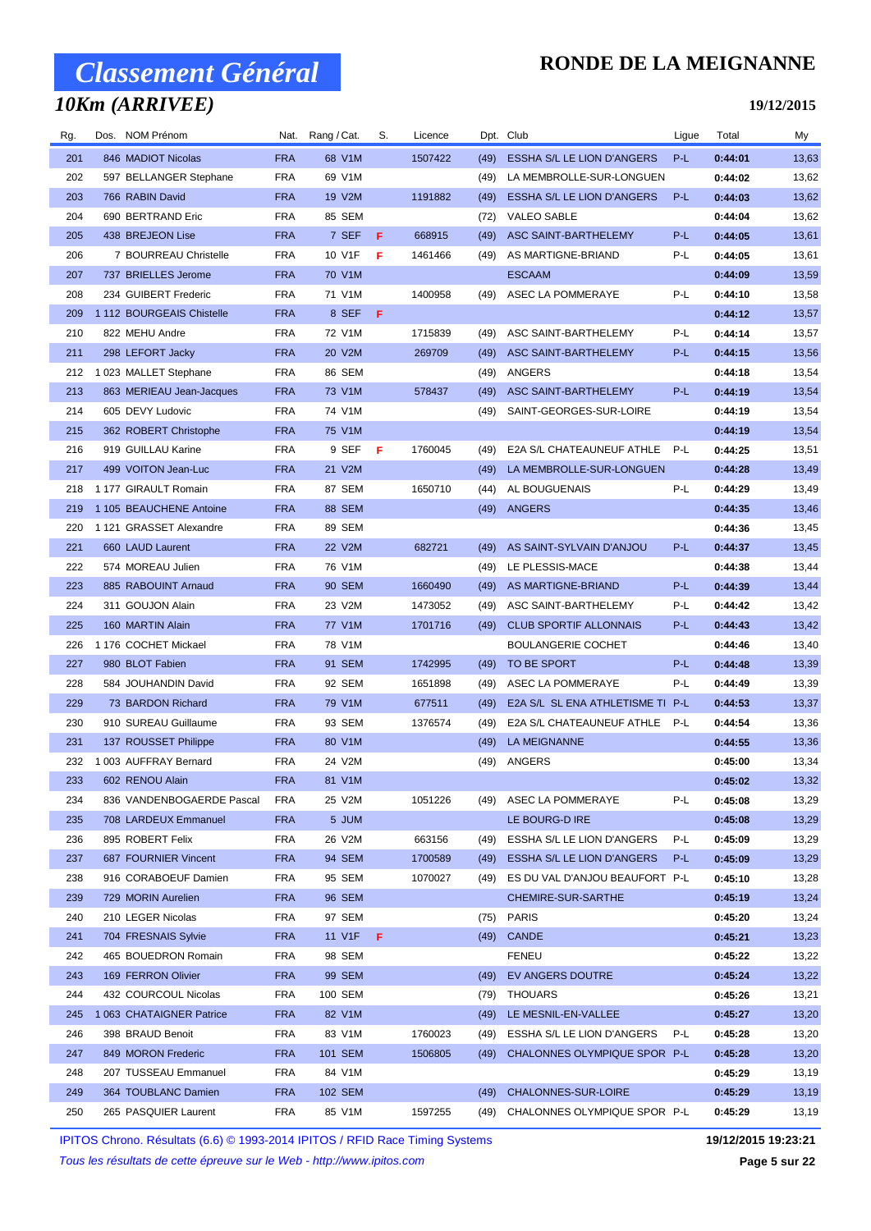## *10Km (ARRIVEE)*

### **RONDE DE LA MEIGNANNE**

#### **19/12/2015**

| Rg. | Dos. NOM Prénom           | Nat.       | Rang / Cat. | S. | Licence |      | Dpt. Club                        | Ligue | Total   | My    |
|-----|---------------------------|------------|-------------|----|---------|------|----------------------------------|-------|---------|-------|
| 201 | 846 MADIOT Nicolas        | <b>FRA</b> | 68 V1M      |    | 1507422 | (49) | ESSHA S/L LE LION D'ANGERS       | $P-L$ | 0:44:01 | 13,63 |
| 202 | 597 BELLANGER Stephane    | <b>FRA</b> | 69 V1M      |    |         | (49) | LA MEMBROLLE-SUR-LONGUEN         |       | 0:44:02 | 13,62 |
| 203 | 766 RABIN David           | <b>FRA</b> | 19 V2M      |    | 1191882 | (49) | ESSHA S/L LE LION D'ANGERS       | P-L   | 0:44:03 | 13,62 |
| 204 | 690 BERTRAND Eric         | <b>FRA</b> | 85 SEM      |    |         | (72) | <b>VALEO SABLE</b>               |       | 0:44:04 | 13,62 |
| 205 | 438 BREJEON Lise          | <b>FRA</b> | 7 SEF       | F  | 668915  | (49) | ASC SAINT-BARTHELEMY             | P-L   | 0:44:05 | 13,61 |
| 206 | 7 BOURREAU Christelle     | <b>FRA</b> | 10 V1F      | F  | 1461466 | (49) | AS MARTIGNE-BRIAND               | P-L   | 0:44:05 | 13,61 |
| 207 | 737 BRIELLES Jerome       | <b>FRA</b> | 70 V1M      |    |         |      | <b>ESCAAM</b>                    |       | 0:44:09 | 13,59 |
| 208 | 234 GUIBERT Frederic      | <b>FRA</b> | 71 V1M      |    | 1400958 | (49) | ASEC LA POMMERAYE                | P-L   | 0:44:10 | 13,58 |
| 209 | 1 112 BOURGEAIS Chistelle | <b>FRA</b> | 8 SEF       | F  |         |      |                                  |       | 0:44:12 | 13,57 |
| 210 | 822 MEHU Andre            | <b>FRA</b> | 72 V1M      |    | 1715839 | (49) | ASC SAINT-BARTHELEMY             | P-L   | 0:44:14 | 13,57 |
| 211 | 298 LEFORT Jacky          | <b>FRA</b> | 20 V2M      |    | 269709  | (49) | ASC SAINT-BARTHELEMY             | P-L   | 0:44:15 | 13,56 |
| 212 | 1 023 MALLET Stephane     | <b>FRA</b> | 86 SEM      |    |         | (49) | ANGERS                           |       | 0:44:18 | 13,54 |
| 213 | 863 MERIEAU Jean-Jacques  | <b>FRA</b> | 73 V1M      |    | 578437  | (49) | ASC SAINT-BARTHELEMY             | P-L   | 0:44:19 | 13,54 |
| 214 | 605 DEVY Ludovic          | <b>FRA</b> | 74 V1M      |    |         | (49) | SAINT-GEORGES-SUR-LOIRE          |       | 0:44:19 | 13,54 |
| 215 | 362 ROBERT Christophe     | <b>FRA</b> | 75 V1M      |    |         |      |                                  |       | 0:44:19 | 13,54 |
| 216 | 919 GUILLAU Karine        | <b>FRA</b> | 9 SEFF      |    | 1760045 | (49) | E2A S/L CHATEAUNEUF ATHLE        | P-L   | 0:44:25 | 13,51 |
| 217 | 499 VOITON Jean-Luc       | <b>FRA</b> | 21 V2M      |    |         | (49) | LA MEMBROLLE-SUR-LONGUEN         |       | 0:44:28 | 13,49 |
| 218 | 1 177 GIRAULT Romain      | <b>FRA</b> | 87 SEM      |    | 1650710 | (44) | AL BOUGUENAIS                    | P-L   | 0:44:29 | 13,49 |
| 219 | 1 105 BEAUCHENE Antoine   | <b>FRA</b> | 88 SEM      |    |         | (49) | ANGERS                           |       | 0:44:35 | 13,46 |
| 220 | 1 121 GRASSET Alexandre   | <b>FRA</b> | 89 SEM      |    |         |      |                                  |       | 0:44:36 | 13,45 |
| 221 | 660 LAUD Laurent          | <b>FRA</b> | 22 V2M      |    | 682721  | (49) | AS SAINT-SYLVAIN D'ANJOU         | $P-L$ | 0:44:37 | 13,45 |
| 222 | 574 MOREAU Julien         | <b>FRA</b> | 76 V1M      |    |         | (49) | LE PLESSIS-MACE                  |       | 0:44:38 | 13,44 |
| 223 | 885 RABOUINT Arnaud       | <b>FRA</b> | 90 SEM      |    | 1660490 | (49) | AS MARTIGNE-BRIAND               | P-L   | 0:44:39 | 13,44 |
| 224 | 311 GOUJON Alain          | <b>FRA</b> | 23 V2M      |    | 1473052 | (49) | ASC SAINT-BARTHELEMY             | P-L   | 0:44:42 | 13,42 |
| 225 | 160 MARTIN Alain          | <b>FRA</b> | 77 V1M      |    | 1701716 | (49) | <b>CLUB SPORTIF ALLONNAIS</b>    | P-L   | 0:44:43 | 13,42 |
| 226 | 1 176 COCHET Mickael      | <b>FRA</b> | 78 V1M      |    |         |      | <b>BOULANGERIE COCHET</b>        |       | 0:44:46 | 13,40 |
| 227 | 980 BLOT Fabien           | <b>FRA</b> | 91 SEM      |    | 1742995 | (49) | TO BE SPORT                      | P-L   | 0:44:48 | 13,39 |
| 228 | 584 JOUHANDIN David       | <b>FRA</b> | 92 SEM      |    | 1651898 | (49) | ASEC LA POMMERAYE                | P-L   | 0:44:49 | 13,39 |
| 229 | 73 BARDON Richard         | <b>FRA</b> | 79 V1M      |    | 677511  | (49) | E2A S/L SL ENA ATHLETISME TI P-L |       | 0:44:53 | 13,37 |
| 230 | 910 SUREAU Guillaume      | FRA        | 93 SEM      |    | 1376574 | (49) | E2A S/L CHATEAUNEUF ATHLE P-L    |       | 0:44:54 | 13,36 |
| 231 | 137 ROUSSET Philippe      | <b>FRA</b> | 80 V1M      |    |         | (49) | LA MEIGNANNE                     |       | 0:44:55 | 13,36 |
| 232 | 1003 AUFFRAY Bernard      | FRA        | 24 V2M      |    |         | (49) | ANGERS                           |       | 0:45:00 | 13,34 |
| 233 | 602 RENOU Alain           | <b>FRA</b> | 81 V1M      |    |         |      |                                  |       | 0:45:02 | 13,32 |
| 234 | 836 VANDENBOGAERDE Pascal | <b>FRA</b> | 25 V2M      |    | 1051226 |      | (49) ASEC LA POMMERAYE           | P-L   | 0:45:08 | 13,29 |
| 235 | 708 LARDEUX Emmanuel      | <b>FRA</b> | 5 JUM       |    |         |      | LE BOURG-D IRE                   |       | 0:45:08 | 13,29 |
| 236 | 895 ROBERT Felix          | FRA        | 26 V2M      |    | 663156  | (49) | ESSHA S/L LE LION D'ANGERS       | P-L   | 0:45:09 | 13,29 |
| 237 | 687 FOURNIER Vincent      | <b>FRA</b> | 94 SEM      |    | 1700589 | (49) | ESSHA S/L LE LION D'ANGERS       | P-L   | 0:45:09 | 13,29 |
| 238 | 916 CORABOEUF Damien      | FRA        | 95 SEM      |    | 1070027 | (49) | ES DU VAL D'ANJOU BEAUFORT P-L   |       | 0:45:10 | 13,28 |
| 239 | 729 MORIN Aurelien        | <b>FRA</b> | 96 SEM      |    |         |      | CHEMIRE-SUR-SARTHE               |       | 0:45:19 | 13,24 |
| 240 | 210 LEGER Nicolas         | FRA        | 97 SEM      |    |         | (75) | <b>PARIS</b>                     |       | 0:45:20 | 13,24 |
| 241 | 704 FRESNAIS Sylvie       | <b>FRA</b> | 11 V1F      | F  |         |      | (49) CANDE                       |       | 0:45:21 | 13,23 |
| 242 | 465 BOUEDRON Romain       | <b>FRA</b> | 98 SEM      |    |         |      | <b>FENEU</b>                     |       | 0:45:22 | 13,22 |
| 243 | 169 FERRON Olivier        | <b>FRA</b> | 99 SEM      |    |         | (49) | EV ANGERS DOUTRE                 |       | 0:45:24 | 13,22 |
| 244 | 432 COURCOUL Nicolas      | FRA        | 100 SEM     |    |         |      | (79) THOUARS                     |       | 0:45:26 | 13,21 |
| 245 | 1 063 CHATAIGNER Patrice  | <b>FRA</b> | 82 V1M      |    |         | (49) | LE MESNIL-EN-VALLEE              |       | 0:45:27 | 13,20 |
| 246 | 398 BRAUD Benoit          | <b>FRA</b> | 83 V1M      |    | 1760023 | (49) | ESSHA S/L LE LION D'ANGERS       | P-L   | 0:45:28 | 13,20 |
| 247 | 849 MORON Frederic        | <b>FRA</b> | 101 SEM     |    | 1506805 | (49) | CHALONNES OLYMPIQUE SPOR P-L     |       | 0:45:28 | 13,20 |
| 248 | 207 TUSSEAU Emmanuel      | <b>FRA</b> | 84 V1M      |    |         |      |                                  |       | 0:45:29 | 13,19 |
| 249 | 364 TOUBLANC Damien       | <b>FRA</b> | 102 SEM     |    |         | (49) | CHALONNES-SUR-LOIRE              |       | 0:45:29 | 13,19 |
| 250 | 265 PASQUIER Laurent      | <b>FRA</b> | 85 V1M      |    | 1597255 | (49) | CHALONNES OLYMPIQUE SPOR P-L     |       | 0:45:29 | 13,19 |

IPITOS Chrono. Résultats (6.6) © 1993-2014 IPITOS / RFID Race Timing Systems **19/12/2015 19:23:21**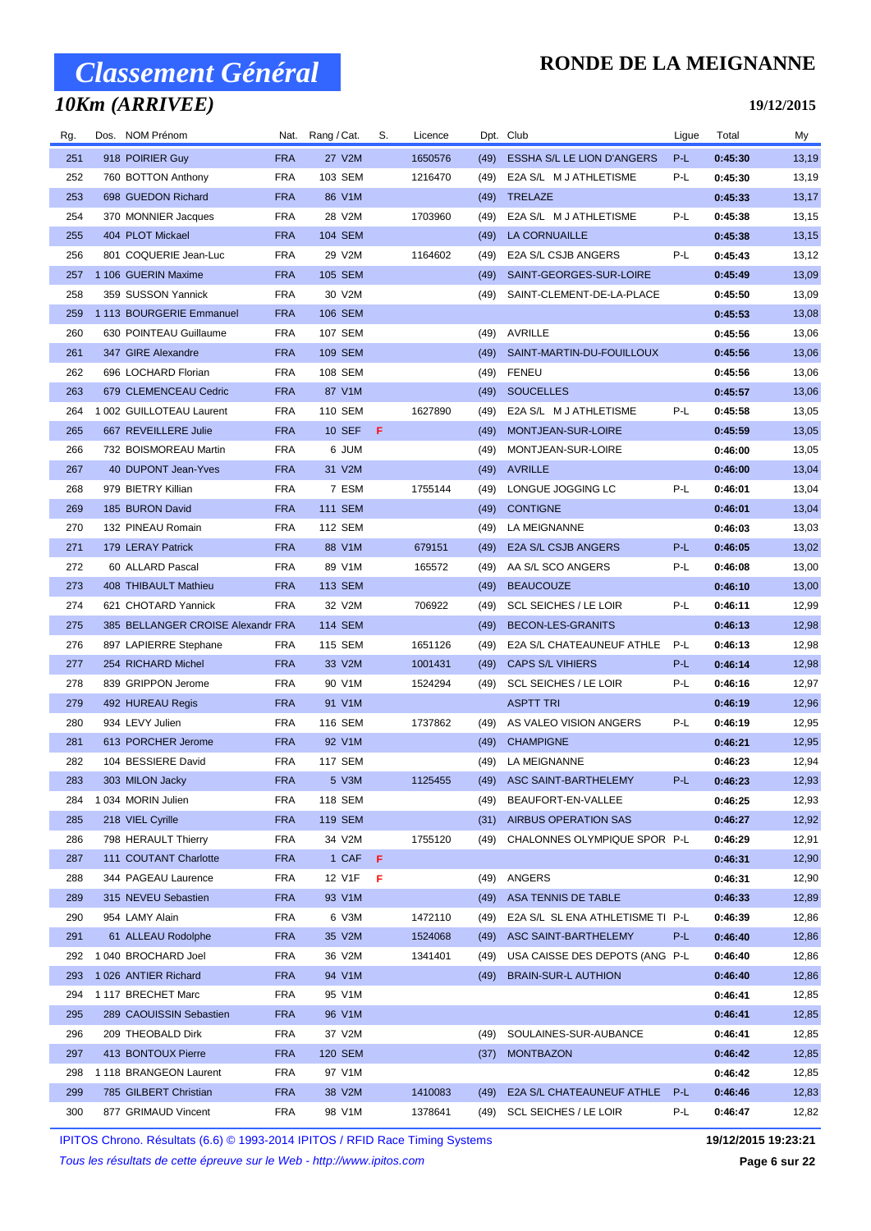## *10Km (ARRIVEE)*

#### **RONDE DE LA MEIGNANNE**

**19/12/2015**

| Rg. | Dos. NOM Prénom                   |            | Nat. Rang/Cat. | S. | Licence |      | Dpt. Club                        | Ligue | Total   | My    |
|-----|-----------------------------------|------------|----------------|----|---------|------|----------------------------------|-------|---------|-------|
| 251 | 918 POIRIER Guy                   | <b>FRA</b> | 27 V2M         |    | 1650576 | (49) | ESSHA S/L LE LION D'ANGERS       | P-L   | 0:45:30 | 13,19 |
| 252 | 760 BOTTON Anthony                | <b>FRA</b> | 103 SEM        |    | 1216470 | (49) | E2A S/L M J ATHLETISME           | P-L   | 0:45:30 | 13,19 |
| 253 | 698 GUEDON Richard                | <b>FRA</b> | 86 V1M         |    |         | (49) | TRELAZE                          |       | 0:45:33 | 13,17 |
| 254 | 370 MONNIER Jacques               | <b>FRA</b> | 28 V2M         |    | 1703960 | (49) | E2A S/L M J ATHLETISME           | P-L   | 0:45:38 | 13,15 |
| 255 | 404 PLOT Mickael                  | <b>FRA</b> | 104 SEM        |    |         | (49) | LA CORNUAILLE                    |       | 0:45:38 | 13,15 |
| 256 | 801 COQUERIE Jean-Luc             | <b>FRA</b> | 29 V2M         |    | 1164602 | (49) | E2A S/L CSJB ANGERS              | P-L   | 0:45:43 | 13,12 |
| 257 | 1 106 GUERIN Maxime               | <b>FRA</b> | 105 SEM        |    |         | (49) | SAINT-GEORGES-SUR-LOIRE          |       | 0:45:49 | 13,09 |
| 258 | 359 SUSSON Yannick                | <b>FRA</b> | 30 V2M         |    |         | (49) | SAINT-CLEMENT-DE-LA-PLACE        |       | 0:45:50 | 13,09 |
| 259 | 1 113 BOURGERIE Emmanuel          | <b>FRA</b> | 106 SEM        |    |         |      |                                  |       | 0:45:53 | 13,08 |
| 260 | 630 POINTEAU Guillaume            | <b>FRA</b> | 107 SEM        |    |         | (49) | AVRILLE                          |       | 0:45:56 | 13,06 |
| 261 | 347 GIRE Alexandre                | <b>FRA</b> | 109 SEM        |    |         | (49) | SAINT-MARTIN-DU-FOUILLOUX        |       | 0:45:56 | 13,06 |
| 262 | 696 LOCHARD Florian               | <b>FRA</b> | 108 SEM        |    |         | (49) | FENEU                            |       | 0:45:56 | 13,06 |
| 263 | 679 CLEMENCEAU Cedric             | <b>FRA</b> | 87 V1M         |    |         | (49) | <b>SOUCELLES</b>                 |       | 0:45:57 | 13,06 |
| 264 | 1 002 GUILLOTEAU Laurent          | <b>FRA</b> | 110 SEM        |    | 1627890 | (49) | E2A S/L M J ATHLETISME           | P-L   | 0:45:58 | 13,05 |
| 265 | 667 REVEILLERE Julie              | <b>FRA</b> | 10 SEF         | -F |         | (49) | MONTJEAN-SUR-LOIRE               |       | 0:45:59 | 13,05 |
| 266 | 732 BOISMOREAU Martin             | <b>FRA</b> | 6 JUM          |    |         | (49) | MONTJEAN-SUR-LOIRE               |       | 0:46:00 | 13,05 |
| 267 | 40 DUPONT Jean-Yves               | <b>FRA</b> | 31 V2M         |    |         | (49) | <b>AVRILLE</b>                   |       | 0:46:00 | 13,04 |
| 268 | 979 BIETRY Killian                | <b>FRA</b> | 7 ESM          |    | 1755144 | (49) | LONGUE JOGGING LC                | P-L   | 0:46:01 | 13,04 |
| 269 | 185 BURON David                   | <b>FRA</b> | <b>111 SEM</b> |    |         | (49) | <b>CONTIGNE</b>                  |       | 0:46:01 | 13,04 |
| 270 | 132 PINEAU Romain                 | <b>FRA</b> | 112 SEM        |    |         | (49) | LA MEIGNANNE                     |       | 0:46:03 | 13,03 |
| 271 | 179 LERAY Patrick                 | <b>FRA</b> | 88 V1M         |    | 679151  | (49) | E2A S/L CSJB ANGERS              | P-L   | 0:46:05 | 13,02 |
| 272 | 60 ALLARD Pascal                  | <b>FRA</b> | 89 V1M         |    | 165572  | (49) | AA S/L SCO ANGERS                | P-L   | 0:46:08 | 13,00 |
| 273 | 408 THIBAULT Mathieu              | <b>FRA</b> | 113 SEM        |    |         | (49) | <b>BEAUCOUZE</b>                 |       | 0:46:10 | 13,00 |
| 274 | 621 CHOTARD Yannick               | FRA        | 32 V2M         |    | 706922  | (49) | <b>SCL SEICHES / LE LOIR</b>     | P-L   | 0:46:11 | 12,99 |
| 275 | 385 BELLANGER CROISE Alexandr FRA |            | 114 SEM        |    |         | (49) | BECON-LES-GRANITS                |       | 0:46:13 | 12,98 |
| 276 | 897 LAPIERRE Stephane             | <b>FRA</b> | 115 SEM        |    | 1651126 | (49) | E2A S/L CHATEAUNEUF ATHLE        | P-L   | 0:46:13 | 12,98 |
| 277 | 254 RICHARD Michel                | <b>FRA</b> | 33 V2M         |    | 1001431 | (49) | <b>CAPS S/L VIHIERS</b>          | P-L   | 0:46:14 | 12,98 |
| 278 | 839 GRIPPON Jerome                | <b>FRA</b> | 90 V1M         |    | 1524294 | (49) | <b>SCL SEICHES / LE LOIR</b>     | P-L   | 0:46:16 | 12,97 |
| 279 | 492 HUREAU Regis                  | <b>FRA</b> | 91 V1M         |    |         |      | <b>ASPTT TRI</b>                 |       | 0:46:19 | 12,96 |
| 280 | 934 LEVY Julien                   | <b>FRA</b> | 116 SEM        |    | 1737862 | (49) | AS VALEO VISION ANGERS           | P-L   | 0:46:19 | 12,95 |
| 281 | 613 PORCHER Jerome                | <b>FRA</b> | 92 V1M         |    |         | (49) | <b>CHAMPIGNE</b>                 |       | 0:46:21 | 12,95 |
| 282 | 104 BESSIERE David                | <b>FRA</b> | <b>117 SEM</b> |    |         | (49) | LA MEIGNANNE                     |       | 0:46:23 | 12,94 |
| 283 | 303 MILON Jacky                   | <b>FRA</b> | 5 V3M          |    | 1125455 |      | (49) ASC SAINT-BARTHELEMY        | P-L   | 0:46:23 | 12,93 |
| 284 | 1 034 MORIN Julien                | <b>FRA</b> | 118 SEM        |    |         | (49) | BEAUFORT-EN-VALLEE               |       | 0:46:25 | 12,93 |
| 285 | 218 VIEL Cyrille                  | <b>FRA</b> | 119 SEM        |    |         | (31) | AIRBUS OPERATION SAS             |       | 0:46:27 | 12,92 |
| 286 | 798 HERAULT Thierry               | <b>FRA</b> | 34 V2M         |    | 1755120 | (49) | CHALONNES OLYMPIQUE SPOR P-L     |       | 0:46:29 | 12,91 |
| 287 | 111 COUTANT Charlotte             | <b>FRA</b> | 1 CAF          | -F |         |      |                                  |       | 0:46:31 | 12,90 |
| 288 | 344 PAGEAU Laurence               | <b>FRA</b> | 12 V1F         | F  |         | (49) | ANGERS                           |       | 0:46:31 | 12,90 |
| 289 | 315 NEVEU Sebastien               | <b>FRA</b> | 93 V1M         |    |         | (49) | ASA TENNIS DE TABLE              |       | 0:46:33 | 12,89 |
| 290 | 954 LAMY Alain                    | <b>FRA</b> | 6 V3M          |    | 1472110 | (49) | E2A S/L SL ENA ATHLETISME TI P-L |       | 0:46:39 | 12,86 |
| 291 | 61 ALLEAU Rodolphe                | <b>FRA</b> | 35 V2M         |    | 1524068 | (49) | ASC SAINT-BARTHELEMY             | P-L   | 0:46:40 | 12,86 |
| 292 | 1040 BROCHARD Joel                | <b>FRA</b> | 36 V2M         |    | 1341401 | (49) | USA CAISSE DES DEPOTS (ANG P-L   |       | 0:46:40 | 12,86 |
| 293 | 1026 ANTIER Richard               | <b>FRA</b> | 94 V1M         |    |         | (49) | <b>BRAIN-SUR-L AUTHION</b>       |       | 0:46:40 | 12,86 |
| 294 | 1 117 BRECHET Marc                | <b>FRA</b> | 95 V1M         |    |         |      |                                  |       | 0:46:41 | 12,85 |
| 295 | 289 CAOUISSIN Sebastien           | <b>FRA</b> | 96 V1M         |    |         |      |                                  |       | 0:46:41 | 12,85 |
| 296 | 209 THEOBALD Dirk                 | <b>FRA</b> | 37 V2M         |    |         | (49) | SOULAINES-SUR-AUBANCE            |       | 0:46:41 | 12,85 |
| 297 | 413 BONTOUX Pierre                | <b>FRA</b> | 120 SEM        |    |         | (37) | <b>MONTBAZON</b>                 |       | 0:46:42 | 12,85 |
| 298 | 1118 BRANGEON Laurent             | <b>FRA</b> | 97 V1M         |    |         |      |                                  |       | 0:46:42 | 12,85 |
| 299 | 785 GILBERT Christian             | <b>FRA</b> | 38 V2M         |    | 1410083 | (49) | E2A S/L CHATEAUNEUF ATHLE        | P-L   | 0:46:46 | 12,83 |
| 300 | 877 GRIMAUD Vincent               | <b>FRA</b> | 98 V1M         |    | 1378641 | (49) | <b>SCL SEICHES / LE LOIR</b>     | P-L   | 0:46:47 | 12,82 |

IPITOS Chrono. Résultats (6.6) © 1993-2014 IPITOS / RFID Race Timing Systems **19/12/2015 19:23:21**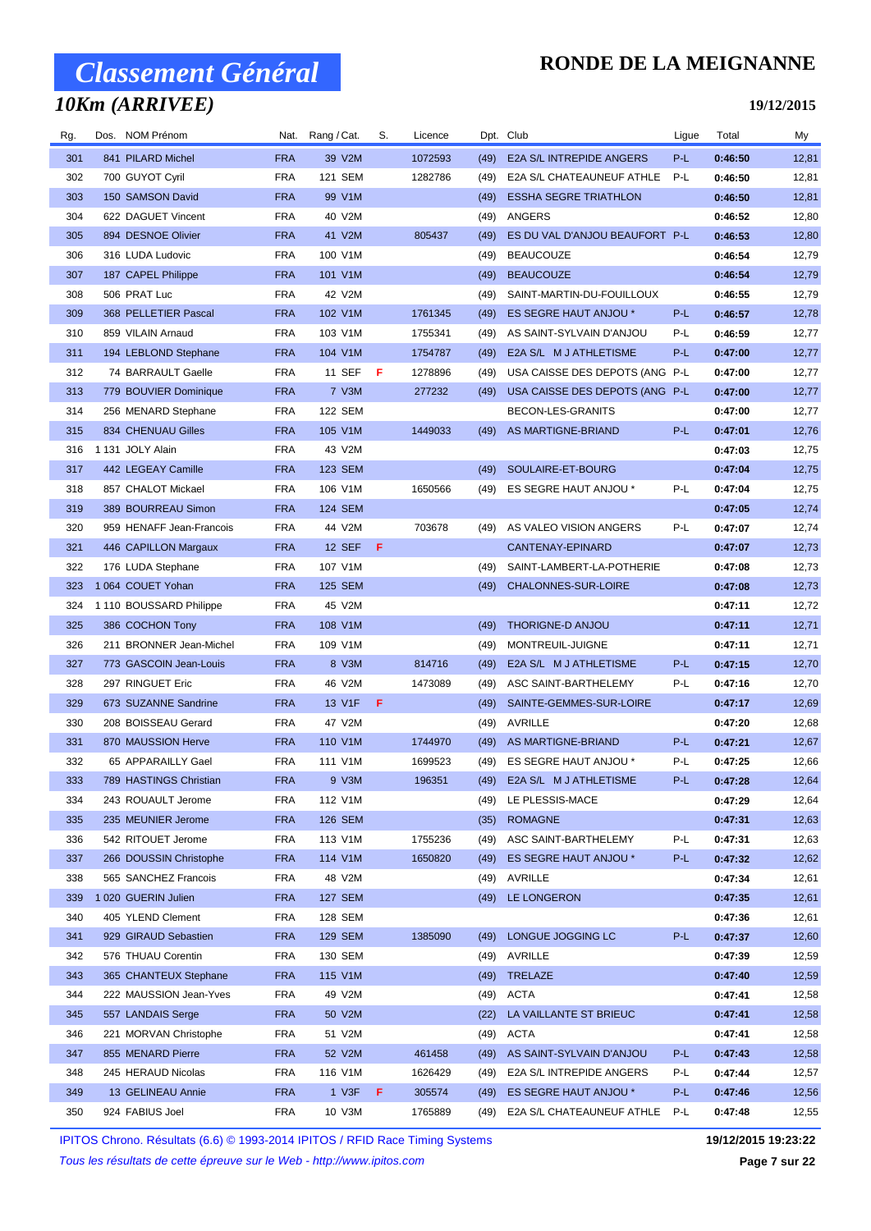## *10Km (ARRIVEE)*

#### **RONDE DE LA MEIGNANNE**

**19/12/2015**

| Rg. | Dos. NOM Prénom          |            | Nat. Rang/Cat. | S.  | Licence |      | Dpt. Club                      | Ligue | Total   | My    |
|-----|--------------------------|------------|----------------|-----|---------|------|--------------------------------|-------|---------|-------|
| 301 | 841 PILARD Michel        | <b>FRA</b> | 39 V2M         |     | 1072593 | (49) | E2A S/L INTREPIDE ANGERS       | P-L   | 0:46:50 | 12,81 |
| 302 | 700 GUYOT Cyril          | <b>FRA</b> | 121 SEM        |     | 1282786 | (49) | E2A S/L CHATEAUNEUF ATHLE      | P-L   | 0:46:50 | 12,81 |
| 303 | 150 SAMSON David         | <b>FRA</b> | 99 V1M         |     |         | (49) | <b>ESSHA SEGRE TRIATHLON</b>   |       | 0:46:50 | 12,81 |
| 304 | 622 DAGUET Vincent       | <b>FRA</b> | 40 V2M         |     |         | (49) | ANGERS                         |       | 0:46:52 | 12,80 |
| 305 | 894 DESNOE Olivier       | <b>FRA</b> | 41 V2M         |     | 805437  | (49) | ES DU VAL D'ANJOU BEAUFORT P-L |       | 0:46:53 | 12,80 |
| 306 | 316 LUDA Ludovic         | <b>FRA</b> | 100 V1M        |     |         | (49) | <b>BEAUCOUZE</b>               |       | 0:46:54 | 12,79 |
| 307 | 187 CAPEL Philippe       | <b>FRA</b> | 101 V1M        |     |         | (49) | <b>BEAUCOUZE</b>               |       | 0:46:54 | 12,79 |
| 308 | 506 PRAT Luc             | <b>FRA</b> | 42 V2M         |     |         | (49) | SAINT-MARTIN-DU-FOUILLOUX      |       | 0:46:55 | 12,79 |
| 309 | 368 PELLETIER Pascal     | <b>FRA</b> | 102 V1M        |     | 1761345 | (49) | ES SEGRE HAUT ANJOU *          | P-L   | 0:46:57 | 12,78 |
| 310 | 859 VILAIN Arnaud        | <b>FRA</b> | 103 V1M        |     | 1755341 | (49) | AS SAINT-SYLVAIN D'ANJOU       | P-L   | 0:46:59 | 12,77 |
| 311 | 194 LEBLOND Stephane     | <b>FRA</b> | 104 V1M        |     | 1754787 | (49) | E2A S/L M J ATHLETISME         | P-L   | 0:47:00 | 12,77 |
| 312 | 74 BARRAULT Gaelle       | <b>FRA</b> | 11 SEF         | - F | 1278896 | (49) | USA CAISSE DES DEPOTS (ANG P-L |       | 0:47:00 | 12,77 |
| 313 | 779 BOUVIER Dominique    | <b>FRA</b> | 7 V3M          |     | 277232  | (49) | USA CAISSE DES DEPOTS (ANG P-L |       | 0:47:00 | 12,77 |
| 314 | 256 MENARD Stephane      | <b>FRA</b> | 122 SEM        |     |         |      | BECON-LES-GRANITS              |       | 0:47:00 | 12,77 |
| 315 | 834 CHENUAU Gilles       | <b>FRA</b> | 105 V1M        |     | 1449033 | (49) | AS MARTIGNE-BRIAND             | P-L   | 0:47:01 | 12,76 |
| 316 | 1 131 JOLY Alain         | <b>FRA</b> | 43 V2M         |     |         |      |                                |       | 0:47:03 | 12,75 |
| 317 | 442 LEGEAY Camille       | <b>FRA</b> | 123 SEM        |     |         | (49) | SOULAIRE-ET-BOURG              |       | 0:47:04 | 12,75 |
| 318 | 857 CHALOT Mickael       | <b>FRA</b> | 106 V1M        |     | 1650566 | (49) | ES SEGRE HAUT ANJOU *          | P-L   | 0:47:04 | 12,75 |
| 319 | 389 BOURREAU Simon       | <b>FRA</b> | 124 SEM        |     |         |      |                                |       | 0:47:05 | 12,74 |
| 320 | 959 HENAFF Jean-Francois | <b>FRA</b> | 44 V2M         |     | 703678  | (49) | AS VALEO VISION ANGERS         | P-L   | 0:47:07 | 12,74 |
| 321 | 446 CAPILLON Margaux     | <b>FRA</b> | <b>12 SEF</b>  | - F |         |      | CANTENAY-EPINARD               |       | 0:47:07 | 12,73 |
| 322 | 176 LUDA Stephane        | <b>FRA</b> | 107 V1M        |     |         | (49) | SAINT-LAMBERT-LA-POTHERIE      |       | 0:47:08 | 12,73 |
| 323 | 1 064 COUET Yohan        | <b>FRA</b> | 125 SEM        |     |         | (49) | CHALONNES-SUR-LOIRE            |       | 0:47:08 | 12,73 |
| 324 | 1 110 BOUSSARD Philippe  | <b>FRA</b> | 45 V2M         |     |         |      |                                |       | 0:47:11 | 12,72 |
| 325 | 386 COCHON Tony          | <b>FRA</b> | 108 V1M        |     |         | (49) | THORIGNE-D ANJOU               |       | 0:47:11 | 12,71 |
| 326 | 211 BRONNER Jean-Michel  | <b>FRA</b> | 109 V1M        |     |         | (49) | MONTREUIL-JUIGNE               |       | 0:47:11 | 12,71 |
| 327 | 773 GASCOIN Jean-Louis   | <b>FRA</b> | 8 V3M          |     | 814716  | (49) | E2A S/L M J ATHLETISME         | P-L   | 0:47:15 | 12,70 |
| 328 | 297 RINGUET Eric         | <b>FRA</b> | 46 V2M         |     | 1473089 | (49) | ASC SAINT-BARTHELEMY           | P-L   | 0:47:16 | 12,70 |
| 329 | 673 SUZANNE Sandrine     | <b>FRA</b> | 13 V1F         | F   |         | (49) | SAINTE-GEMMES-SUR-LOIRE        |       | 0:47:17 | 12,69 |
| 330 | 208 BOISSEAU Gerard      | <b>FRA</b> | 47 V2M         |     |         | (49) | AVRILLE                        |       | 0:47:20 | 12,68 |
| 331 | 870 MAUSSION Herve       | <b>FRA</b> | 110 V1M        |     | 1744970 | (49) | AS MARTIGNE-BRIAND             | P-L   | 0:47:21 | 12,67 |
| 332 | 65 APPARAILLY Gael       | <b>FRA</b> | 111 V1M        |     | 1699523 |      | (49) ES SEGRE HAUT ANJOU *     | P-L   | 0:47:25 | 12,66 |
| 333 | 789 HASTINGS Christian   | <b>FRA</b> | 9 V3M          |     | 196351  |      | (49) E2A S/L M J ATHLETISME    | P-L   | 0:47:28 | 12,64 |
| 334 | 243 ROUAULT Jerome       | <b>FRA</b> | 112 V1M        |     |         | (49) | LE PLESSIS-MACE                |       | 0:47:29 | 12,64 |
| 335 | 235 MEUNIER Jerome       | <b>FRA</b> | 126 SEM        |     |         | (35) | <b>ROMAGNE</b>                 |       | 0:47:31 | 12,63 |
| 336 | 542 RITOUET Jerome       | <b>FRA</b> | 113 V1M        |     | 1755236 | (49) | ASC SAINT-BARTHELEMY           | P-L   | 0:47:31 | 12,63 |
| 337 | 266 DOUSSIN Christophe   | <b>FRA</b> | 114 V1M        |     | 1650820 | (49) | ES SEGRE HAUT ANJOU *          | P-L   | 0:47:32 | 12,62 |
| 338 | 565 SANCHEZ Francois     | <b>FRA</b> | 48 V2M         |     |         | (49) | AVRILLE                        |       | 0:47:34 | 12,61 |
| 339 | 1 020 GUERIN Julien      | <b>FRA</b> | <b>127 SEM</b> |     |         | (49) | LE LONGERON                    |       | 0:47:35 | 12,61 |
| 340 | 405 YLEND Clement        | <b>FRA</b> | 128 SEM        |     |         |      |                                |       | 0:47:36 | 12,61 |
| 341 | 929 GIRAUD Sebastien     | <b>FRA</b> | <b>129 SEM</b> |     | 1385090 | (49) | LONGUE JOGGING LC              | P-L   | 0:47:37 | 12,60 |
| 342 | 576 THUAU Corentin       | <b>FRA</b> | 130 SEM        |     |         | (49) | AVRILLE                        |       | 0:47:39 | 12,59 |
| 343 | 365 CHANTEUX Stephane    | <b>FRA</b> | 115 V1M        |     |         | (49) | <b>TRELAZE</b>                 |       | 0:47:40 | 12,59 |
| 344 | 222 MAUSSION Jean-Yves   | <b>FRA</b> | 49 V2M         |     |         | (49) | ACTA                           |       | 0:47:41 | 12,58 |
| 345 | 557 LANDAIS Serge        | <b>FRA</b> | 50 V2M         |     |         | (22) | LA VAILLANTE ST BRIEUC         |       | 0:47:41 | 12,58 |
| 346 | 221 MORVAN Christophe    | <b>FRA</b> | 51 V2M         |     |         | (49) | ACTA                           |       | 0:47:41 | 12,58 |
| 347 | 855 MENARD Pierre        | <b>FRA</b> | 52 V2M         |     | 461458  | (49) | AS SAINT-SYLVAIN D'ANJOU       | P-L   | 0:47:43 | 12,58 |
| 348 | 245 HERAUD Nicolas       | <b>FRA</b> | 116 V1M        |     | 1626429 | (49) | E2A S/L INTREPIDE ANGERS       | P-L   | 0:47:44 | 12,57 |
| 349 | 13 GELINEAU Annie        | <b>FRA</b> | 1 V3F          | F.  | 305574  | (49) | ES SEGRE HAUT ANJOU *          | P-L   | 0:47:46 | 12,56 |
| 350 | 924 FABIUS Joel          | <b>FRA</b> | 10 V3M         |     | 1765889 | (49) | E2A S/L CHATEAUNEUF ATHLE      | P-L   | 0:47:48 | 12,55 |
|     |                          |            |                |     |         |      |                                |       |         |       |

IPITOS Chrono. Résultats (6.6) © 1993-2014 IPITOS / RFID Race Timing Systems **19/12/2015 19:23:22**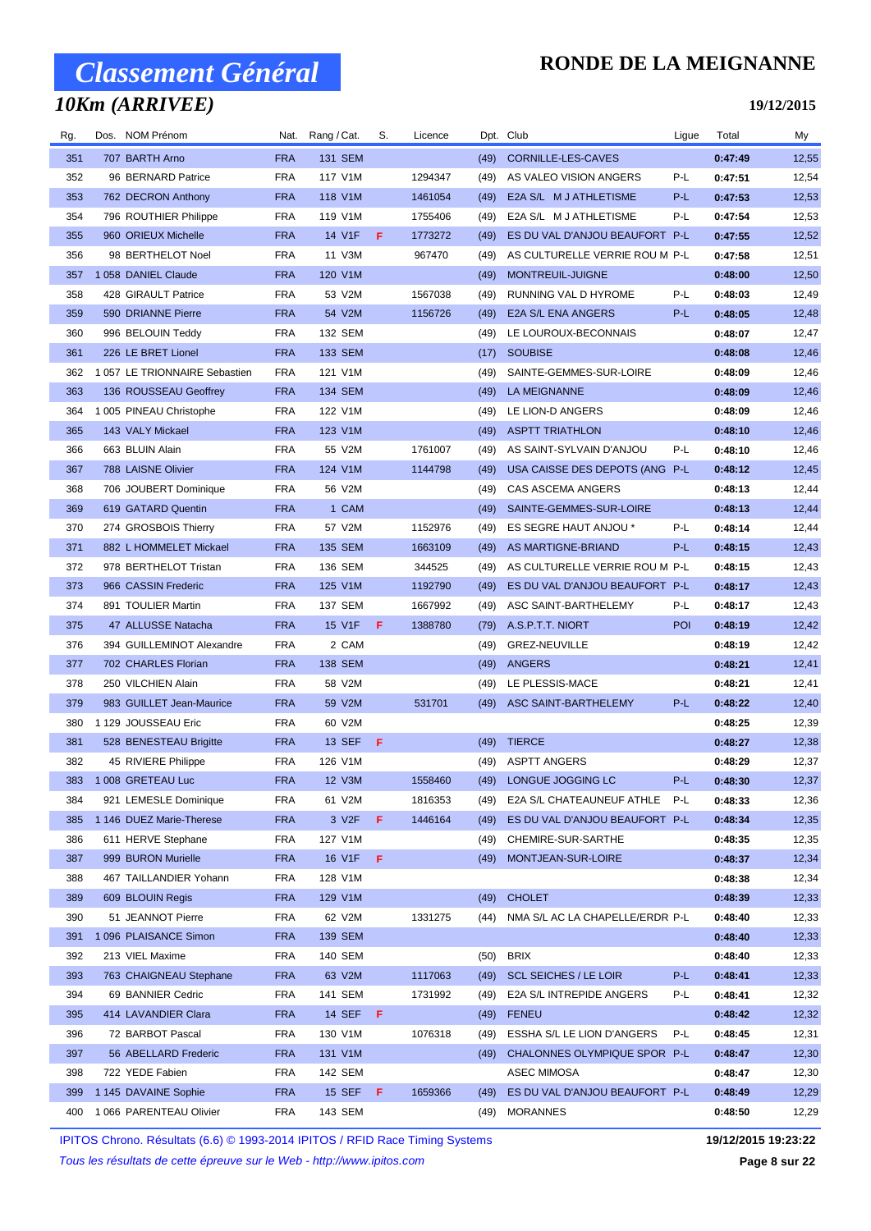## *10Km (ARRIVEE)*

### **RONDE DE LA MEIGNANNE**

**19/12/2015**

| Rg. | Dos. NOM Prénom              | Nat.       | Rang / Cat.        | S.  | Licence | Dpt. Club |                                 | Ligue | Total   | My    |
|-----|------------------------------|------------|--------------------|-----|---------|-----------|---------------------------------|-------|---------|-------|
| 351 | 707 BARTH Arno               | <b>FRA</b> | <b>131 SEM</b>     |     |         | (49)      | CORNILLE-LES-CAVES              |       | 0:47:49 | 12,55 |
| 352 | 96 BERNARD Patrice           | <b>FRA</b> | 117 V1M            |     | 1294347 | (49)      | AS VALEO VISION ANGERS          | P-L   | 0:47:51 | 12,54 |
| 353 | 762 DECRON Anthony           | <b>FRA</b> | 118 V1M            |     | 1461054 | (49)      | E2A S/L M J ATHLETISME          | P-L   | 0:47:53 | 12,53 |
| 354 | 796 ROUTHIER Philippe        | <b>FRA</b> | 119 V1M            |     | 1755406 | (49)      | E2A S/L M J ATHLETISME          | P-L   | 0:47:54 | 12,53 |
| 355 | 960 ORIEUX Michelle          | <b>FRA</b> | 14 V1F             | F   | 1773272 | (49)      | ES DU VAL D'ANJOU BEAUFORT P-L  |       | 0:47:55 | 12,52 |
| 356 | 98 BERTHELOT Noel            | <b>FRA</b> | 11 V3M             |     | 967470  | (49)      | AS CULTURELLE VERRIE ROU M P-L  |       | 0:47:58 | 12,51 |
| 357 | 1058 DANIEL Claude           | <b>FRA</b> | 120 V1M            |     |         | (49)      | MONTREUIL-JUIGNE                |       | 0:48:00 | 12,50 |
| 358 | 428 GIRAULT Patrice          | <b>FRA</b> | 53 V2M             |     | 1567038 | (49)      | RUNNING VAL D HYROME            | P-L   | 0:48:03 | 12,49 |
| 359 | 590 DRIANNE Pierre           | <b>FRA</b> | 54 V2M             |     | 1156726 | (49)      | E2A S/L ENA ANGERS              | P-L   | 0:48:05 | 12,48 |
| 360 | 996 BELOUIN Teddy            | <b>FRA</b> | 132 SEM            |     |         | (49)      | LE LOUROUX-BECONNAIS            |       | 0:48:07 | 12,47 |
| 361 | 226 LE BRET Lionel           | <b>FRA</b> | 133 SEM            |     |         | (17)      | <b>SOUBISE</b>                  |       | 0:48:08 | 12,46 |
| 362 | 1057 LE TRIONNAIRE Sebastien | <b>FRA</b> | 121 V1M            |     |         | (49)      | SAINTE-GEMMES-SUR-LOIRE         |       | 0:48:09 | 12,46 |
| 363 | 136 ROUSSEAU Geoffrey        | <b>FRA</b> | 134 SEM            |     |         | (49)      | LA MEIGNANNE                    |       | 0:48:09 | 12,46 |
| 364 | 1 005 PINEAU Christophe      | <b>FRA</b> | 122 V1M            |     |         | (49)      | LE LION-D ANGERS                |       | 0:48:09 | 12,46 |
| 365 | 143 VALY Mickael             | <b>FRA</b> | 123 V1M            |     |         | (49)      | <b>ASPTT TRIATHLON</b>          |       | 0:48:10 | 12,46 |
| 366 | 663 BLUIN Alain              | <b>FRA</b> | 55 V2M             |     | 1761007 | (49)      | AS SAINT-SYLVAIN D'ANJOU        | P-L   | 0:48:10 | 12,46 |
| 367 | 788 LAISNE Olivier           | <b>FRA</b> | 124 V1M            |     | 1144798 | (49)      | USA CAISSE DES DEPOTS (ANG P-L  |       | 0:48:12 | 12,45 |
| 368 | 706 JOUBERT Dominique        | <b>FRA</b> | 56 V2M             |     |         | (49)      | CAS ASCEMA ANGERS               |       | 0:48:13 | 12,44 |
| 369 | 619 GATARD Quentin           | <b>FRA</b> | 1 CAM              |     |         | (49)      | SAINTE-GEMMES-SUR-LOIRE         |       | 0:48:13 | 12,44 |
| 370 | 274 GROSBOIS Thierry         | <b>FRA</b> | 57 V2M             |     | 1152976 | (49)      | ES SEGRE HAUT ANJOU *           | P-L   | 0:48:14 | 12,44 |
| 371 | 882 L HOMMELET Mickael       | <b>FRA</b> | 135 SEM            |     | 1663109 | (49)      | AS MARTIGNE-BRIAND              | P-L   | 0:48:15 | 12,43 |
| 372 | 978 BERTHELOT Tristan        | <b>FRA</b> | 136 SEM            |     | 344525  | (49)      | AS CULTURELLE VERRIE ROU M P-L  |       | 0:48:15 | 12,43 |
| 373 | 966 CASSIN Frederic          | <b>FRA</b> | 125 V1M            |     | 1192790 | (49)      | ES DU VAL D'ANJOU BEAUFORT P-L  |       | 0:48:17 | 12,43 |
| 374 | 891 TOULIER Martin           | <b>FRA</b> | 137 SEM            |     | 1667992 | (49)      | ASC SAINT-BARTHELEMY            | P-L   | 0:48:17 | 12,43 |
| 375 | 47 ALLUSSE Natacha           | <b>FRA</b> | 15 V1F             | F   | 1388780 | (79)      | A.S.P.T.T. NIORT                | POI   | 0:48:19 | 12,42 |
| 376 | 394 GUILLEMINOT Alexandre    | <b>FRA</b> | 2 CAM              |     |         | (49)      | <b>GREZ-NEUVILLE</b>            |       | 0:48:19 | 12,42 |
| 377 | 702 CHARLES Florian          | <b>FRA</b> | 138 SEM            |     |         | (49)      | ANGERS                          |       | 0:48:21 | 12,41 |
| 378 | 250 VILCHIEN Alain           | <b>FRA</b> | 58 V2M             |     |         | (49)      | LE PLESSIS-MACE                 |       | 0:48:21 | 12,41 |
| 379 | 983 GUILLET Jean-Maurice     | <b>FRA</b> | 59 V2M             |     | 531701  | (49)      | ASC SAINT-BARTHELEMY            | P-L   | 0:48:22 | 12,40 |
| 380 | 1 129 JOUSSEAU Eric          | <b>FRA</b> | 60 V2M             |     |         |           |                                 |       | 0:48:25 | 12,39 |
| 381 | 528 BENESTEAU Brigitte       | <b>FRA</b> | <b>13 SEF</b>      | F   |         | (49)      | <b>TIERCE</b>                   |       | 0:48:27 | 12,38 |
| 382 | 45 RIVIERE Philippe          | <b>FRA</b> | 126 V1M            |     |         |           | (49) ASPTT ANGERS               |       | 0:48:29 | 12,37 |
|     | 383 1 008 GRETEAU Luc        | <b>FRA</b> | 12 V3M             |     | 1558460 |           | (49) LONGUE JOGGING LC          | P-L   | 0:48:30 | 12,37 |
| 384 | 921 LEMESLE Dominique        | <b>FRA</b> | 61 V2M             |     | 1816353 | (49)      | E2A S/L CHATEAUNEUF ATHLE P-L   |       | 0:48:33 | 12,36 |
| 385 | 1 146 DUEZ Marie-Therese     | <b>FRA</b> | 3 V <sub>2</sub> F | F   | 1446164 | (49)      | ES DU VAL D'ANJOU BEAUFORT P-L  |       | 0:48:34 | 12,35 |
| 386 | 611 HERVE Stephane           | <b>FRA</b> | 127 V1M            |     |         | (49)      | CHEMIRE-SUR-SARTHE              |       | 0:48:35 | 12,35 |
| 387 | 999 BURON Murielle           | <b>FRA</b> | 16 V1F             | F   |         | (49)      | MONTJEAN-SUR-LOIRE              |       | 0:48:37 | 12,34 |
| 388 | 467 TAILLANDIER Yohann       | <b>FRA</b> | 128 V1M            |     |         |           |                                 |       | 0:48:38 | 12,34 |
| 389 | 609 BLOUIN Regis             | <b>FRA</b> | 129 V1M            |     |         | (49)      | <b>CHOLET</b>                   |       | 0:48:39 | 12,33 |
| 390 | 51 JEANNOT Pierre            | <b>FRA</b> | 62 V2M             |     | 1331275 | (44)      | NMA S/L AC LA CHAPELLE/ERDR P-L |       | 0:48:40 | 12,33 |
| 391 | 1 096 PLAISANCE Simon        | <b>FRA</b> | 139 SEM            |     |         |           |                                 |       | 0:48:40 | 12,33 |
| 392 | 213 VIEL Maxime              | <b>FRA</b> | 140 SEM            |     |         | (50)      | <b>BRIX</b>                     |       | 0:48:40 | 12,33 |
| 393 | 763 CHAIGNEAU Stephane       | <b>FRA</b> | 63 V2M             |     | 1117063 | (49)      | <b>SCL SEICHES / LE LOIR</b>    | P-L   | 0:48:41 | 12,33 |
| 394 | 69 BANNIER Cedric            | <b>FRA</b> | 141 SEM            |     | 1731992 | (49)      | E2A S/L INTREPIDE ANGERS        | P-L   | 0:48:41 | 12,32 |
| 395 | 414 LAVANDIER Clara          | <b>FRA</b> | 14 SEF             | - F |         | (49)      | <b>FENEU</b>                    |       | 0:48:42 | 12,32 |
| 396 | 72 BARBOT Pascal             | <b>FRA</b> | 130 V1M            |     | 1076318 | (49)      | ESSHA S/L LE LION D'ANGERS      | P-L   | 0:48:45 | 12,31 |
| 397 | 56 ABELLARD Frederic         | <b>FRA</b> | 131 V1M            |     |         | (49)      | CHALONNES OLYMPIQUE SPOR P-L    |       | 0:48:47 | 12,30 |
| 398 | 722 YEDE Fabien              | <b>FRA</b> | 142 SEM            |     |         |           | <b>ASEC MIMOSA</b>              |       | 0:48:47 | 12,30 |
| 399 | 1 145 DAVAINE Sophie         | <b>FRA</b> | 15 SEF             | -F  | 1659366 | (49)      | ES DU VAL D'ANJOU BEAUFORT P-L  |       | 0:48:49 | 12,29 |
| 400 | 1 066 PARENTEAU Olivier      | <b>FRA</b> | 143 SEM            |     |         | (49)      | <b>MORANNES</b>                 |       | 0:48:50 | 12,29 |

IPITOS Chrono. Résultats (6.6) © 1993-2014 IPITOS / RFID Race Timing Systems **19/12/2015 19:23:22**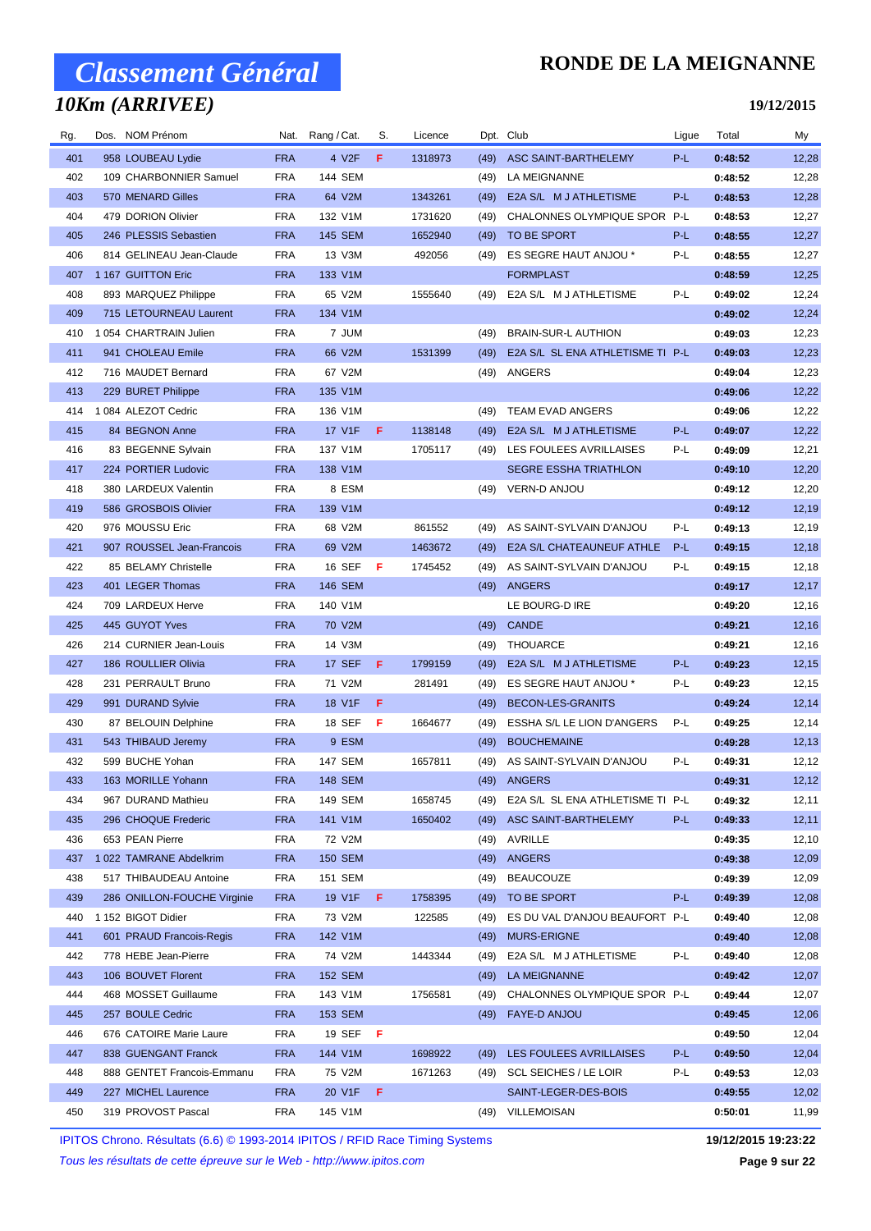## *10Km (ARRIVEE)*

### **RONDE DE LA MEIGNANNE**

**19/12/2015**

| Rg. | Dos. NOM Prénom             | Nat.       | Rang / Cat.     | S. | Licence | Dpt. Club |                                   | Ligue | Total   | My    |
|-----|-----------------------------|------------|-----------------|----|---------|-----------|-----------------------------------|-------|---------|-------|
| 401 | 958 LOUBEAU Lydie           | <b>FRA</b> | 4 V2F           | F  | 1318973 | (49)      | ASC SAINT-BARTHELEMY              | P-L   | 0:48:52 | 12,28 |
| 402 | 109 CHARBONNIER Samuel      | <b>FRA</b> | 144 SEM         |    |         | (49)      | <b>LA MEIGNANNE</b>               |       | 0:48:52 | 12,28 |
| 403 | 570 MENARD Gilles           | <b>FRA</b> | 64 V2M          |    | 1343261 | (49)      | E2A S/L M J ATHLETISME            | P-L   | 0:48:53 | 12,28 |
| 404 | 479 DORION Olivier          | <b>FRA</b> | 132 V1M         |    | 1731620 | (49)      | CHALONNES OLYMPIQUE SPOR P-L      |       | 0:48:53 | 12,27 |
| 405 | 246 PLESSIS Sebastien       | <b>FRA</b> | 145 SEM         |    | 1652940 | (49)      | TO BE SPORT                       | P-L   | 0:48:55 | 12,27 |
| 406 | 814 GELINEAU Jean-Claude    | <b>FRA</b> | 13 V3M          |    | 492056  | (49)      | ES SEGRE HAUT ANJOU *             | P-L   | 0:48:55 | 12,27 |
| 407 | 1 167 GUITTON Eric          | <b>FRA</b> | 133 V1M         |    |         |           | <b>FORMPLAST</b>                  |       | 0:48:59 | 12,25 |
| 408 | 893 MARQUEZ Philippe        | <b>FRA</b> | 65 V2M          |    | 1555640 | (49)      | E2A S/L M J ATHLETISME            | P-L   | 0:49:02 | 12,24 |
| 409 | 715 LETOURNEAU Laurent      | <b>FRA</b> | 134 V1M         |    |         |           |                                   |       | 0:49:02 | 12,24 |
| 410 | 1 054 CHARTRAIN Julien      | <b>FRA</b> | 7 JUM           |    |         | (49)      | <b>BRAIN-SUR-L AUTHION</b>        |       | 0:49:03 | 12,23 |
| 411 | 941 CHOLEAU Emile           | <b>FRA</b> | 66 V2M          |    | 1531399 | (49)      | E2A S/L SL ENA ATHLETISME TI P-L  |       | 0:49:03 | 12,23 |
| 412 | 716 MAUDET Bernard          | <b>FRA</b> | 67 V2M          |    |         | (49)      | ANGERS                            |       | 0:49:04 | 12,23 |
| 413 | 229 BURET Philippe          | <b>FRA</b> | 135 V1M         |    |         |           |                                   |       | 0:49:06 | 12,22 |
| 414 | 1 084 ALEZOT Cedric         | <b>FRA</b> | 136 V1M         |    |         | (49)      | TEAM EVAD ANGERS                  |       | 0:49:06 | 12,22 |
| 415 | 84 BEGNON Anne              | <b>FRA</b> | 17 V1F          | F  | 1138148 | (49)      | E2A S/L M J ATHLETISME            | P-L   | 0:49:07 | 12,22 |
| 416 | 83 BEGENNE Sylvain          | <b>FRA</b> | 137 V1M         |    | 1705117 | (49)      | LES FOULEES AVRILLAISES           | P-L   | 0:49:09 | 12,21 |
| 417 | 224 PORTIER Ludovic         | <b>FRA</b> | 138 V1M         |    |         |           | <b>SEGRE ESSHA TRIATHLON</b>      |       | 0:49:10 | 12,20 |
| 418 | 380 LARDEUX Valentin        | <b>FRA</b> | 8 ESM           |    |         |           | (49) VERN-D ANJOU                 |       | 0:49:12 | 12,20 |
| 419 | 586 GROSBOIS Olivier        | <b>FRA</b> | 139 V1M         |    |         |           |                                   |       | 0:49:12 | 12,19 |
| 420 | 976 MOUSSU Eric             | <b>FRA</b> | 68 V2M          |    | 861552  | (49)      | AS SAINT-SYLVAIN D'ANJOU          | P-L   | 0:49:13 | 12,19 |
| 421 | 907 ROUSSEL Jean-Francois   | <b>FRA</b> | 69 V2M          |    | 1463672 | (49)      | E2A S/L CHATEAUNEUF ATHLE         | P-L   | 0:49:15 | 12,18 |
| 422 | 85 BELAMY Christelle        | <b>FRA</b> | 16 SEF          | -F | 1745452 | (49)      | AS SAINT-SYLVAIN D'ANJOU          | P-L   | 0:49:15 | 12,18 |
| 423 | 401 LEGER Thomas            | <b>FRA</b> | <b>146 SEM</b>  |    |         | (49)      | ANGERS                            |       | 0:49:17 | 12,17 |
| 424 | 709 LARDEUX Herve           | <b>FRA</b> | 140 V1M         |    |         |           | LE BOURG-D IRE                    |       | 0:49:20 | 12,16 |
| 425 | 445 GUYOT Yves              | <b>FRA</b> | 70 V2M          |    |         | (49)      | <b>CANDE</b>                      |       | 0:49:21 | 12,16 |
| 426 | 214 CURNIER Jean-Louis      | <b>FRA</b> | 14 V3M          |    |         | (49)      | THOUARCE                          |       | 0:49:21 | 12,16 |
| 427 | 186 ROULLIER Olivia         | <b>FRA</b> | 17 SEF          | F  | 1799159 | (49)      | E2A S/L M J ATHLETISME            | P-L   | 0:49:23 | 12,15 |
| 428 | 231 PERRAULT Bruno          | <b>FRA</b> | 71 V2M          |    | 281491  | (49)      | ES SEGRE HAUT ANJOU *             | P-L   | 0:49:23 | 12,15 |
| 429 | 991 DURAND Sylvie           | <b>FRA</b> | 18 V1F          | F  |         | (49)      | BECON-LES-GRANITS                 |       | 0:49:24 | 12,14 |
| 430 | 87 BELOUIN Delphine         | <b>FRA</b> | 18 SEF          | F  | 1664677 | (49)      | ESSHA S/L LE LION D'ANGERS        | P-L   | 0:49:25 | 12,14 |
| 431 | 543 THIBAUD Jeremy          | <b>FRA</b> | 9 ESM           |    |         | (49)      | <b>BOUCHEMAINE</b>                |       | 0:49:28 | 12,13 |
| 432 | 599 BUCHE Yohan             | <b>FRA</b> | <b>147 SEM</b>  |    | 1657811 | (49)      | AS SAINT-SYLVAIN D'ANJOU          | P-L   | 0:49:31 | 12,12 |
| 433 | 163 MORILLE Yohann          | <b>FRA</b> | <b>148 SEM</b>  |    |         |           | (49) ANGERS                       |       | 0:49:31 | 12,12 |
| 434 | 967 DURAND Mathieu          | <b>FRA</b> | 149 SEM         |    | 1658745 | (49)      | E2A S/L SL ENA ATHLETISME TI P-L  |       | 0:49:32 | 12,11 |
| 435 | 296 CHOQUE Frederic         | <b>FRA</b> | 141 V1M         |    | 1650402 | (49)      | ASC SAINT-BARTHELEMY              | P-L   | 0:49:33 | 12,11 |
| 436 | 653 PEAN Pierre             | <b>FRA</b> | 72 V2M          |    |         |           | (49) AVRILLE                      |       | 0:49:35 | 12,10 |
| 437 | 1 022 TAMRANE Abdelkrim     | <b>FRA</b> | 150 SEM         |    |         | (49)      | ANGERS                            |       | 0:49:38 | 12,09 |
| 438 | 517 THIBAUDEAU Antoine      | <b>FRA</b> | 151 SEM         |    |         | (49)      | <b>BEAUCOUZE</b>                  |       | 0:49:39 | 12,09 |
| 439 | 286 ONILLON-FOUCHE Virginie | <b>FRA</b> | 19 V1F <b>F</b> |    | 1758395 |           | (49) TO BE SPORT                  | P-L   | 0:49:39 | 12,08 |
| 440 | 1 152 BIGOT Didier          | <b>FRA</b> | 73 V2M          |    | 122585  | (49)      | ES DU VAL D'ANJOU BEAUFORT P-L    |       | 0:49:40 | 12,08 |
| 441 | 601 PRAUD Francois-Regis    | <b>FRA</b> | 142 V1M         |    |         | (49)      | <b>MURS-ERIGNE</b>                |       | 0:49:40 | 12,08 |
| 442 | 778 HEBE Jean-Pierre        | <b>FRA</b> | 74 V2M          |    | 1443344 | (49)      | E2A S/L M J ATHLETISME            | P-L   | 0:49:40 | 12,08 |
| 443 | 106 BOUVET Florent          | <b>FRA</b> | 152 SEM         |    |         | (49)      | LA MEIGNANNE                      |       | 0:49:42 | 12,07 |
| 444 | 468 MOSSET Guillaume        | <b>FRA</b> | 143 V1M         |    | 1756581 |           | (49) CHALONNES OLYMPIQUE SPOR P-L |       | 0:49:44 | 12,07 |
| 445 | 257 BOULE Cedric            | <b>FRA</b> | 153 SEM         |    |         |           | (49) FAYE-D ANJOU                 |       | 0:49:45 | 12,06 |
| 446 | 676 CATOIRE Marie Laure     | <b>FRA</b> | 19 SEF <b>F</b> |    |         |           |                                   |       | 0:49:50 | 12,04 |
| 447 | 838 GUENGANT Franck         | <b>FRA</b> | 144 V1M         |    | 1698922 | (49)      | LES FOULEES AVRILLAISES           | P-L   | 0:49:50 | 12,04 |
| 448 | 888 GENTET Francois-Emmanu  | <b>FRA</b> | 75 V2M          |    | 1671263 | (49)      | <b>SCL SEICHES / LE LOIR</b>      | P-L   | 0:49:53 | 12,03 |
| 449 | 227 MICHEL Laurence         | <b>FRA</b> | 20 V1F <b>F</b> |    |         |           | SAINT-LEGER-DES-BOIS              |       | 0:49:55 | 12,02 |
| 450 | 319 PROVOST Pascal          | <b>FRA</b> | 145 V1M         |    |         | (49)      | VILLEMOISAN                       |       | 0:50:01 | 11,99 |
|     |                             |            |                 |    |         |           |                                   |       |         |       |

IPITOS Chrono. Résultats (6.6) © 1993-2014 IPITOS / RFID Race Timing Systems **19/12/2015 19:23:22**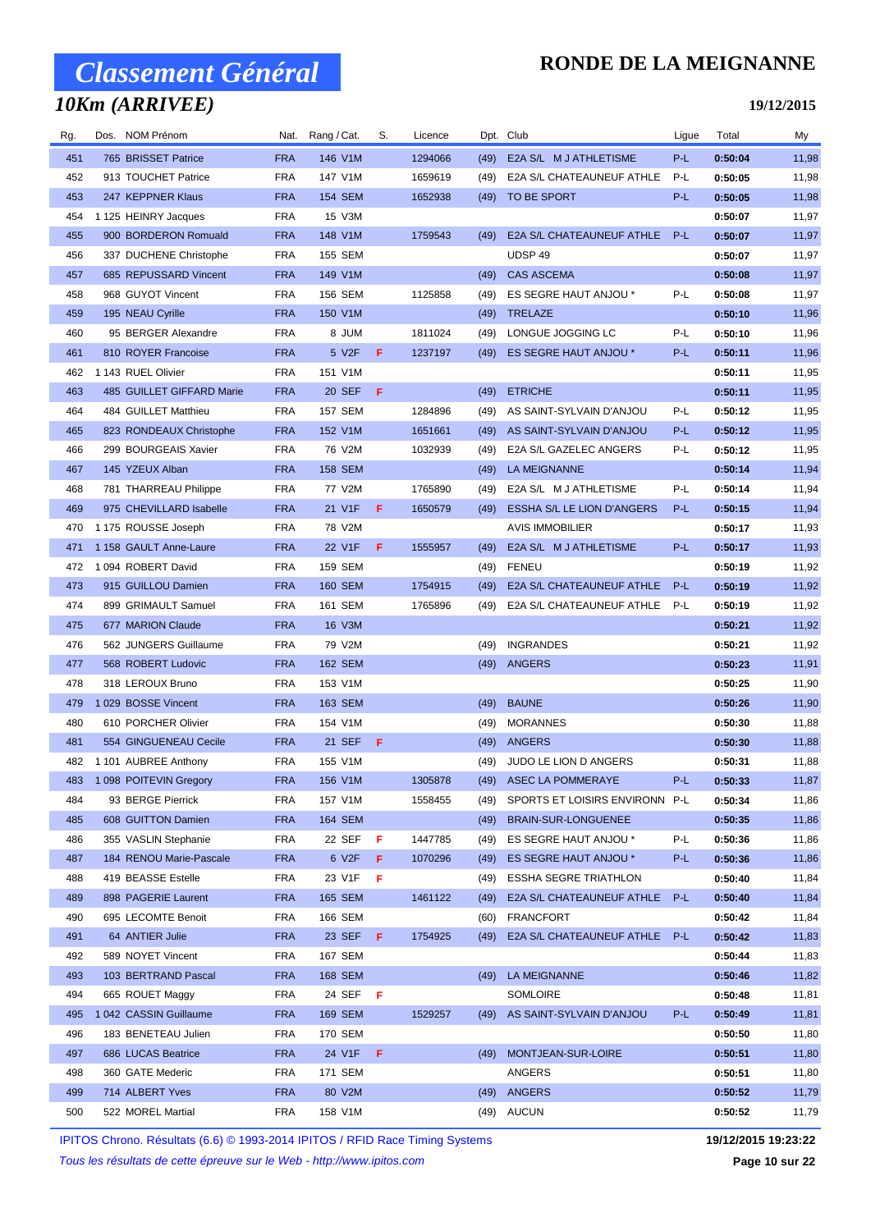### *10Km (ARRIVEE)*

### **RONDE DE LA MEIGNANNE**

#### **19/12/2015**

| Rg. | Dos. NOM Prénom            | Nat.       | Rang / Cat.    | S.  | Licence |      | Dpt. Club                      | Ligue | Total   | My    |
|-----|----------------------------|------------|----------------|-----|---------|------|--------------------------------|-------|---------|-------|
| 451 | 765 BRISSET Patrice        | <b>FRA</b> | 146 V1M        |     | 1294066 | (49) | E2A S/L M J ATHLETISME         | P-L   | 0:50:04 | 11,98 |
| 452 | 913 TOUCHET Patrice        | <b>FRA</b> | 147 V1M        |     | 1659619 | (49) | E2A S/L CHATEAUNEUF ATHLE      | P-L   | 0:50:05 | 11,98 |
| 453 | 247 KEPPNER Klaus          | <b>FRA</b> | <b>154 SEM</b> |     | 1652938 | (49) | TO BE SPORT                    | P-L   | 0:50:05 | 11,98 |
| 454 | 1 125 HEINRY Jacques       | FRA        | 15 V3M         |     |         |      |                                |       | 0:50:07 | 11,97 |
| 455 | 900 BORDERON Romuald       | <b>FRA</b> | 148 V1M        |     | 1759543 | (49) | E2A S/L CHATEAUNEUF ATHLE      | $P-L$ | 0:50:07 | 11,97 |
| 456 | 337 DUCHENE Christophe     | <b>FRA</b> | 155 SEM        |     |         |      | UDSP 49                        |       | 0:50:07 | 11,97 |
| 457 | 685 REPUSSARD Vincent      | <b>FRA</b> | 149 V1M        |     |         | (49) | <b>CAS ASCEMA</b>              |       | 0:50:08 | 11,97 |
| 458 | 968 GUYOT Vincent          | <b>FRA</b> | 156 SEM        |     | 1125858 | (49) | ES SEGRE HAUT ANJOU *          | P-L   | 0:50:08 | 11,97 |
| 459 | 195 NEAU Cyrille           | <b>FRA</b> | 150 V1M        |     |         | (49) | TRELAZE                        |       | 0:50:10 | 11,96 |
| 460 | 95 BERGER Alexandre        | <b>FRA</b> | <b>MUL8</b>    |     | 1811024 | (49) | LONGUE JOGGING LC              | P-L   | 0:50:10 | 11,96 |
| 461 | 810 ROYER Francoise        | <b>FRA</b> | 5 V2F          | F   | 1237197 | (49) | ES SEGRE HAUT ANJOU *          | P-L   | 0:50:11 | 11,96 |
| 462 | 1 143 RUEL Olivier         | <b>FRA</b> | 151 V1M        |     |         |      |                                |       | 0:50:11 | 11,95 |
| 463 | 485 GUILLET GIFFARD Marie  | <b>FRA</b> | 20 SEF         | -F  |         | (49) | <b>ETRICHE</b>                 |       | 0:50:11 | 11,95 |
| 464 | 484 GUILLET Matthieu       | FRA        | <b>157 SEM</b> |     | 1284896 | (49) | AS SAINT-SYLVAIN D'ANJOU       | P-L   | 0:50:12 | 11,95 |
| 465 | 823 RONDEAUX Christophe    | <b>FRA</b> | 152 V1M        |     | 1651661 | (49) | AS SAINT-SYLVAIN D'ANJOU       | P-L   | 0:50:12 | 11,95 |
| 466 | 299 BOURGEAIS Xavier       | <b>FRA</b> | 76 V2M         |     | 1032939 | (49) | E2A S/L GAZELEC ANGERS         | P-L   | 0:50:12 | 11,95 |
| 467 | 145 YZEUX Alban            | <b>FRA</b> | 158 SEM        |     |         | (49) | LA MEIGNANNE                   |       | 0:50:14 | 11,94 |
| 468 | 781 THARREAU Philippe      | <b>FRA</b> | 77 V2M         |     | 1765890 | (49) | E2A S/L M J ATHLETISME         | P-L   | 0:50:14 | 11,94 |
| 469 | 975 CHEVILLARD Isabelle    | <b>FRA</b> | 21 V1F         | F   | 1650579 | (49) | ESSHA S/L LE LION D'ANGERS     | P-L   | 0:50:15 | 11,94 |
| 470 | 1 175 ROUSSE Joseph        | FRA        | 78 V2M         |     |         |      | AVIS IMMOBILIER                |       | 0:50:17 | 11,93 |
| 471 | 1 158 GAULT Anne-Laure     | <b>FRA</b> | 22 V1F         | F   | 1555957 | (49) | E2A S/L M J ATHLETISME         | P-L   | 0:50:17 | 11,93 |
| 472 | 1094 ROBERT David          | <b>FRA</b> | 159 SEM        |     |         | (49) | <b>FENEU</b>                   |       | 0:50:19 | 11,92 |
| 473 | 915 GUILLOU Damien         | <b>FRA</b> | <b>160 SEM</b> |     | 1754915 | (49) | E2A S/L CHATEAUNEUF ATHLE      | $P-L$ | 0:50:19 | 11,92 |
| 474 | 899 GRIMAULT Samuel        | <b>FRA</b> | 161 SEM        |     | 1765896 | (49) | E2A S/L CHATEAUNEUF ATHLE      | P-L   | 0:50:19 | 11,92 |
| 475 | 677 MARION Claude          | <b>FRA</b> | 16 V3M         |     |         |      |                                |       | 0:50:21 | 11,92 |
| 476 | 562 JUNGERS Guillaume      | <b>FRA</b> | 79 V2M         |     |         | (49) | <b>INGRANDES</b>               |       | 0:50:21 | 11,92 |
| 477 | 568 ROBERT Ludovic         | <b>FRA</b> | <b>162 SEM</b> |     |         |      | (49) ANGERS                    |       | 0:50:23 | 11,91 |
| 478 | 318 LEROUX Bruno           | FRA        | 153 V1M        |     |         |      |                                |       | 0:50:25 | 11,90 |
| 479 | 1 029 BOSSE Vincent        | <b>FRA</b> | 163 SEM        |     |         | (49) | <b>BAUNE</b>                   |       | 0:50:26 | 11,90 |
| 480 | 610 PORCHER Olivier        | <b>FRA</b> | 154 V1M        |     |         | (49) | <b>MORANNES</b>                |       | 0:50:30 | 11,88 |
| 481 | 554 GINGUENEAU Cecile      | <b>FRA</b> | 21 SEF         | F   |         | (49) | ANGERS                         |       | 0:50:30 | 11,88 |
| 482 | 1 101 AUBREE Anthony       | <b>FRA</b> | 155 V1M        |     |         | (49) | JUDO LE LION D ANGERS          |       | 0:50:31 | 11,88 |
|     | 483 1 098 POITEVIN Gregory | FRA        | 156 V1M        |     | 1305878 |      | (49) ASEC LA POMMERAYE         | P-L   | 0:50:33 | 11,87 |
| 484 | 93 BERGE Pierrick          | <b>FRA</b> | 157 V1M        |     | 1558455 | (49) | SPORTS ET LOISIRS ENVIRONN P-L |       | 0:50:34 | 11,86 |
| 485 | 608 GUITTON Damien         | <b>FRA</b> | 164 SEM        |     |         | (49) | BRAIN-SUR-LONGUENEE            |       | 0:50:35 | 11,86 |
| 486 | 355 VASLIN Stephanie       | <b>FRA</b> | 22 SEF         | F   | 1447785 | (49) | ES SEGRE HAUT ANJOU *          | P-L   | 0:50:36 | 11,86 |
| 487 | 184 RENOU Marie-Pascale    | FRA        | 6 V2F          | F   | 1070296 | (49) | ES SEGRE HAUT ANJOU *          | P-L   | 0:50:36 | 11,86 |
| 488 | 419 BEASSE Estelle         | <b>FRA</b> | 23 V1F         | F   |         | (49) | <b>ESSHA SEGRE TRIATHLON</b>   |       | 0:50:40 | 11,84 |
| 489 | 898 PAGERIE Laurent        | <b>FRA</b> | 165 SEM        |     | 1461122 | (49) | E2A S/L CHATEAUNEUF ATHLE      | P-L   | 0:50:40 | 11,84 |
| 490 | 695 LECOMTE Benoit         | <b>FRA</b> | 166 SEM        |     |         | (60) | <b>FRANCFORT</b>               |       | 0:50:42 | 11,84 |
| 491 | 64 ANTIER Julie            | <b>FRA</b> | 23 SEF F       |     | 1754925 | (49) | E2A S/L CHATEAUNEUF ATHLE      | P-L   | 0:50:42 | 11,83 |
| 492 | 589 NOYET Vincent          | <b>FRA</b> | 167 SEM        |     |         |      |                                |       | 0:50:44 | 11,83 |
| 493 | 103 BERTRAND Pascal        | <b>FRA</b> | 168 SEM        |     |         | (49) | LA MEIGNANNE                   |       | 0:50:46 | 11,82 |
| 494 | 665 ROUET Maggy            | <b>FRA</b> | 24 SEF         | - F |         |      | SOMLOIRE                       |       | 0:50:48 | 11,81 |
| 495 | 1042 CASSIN Guillaume      | <b>FRA</b> | 169 SEM        |     | 1529257 |      | (49) AS SAINT-SYLVAIN D'ANJOU  | P-L   | 0:50:49 | 11,81 |
| 496 | 183 BENETEAU Julien        | <b>FRA</b> | 170 SEM        |     |         |      |                                |       | 0:50:50 | 11,80 |
| 497 | 686 LUCAS Beatrice         | <b>FRA</b> | 24 V1F         | F   |         | (49) | MONTJEAN-SUR-LOIRE             |       | 0:50:51 | 11,80 |
| 498 | 360 GATE Mederic           | <b>FRA</b> | 171 SEM        |     |         |      | ANGERS                         |       | 0:50:51 | 11,80 |
| 499 | 714 ALBERT Yves            | <b>FRA</b> | 80 V2M         |     |         | (49) | ANGERS                         |       | 0:50:52 | 11,79 |
| 500 | 522 MOREL Martial          | FRA        | 158 V1M        |     |         |      | (49) AUCUN                     |       | 0:50:52 | 11,79 |

IPITOS Chrono. Résultats (6.6) © 1993-2014 IPITOS / RFID Race Timing Systems **19/12/2015 19:23:22**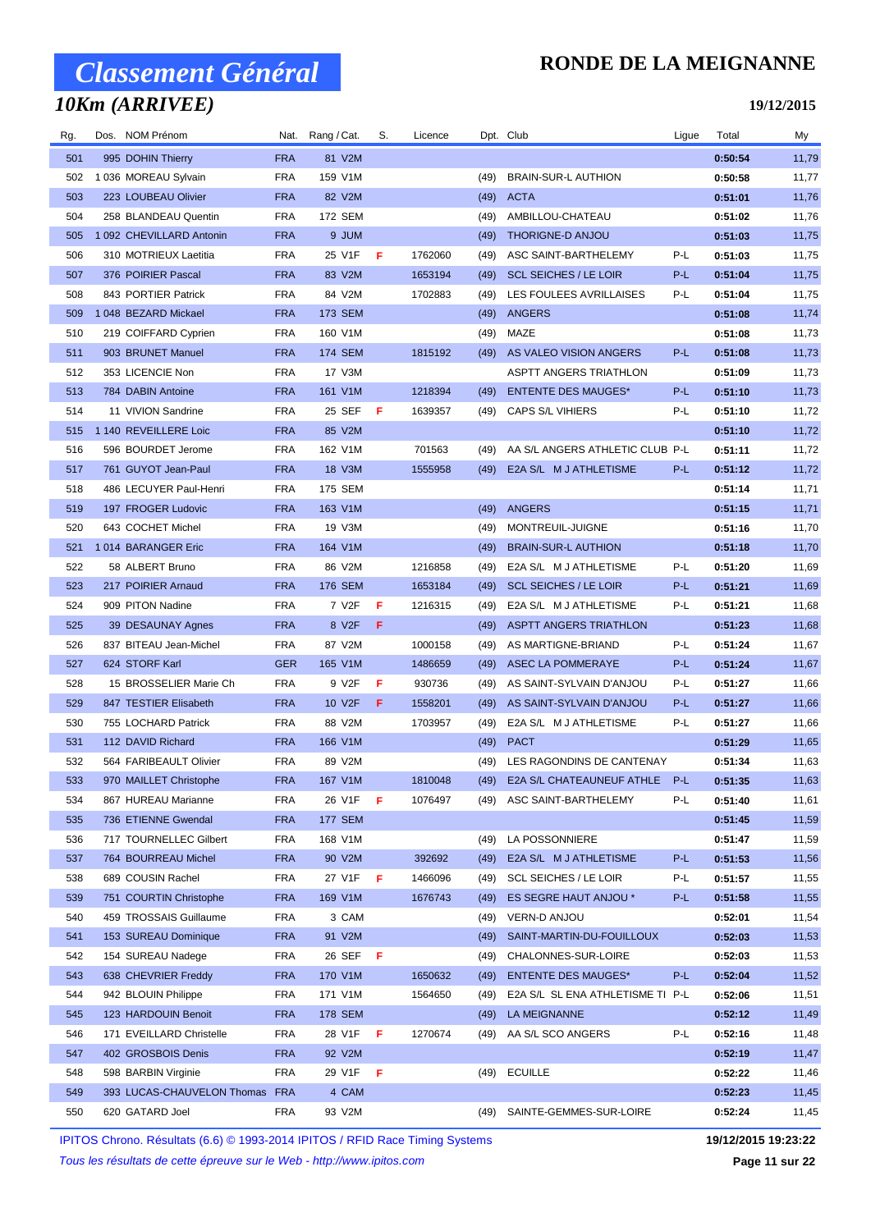## *10Km (ARRIVEE)*

### **RONDE DE LA MEIGNANNE**

**19/12/2015**

| Rg. | Dos. NOM Prénom            |            | Nat. Rang/Cat.     | S.  | Licence |      | Dpt. Club                        | Ligue | Total   | My    |
|-----|----------------------------|------------|--------------------|-----|---------|------|----------------------------------|-------|---------|-------|
| 501 | 995 DOHIN Thierry          | <b>FRA</b> | 81 V2M             |     |         |      |                                  |       | 0:50:54 | 11,79 |
| 502 | 1 036 MOREAU Sylvain       | <b>FRA</b> | 159 V1M            |     |         | (49) | <b>BRAIN-SUR-L AUTHION</b>       |       | 0:50:58 | 11,77 |
| 503 | 223 LOUBEAU Olivier        | <b>FRA</b> | 82 V2M             |     |         | (49) | <b>ACTA</b>                      |       | 0:51:01 | 11,76 |
| 504 | 258 BLANDEAU Quentin       | <b>FRA</b> | 172 SEM            |     |         | (49) | AMBILLOU-CHATEAU                 |       | 0:51:02 | 11,76 |
| 505 | 1 092 CHEVILLARD Antonin   | <b>FRA</b> | 9 JUM              |     |         | (49) | THORIGNE-D ANJOU                 |       | 0:51:03 | 11,75 |
| 506 | 310 MOTRIEUX Laetitia      | <b>FRA</b> | 25 V1F             | F   | 1762060 | (49) | ASC SAINT-BARTHELEMY             | P-L   | 0:51:03 | 11,75 |
| 507 | 376 POIRIER Pascal         | <b>FRA</b> | 83 V2M             |     | 1653194 | (49) | <b>SCL SEICHES / LE LOIR</b>     | P-L   | 0:51:04 | 11,75 |
| 508 | 843 PORTIER Patrick        | <b>FRA</b> | 84 V2M             |     | 1702883 | (49) | LES FOULEES AVRILLAISES          | P-L   | 0:51:04 | 11,75 |
| 509 | 1 048 BEZARD Mickael       | <b>FRA</b> | 173 SEM            |     |         | (49) | ANGERS                           |       | 0:51:08 | 11,74 |
| 510 | 219 COIFFARD Cyprien       | <b>FRA</b> | 160 V1M            |     |         | (49) | MAZE                             |       | 0:51:08 | 11,73 |
| 511 | 903 BRUNET Manuel          | <b>FRA</b> | 174 SEM            |     | 1815192 | (49) | AS VALEO VISION ANGERS           | P-L   | 0:51:08 | 11,73 |
| 512 | 353 LICENCIE Non           | <b>FRA</b> | 17 V3M             |     |         |      | ASPTT ANGERS TRIATHLON           |       | 0:51:09 | 11,73 |
| 513 | 784 DABIN Antoine          | <b>FRA</b> | 161 V1M            |     | 1218394 | (49) | <b>ENTENTE DES MAUGES*</b>       | P-L   | 0:51:10 | 11,73 |
| 514 | 11 VIVION Sandrine         | <b>FRA</b> | 25 SEF             | - F | 1639357 | (49) | CAPS S/L VIHIERS                 | P-L   | 0:51:10 | 11,72 |
| 515 | 1 140 REVEILLERE Loic      | <b>FRA</b> | 85 V2M             |     |         |      |                                  |       | 0:51:10 | 11,72 |
| 516 | 596 BOURDET Jerome         | <b>FRA</b> | 162 V1M            |     | 701563  | (49) | AA S/L ANGERS ATHLETIC CLUB P-L  |       | 0:51:11 | 11,72 |
| 517 | 761 GUYOT Jean-Paul        | <b>FRA</b> | 18 V3M             |     | 1555958 | (49) | E2A S/L M J ATHLETISME           | P-L   | 0:51:12 | 11,72 |
| 518 | 486 LECUYER Paul-Henri     | <b>FRA</b> | 175 SEM            |     |         |      |                                  |       | 0:51:14 | 11,71 |
| 519 | 197 FROGER Ludovic         | <b>FRA</b> | 163 V1M            |     |         | (49) | ANGERS                           |       | 0:51:15 | 11,71 |
| 520 | 643 COCHET Michel          | <b>FRA</b> | 19 V3M             |     |         | (49) | MONTREUIL-JUIGNE                 |       | 0:51:16 | 11,70 |
| 521 | 1014 BARANGER Eric         | <b>FRA</b> | 164 V1M            |     |         | (49) | <b>BRAIN-SUR-L AUTHION</b>       |       | 0:51:18 | 11,70 |
| 522 | 58 ALBERT Bruno            | <b>FRA</b> | 86 V2M             |     | 1216858 | (49) | E2A S/L M J ATHLETISME           | P-L   | 0:51:20 | 11,69 |
| 523 | 217 POIRIER Arnaud         | <b>FRA</b> | <b>176 SEM</b>     |     | 1653184 | (49) | <b>SCL SEICHES / LE LOIR</b>     | P-L   | 0:51:21 | 11,69 |
| 524 | 909 PITON Nadine           | <b>FRA</b> | 7 V <sub>2</sub> F | F   | 1216315 | (49) | E2A S/L M J ATHLETISME           | P-L   | 0:51:21 | 11,68 |
| 525 | 39 DESAUNAY Agnes          | <b>FRA</b> | 8 V2F              | F   |         | (49) | <b>ASPTT ANGERS TRIATHLON</b>    |       | 0:51:23 | 11,68 |
| 526 | 837 BITEAU Jean-Michel     | <b>FRA</b> | 87 V2M             |     | 1000158 | (49) | AS MARTIGNE-BRIAND               | P-L   | 0:51:24 | 11,67 |
| 527 | 624 STORF Karl             | <b>GER</b> | 165 V1M            |     | 1486659 | (49) | <b>ASEC LA POMMERAYE</b>         | P-L   | 0:51:24 | 11,67 |
| 528 | 15 BROSSELIER Marie Ch     | <b>FRA</b> | 9 V2F              | F   | 930736  | (49) | AS SAINT-SYLVAIN D'ANJOU         | P-L   | 0:51:27 | 11,66 |
| 529 | 847 TESTIER Elisabeth      | <b>FRA</b> | 10 V2F             | F   | 1558201 | (49) | AS SAINT-SYLVAIN D'ANJOU         | P-L   | 0:51:27 | 11,66 |
| 530 | 755 LOCHARD Patrick        | <b>FRA</b> | 88 V2M             |     | 1703957 | (49) | E2A S/L M J ATHLETISME           | P-L   | 0:51:27 | 11,66 |
| 531 | 112 DAVID Richard          | <b>FRA</b> | 166 V1M            |     |         | (49) | <b>PACT</b>                      |       | 0:51:29 | 11,65 |
| 532 | 564 FARIBEAULT Olivier     | <b>FRA</b> | 89 V2M             |     |         |      | (49) LES RAGONDINS DE CANTENAY   |       | 0:51:34 | 11,63 |
| 533 | 970 MAILLET Christophe     | <b>FRA</b> | 167 V1M            |     | 1810048 | (49) | E2A S/L CHATEAUNEUF ATHLE        | P-L   | 0:51:35 | 11,63 |
| 534 | 867 HUREAU Marianne        | <b>FRA</b> | 26 V1F             | F   | 1076497 | (49) | ASC SAINT-BARTHELEMY             | P-L   | 0:51:40 | 11,61 |
| 535 | 736 ETIENNE Gwendal        | <b>FRA</b> | <b>177 SEM</b>     |     |         |      |                                  |       | 0:51:45 | 11,59 |
| 536 | 717 TOURNELLEC Gilbert     | <b>FRA</b> | 168 V1M            |     |         | (49) | LA POSSONNIERE                   |       | 0:51:47 | 11,59 |
| 537 | 764 BOURREAU Michel        | <b>FRA</b> | 90 V2M             |     | 392692  | (49) | E2A S/L M J ATHLETISME           | P-L   | 0:51:53 | 11,56 |
| 538 | 689 COUSIN Rachel          | <b>FRA</b> | 27 V1F             | - F | 1466096 | (49) | <b>SCL SEICHES / LE LOIR</b>     | P-L   | 0:51:57 | 11,55 |
| 539 | 751 COURTIN Christophe     | <b>FRA</b> | 169 V1M            |     | 1676743 | (49) | ES SEGRE HAUT ANJOU *            | P-L   | 0:51:58 | 11,55 |
| 540 | 459 TROSSAIS Guillaume     | <b>FRA</b> | 3 CAM              |     |         | (49) | <b>VERN-D ANJOU</b>              |       | 0:52:01 | 11,54 |
| 541 | 153 SUREAU Dominique       | <b>FRA</b> | 91 V2M             |     |         | (49) | SAINT-MARTIN-DU-FOUILLOUX        |       | 0:52:03 | 11,53 |
| 542 | 154 SUREAU Nadege          | <b>FRA</b> | 26 SEF             | -F  |         | (49) | CHALONNES-SUR-LOIRE              |       | 0:52:03 | 11,53 |
| 543 | 638 CHEVRIER Freddy        | <b>FRA</b> | 170 V1M            |     | 1650632 | (49) | <b>ENTENTE DES MAUGES*</b>       | P-L   | 0:52:04 | 11,52 |
| 544 | 942 BLOUIN Philippe        | <b>FRA</b> | 171 V1M            |     | 1564650 | (49) | E2A S/L SL ENA ATHLETISME TI P-L |       | 0:52:06 | 11,51 |
| 545 | 123 HARDOUIN Benoit        | <b>FRA</b> | 178 SEM            |     |         | (49) | LA MEIGNANNE                     |       | 0:52:12 | 11,49 |
| 546 | 171 EVEILLARD Christelle   | <b>FRA</b> | 28 V1F             | F   | 1270674 | (49) | AA S/L SCO ANGERS                | P-L   | 0:52:16 | 11,48 |
| 547 | 402 GROSBOIS Denis         | <b>FRA</b> | 92 V2M             |     |         |      |                                  |       | 0:52:19 | 11,47 |
| 548 | 598 BARBIN Virginie        | <b>FRA</b> | 29 V1F             | - F |         | (49) | <b>ECUILLE</b>                   |       | 0:52:22 | 11,46 |
| 549 | 393 LUCAS-CHAUVELON Thomas | <b>FRA</b> | 4 CAM              |     |         |      |                                  |       | 0:52:23 | 11,45 |
| 550 | 620 GATARD Joel            | <b>FRA</b> | 93 V2M             |     |         |      | (49) SAINTE-GEMMES-SUR-LOIRE     |       | 0:52:24 | 11,45 |

IPITOS Chrono. Résultats (6.6) © 1993-2014 IPITOS / RFID Race Timing Systems **19/12/2015 19:23:22**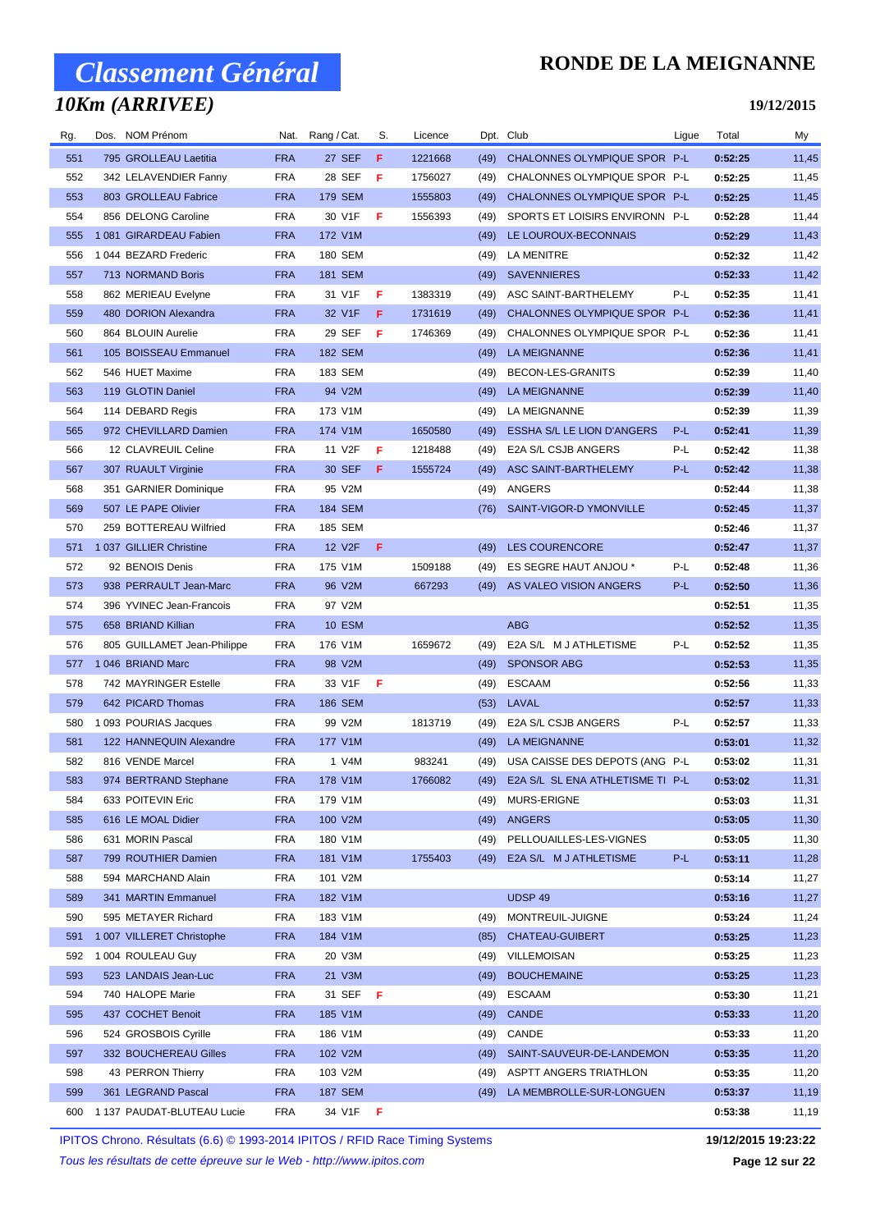## *10Km (ARRIVEE)*

### **RONDE DE LA MEIGNANNE**

**19/12/2015**

| Rg.        | Dos. NOM Prénom                          |                   | Nat. Rang / Cat.          | S. | Licence |              | Dpt. Club                              | Ligue | Total              | My             |
|------------|------------------------------------------|-------------------|---------------------------|----|---------|--------------|----------------------------------------|-------|--------------------|----------------|
| 551        | 795 GROLLEAU Laetitia                    | <b>FRA</b>        | 27 SEF                    | F  | 1221668 | (49)         | CHALONNES OLYMPIQUE SPOR P-L           |       | 0:52:25            | 11,45          |
| 552        | 342 LELAVENDIER Fanny                    | <b>FRA</b>        | 28 SEF                    | F  | 1756027 | (49)         | CHALONNES OLYMPIQUE SPOR P-L           |       | 0:52:25            | 11,45          |
| 553        | 803 GROLLEAU Fabrice                     | <b>FRA</b>        | 179 SEM                   |    | 1555803 | (49)         | CHALONNES OLYMPIQUE SPOR P-L           |       | 0:52:25            | 11,45          |
| 554        | 856 DELONG Caroline                      | <b>FRA</b>        | 30 V1F                    | F  | 1556393 | (49)         | SPORTS ET LOISIRS ENVIRONN P-L         |       | 0:52:28            | 11,44          |
| 555        | 1081 GIRARDEAU Fabien                    | <b>FRA</b>        | 172 V1M                   |    |         | (49)         | LE LOUROUX-BECONNAIS                   |       | 0:52:29            | 11,43          |
| 556        | 1 044 BEZARD Frederic                    | <b>FRA</b>        | 180 SEM                   |    |         | (49)         | LA MENITRE                             |       | 0:52:32            | 11,42          |
| 557        | 713 NORMAND Boris                        | <b>FRA</b>        | <b>181 SEM</b>            |    |         | (49)         | <b>SAVENNIERES</b>                     |       | 0:52:33            | 11,42          |
| 558        | 862 MERIEAU Evelyne                      | FRA               | 31 V1F                    | F  | 1383319 | (49)         | ASC SAINT-BARTHELEMY                   | P-L   | 0:52:35            | 11,41          |
| 559        | 480 DORION Alexandra                     | <b>FRA</b>        | 32 V1F                    | F  | 1731619 | (49)         | CHALONNES OLYMPIQUE SPOR P-L           |       | 0:52:36            | 11,41          |
| 560        | 864 BLOUIN Aurelie                       | <b>FRA</b>        | 29 SEF                    | F  | 1746369 | (49)         | CHALONNES OLYMPIQUE SPOR P-L           |       | 0:52:36            | 11,41          |
| 561        | 105 BOISSEAU Emmanuel                    | <b>FRA</b>        | 182 SEM                   |    |         | (49)         | <b>LA MEIGNANNE</b>                    |       | 0:52:36            | 11,41          |
| 562        | 546 HUET Maxime                          | <b>FRA</b>        | 183 SEM                   |    |         | (49)         | BECON-LES-GRANITS                      |       | 0:52:39            | 11,40          |
| 563        | 119 GLOTIN Daniel                        | <b>FRA</b>        | 94 V2M                    |    |         | (49)         | <b>LA MEIGNANNE</b>                    |       | 0:52:39            | 11,40          |
| 564        | 114 DEBARD Regis                         | <b>FRA</b>        | 173 V1M                   |    |         | (49)         | LA MEIGNANNE                           |       | 0:52:39            | 11,39          |
| 565        | 972 CHEVILLARD Damien                    | <b>FRA</b>        | 174 V1M                   |    | 1650580 | (49)         | ESSHA S/L LE LION D'ANGERS             | P-L   | 0:52:41            | 11,39          |
| 566        | 12 CLAVREUIL Celine                      | <b>FRA</b>        | 11 V2F                    | F  | 1218488 | (49)         | E2A S/L CSJB ANGERS                    | P-L   | 0:52:42            | 11,38          |
| 567        | 307 RUAULT Virginie                      | <b>FRA</b>        | 30 SEF                    | F  | 1555724 | (49)         | ASC SAINT-BARTHELEMY                   | P-L   | 0:52:42            | 11,38          |
| 568        | 351 GARNIER Dominique                    | <b>FRA</b>        | 95 V2M                    |    |         | (49)         | ANGERS                                 |       | 0:52:44            | 11,38          |
| 569        | 507 LE PAPE Olivier                      | <b>FRA</b>        | 184 SEM                   |    |         | (76)         | SAINT-VIGOR-D YMONVILLE                |       | 0:52:45            | 11,37          |
| 570        | 259 BOTTEREAU Wilfried                   | <b>FRA</b>        | 185 SEM                   |    |         |              |                                        |       | 0:52:46            | 11,37          |
| 571        | 1 037 GILLIER Christine                  | <b>FRA</b>        | 12 V <sub>2</sub> F       | F  |         | (49)         | LES COURENCORE                         |       | 0:52:47            | 11,37          |
| 572        | 92 BENOIS Denis                          | <b>FRA</b>        | 175 V1M                   |    | 1509188 | (49)         | ES SEGRE HAUT ANJOU *                  | P-L   | 0:52:48            | 11,36          |
| 573        | 938 PERRAULT Jean-Marc                   | <b>FRA</b>        | 96 V2M                    |    | 667293  |              | (49) AS VALEO VISION ANGERS            | P-L   | 0:52:50            | 11,36          |
| 574        | 396 YVINEC Jean-Francois                 | <b>FRA</b>        | 97 V2M                    |    |         |              |                                        |       | 0:52:51            | 11,35          |
| 575        | 658 BRIAND Killian                       | <b>FRA</b>        | <b>10 ESM</b>             |    |         |              | <b>ABG</b>                             |       | 0:52:52            | 11,35          |
| 576        | 805 GUILLAMET Jean-Philippe              | <b>FRA</b>        | 176 V1M                   |    | 1659672 | (49)         | E2A S/L M J ATHLETISME                 | P-L   | 0:52:52            | 11,35          |
| 577        | 1 046 BRIAND Marc                        | <b>FRA</b>        | 98 V2M                    |    |         | (49)         | <b>SPONSOR ABG</b>                     |       | 0:52:53            | 11,35          |
| 578        | 742 MAYRINGER Estelle                    | <b>FRA</b>        | 33 V1F                    | F  |         | (49)         | <b>ESCAAM</b>                          |       | 0:52:56            | 11,33          |
| 579        | 642 PICARD Thomas                        | <b>FRA</b>        | 186 SEM                   |    |         | (53)         | LAVAL                                  |       | 0:52:57            | 11,33          |
| 580        | 1 093 POURIAS Jacques                    | <b>FRA</b>        | 99 V2M                    |    | 1813719 | (49)         | E2A S/L CSJB ANGERS                    | P-L   | 0:52:57            | 11,33          |
| 581        | 122 HANNEQUIN Alexandre                  | <b>FRA</b>        | 177 V1M                   |    |         | (49)         | LA MEIGNANNE                           |       | 0:53:01            | 11,32          |
| 582        | 816 VENDE Marcel                         | <b>FRA</b>        | 1 V4M                     |    | 983241  | (49)         | USA CAISSE DES DEPOTS (ANG P-L         |       | 0:53:02            | 11,31          |
| 583        | 974 BERTRAND Stephane                    | <b>FRA</b>        | 178 V1M                   |    | 1766082 |              | (49) E2A S/L SL ENA ATHLETISME TI P-L  |       | 0:53:02            | 11,31          |
| 584        | 633 POITEVIN Eric                        | <b>FRA</b>        | 179 V1M                   |    |         | (49)         | MURS-ERIGNE                            |       | 0:53:03            | 11,31          |
| 585        | 616 LE MOAL Didier                       | <b>FRA</b>        | 100 V2M                   |    |         | (49)         | ANGERS                                 |       | 0:53:05            | 11,30          |
| 586        | 631 MORIN Pascal                         | <b>FRA</b>        | 180 V1M                   |    |         | (49)         | PELLOUAILLES-LES-VIGNES                |       | 0:53:05            | 11,30          |
| 587        | 799 ROUTHIER Damien                      | <b>FRA</b>        | 181 V1M                   |    | 1755403 | (49)         | E2A S/L M J ATHLETISME                 | P-L   | 0:53:11            | 11,28          |
| 588        | 594 MARCHAND Alain                       | <b>FRA</b>        | 101 V2M                   |    |         |              |                                        |       | 0:53:14            | 11,27          |
| 589        | 341 MARTIN Emmanuel                      | <b>FRA</b>        | 182 V1M                   |    |         |              | UDSP 49                                |       | 0:53:16            | 11,27          |
| 590        | 595 METAYER Richard                      | <b>FRA</b>        | 183 V1M<br>184 V1M        |    |         | (49)         | MONTREUIL-JUIGNE<br>CHATEAU-GUIBERT    |       | 0:53:24            | 11,24          |
| 591        | 1 007 VILLERET Christophe                | <b>FRA</b>        |                           |    |         | (85)         |                                        |       | 0:53:25            | 11,23          |
| 592        | 1004 ROULEAU Guy<br>523 LANDAIS Jean-Luc | FRA<br><b>FRA</b> | 20 V3M                    |    |         |              | (49) VILLEMOISAN<br><b>BOUCHEMAINE</b> |       | 0:53:25            | 11,23          |
| 593<br>594 | 740 HALOPE Marie                         | <b>FRA</b>        | 21 V3M<br>31 SEF <b>F</b> |    |         | (49)<br>(49) | ESCAAM                                 |       | 0:53:25<br>0:53:30 | 11,23<br>11,21 |
| 595        | 437 COCHET Benoit                        | <b>FRA</b>        | 185 V1M                   |    |         | (49)         | <b>CANDE</b>                           |       | 0:53:33            | 11,20          |
| 596        | 524 GROSBOIS Cyrille                     | FRA               | 186 V1M                   |    |         | (49)         | CANDE                                  |       | 0:53:33            | 11,20          |
| 597        | 332 BOUCHEREAU Gilles                    | <b>FRA</b>        | 102 V2M                   |    |         | (49)         | SAINT-SAUVEUR-DE-LANDEMON              |       | 0:53:35            | 11,20          |
| 598        | 43 PERRON Thierry                        | <b>FRA</b>        | 103 V2M                   |    |         | (49)         | ASPTT ANGERS TRIATHLON                 |       | 0:53:35            | 11,20          |
| 599        | 361 LEGRAND Pascal                       | <b>FRA</b>        | 187 SEM                   |    |         | (49)         | LA MEMBROLLE-SUR-LONGUEN               |       | 0:53:37            | 11,19          |
| 600        | 1 137 PAUDAT-BLUTEAU Lucie               | <b>FRA</b>        | 34 V1F                    | -F |         |              |                                        |       | 0:53:38            | 11,19          |

IPITOS Chrono. Résultats (6.6) © 1993-2014 IPITOS / RFID Race Timing Systems **19/12/2015 19:23:22**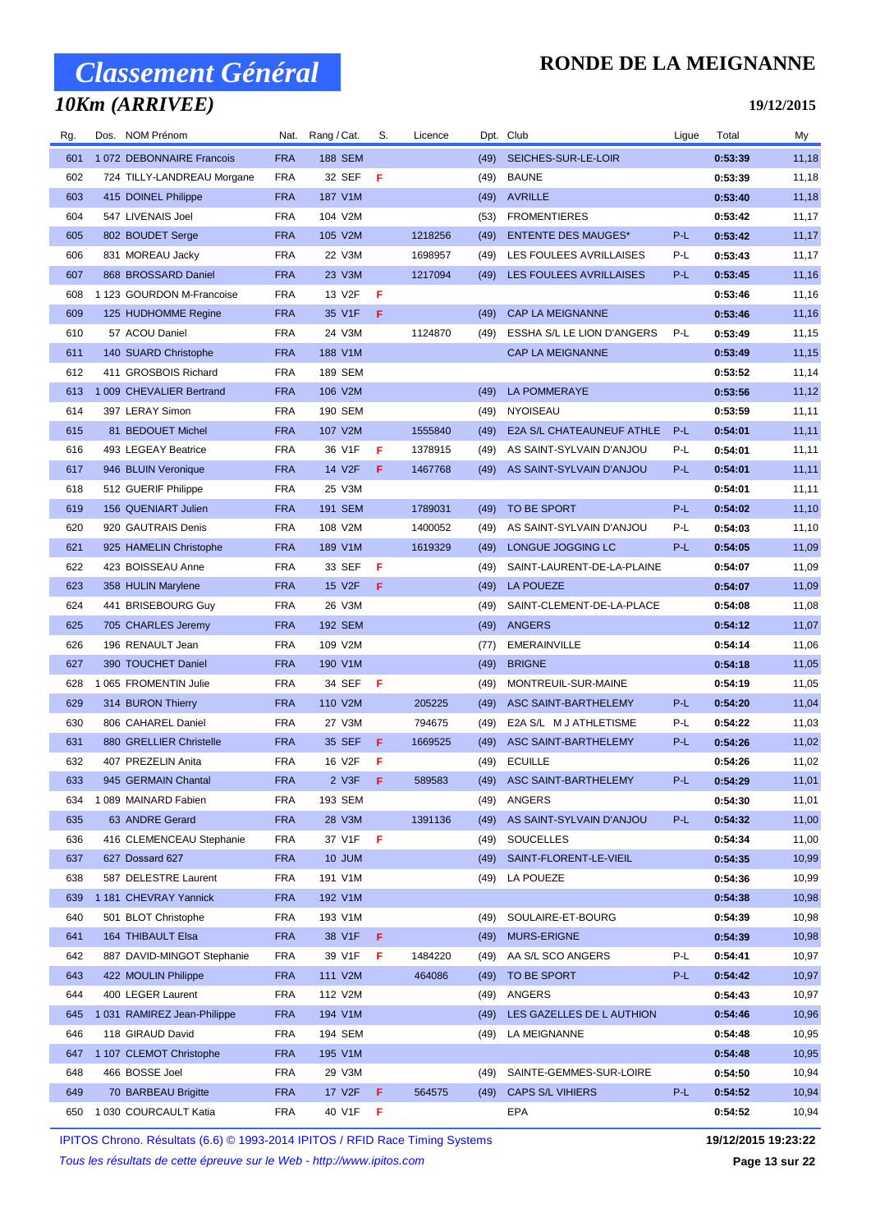## *10Km (ARRIVEE)*

#### **RONDE DE LA MEIGNANNE**

**19/12/2015**

| Rg. | Dos. NOM Prénom            | Nat.       | Rang / Cat.    | S.  | Licence |      | Dpt. Club                  | Ligue | Total   | My     |
|-----|----------------------------|------------|----------------|-----|---------|------|----------------------------|-------|---------|--------|
| 601 | 1072 DEBONNAIRE Francois   | <b>FRA</b> | <b>188 SEM</b> |     |         | (49) | SEICHES-SUR-LE-LOIR        |       | 0:53:39 | 11,18  |
| 602 | 724 TILLY-LANDREAU Morgane | FRA        | 32 SEF         | Æ   |         | (49) | <b>BAUNE</b>               |       | 0:53:39 | 11,18  |
| 603 | 415 DOINEL Philippe        | <b>FRA</b> | 187 V1M        |     |         | (49) | <b>AVRILLE</b>             |       | 0:53:40 | 11,18  |
| 604 | 547 LIVENAIS Joel          | FRA        | 104 V2M        |     |         | (53) | <b>FROMENTIERES</b>        |       | 0:53:42 | 11,17  |
| 605 | 802 BOUDET Serge           | <b>FRA</b> | 105 V2M        |     | 1218256 | (49) | <b>ENTENTE DES MAUGES*</b> | P-L   | 0:53:42 | 11,17  |
| 606 | 831 MOREAU Jacky           | <b>FRA</b> | 22 V3M         |     | 1698957 | (49) | LES FOULEES AVRILLAISES    | P-L   | 0:53:43 | 11,17  |
| 607 | 868 BROSSARD Daniel        | <b>FRA</b> | 23 V3M         |     | 1217094 | (49) | LES FOULEES AVRILLAISES    | P-L   | 0:53:45 | 11,16  |
| 608 | 1 123 GOURDON M-Francoise  | <b>FRA</b> | 13 V2F         | F   |         |      |                            |       | 0:53:46 | 11,16  |
| 609 | 125 HUDHOMME Regine        | <b>FRA</b> | 35 V1F         | F   |         | (49) | <b>CAP LA MEIGNANNE</b>    |       | 0:53:46 | 11,16  |
| 610 | 57 ACOU Daniel             | <b>FRA</b> | 24 V3M         |     | 1124870 | (49) | ESSHA S/L LE LION D'ANGERS | P-L   | 0:53:49 | 11,15  |
| 611 | 140 SUARD Christophe       | <b>FRA</b> | 188 V1M        |     |         |      | <b>CAP LA MEIGNANNE</b>    |       | 0:53:49 | 11,15  |
| 612 | 411 GROSBOIS Richard       | FRA        | 189 SEM        |     |         |      |                            |       | 0:53:52 | 11,14  |
| 613 | 1 009 CHEVALIER Bertrand   | <b>FRA</b> | 106 V2M        |     |         | (49) | <b>LA POMMERAYE</b>        |       | 0:53:56 | 11,12  |
| 614 | 397 LERAY Simon            | FRA        | 190 SEM        |     |         | (49) | <b>NYOISEAU</b>            |       | 0:53:59 | 11,11  |
| 615 | 81 BEDOUET Michel          | <b>FRA</b> | 107 V2M        |     | 1555840 | (49) | E2A S/L CHATEAUNEUF ATHLE  | P-L   | 0:54:01 | 11, 11 |
| 616 | 493 LEGEAY Beatrice        | FRA        | 36 V1F         | F   | 1378915 | (49) | AS SAINT-SYLVAIN D'ANJOU   | P-L   | 0:54:01 | 11,11  |
| 617 | 946 BLUIN Veronique        | <b>FRA</b> | 14 V2F         | F   | 1467768 | (49) | AS SAINT-SYLVAIN D'ANJOU   | P-L   | 0:54:01 | 11, 11 |
| 618 | 512 GUERIF Philippe        | <b>FRA</b> | 25 V3M         |     |         |      |                            |       | 0:54:01 | 11,11  |
| 619 | 156 QUENIART Julien        | <b>FRA</b> | 191 SEM        |     | 1789031 | (49) | TO BE SPORT                | P-L   | 0:54:02 | 11,10  |
| 620 | 920 GAUTRAIS Denis         | FRA        | 108 V2M        |     | 1400052 | (49) | AS SAINT-SYLVAIN D'ANJOU   | P-L   | 0:54:03 | 11,10  |
| 621 | 925 HAMELIN Christophe     | <b>FRA</b> | 189 V1M        |     | 1619329 | (49) | LONGUE JOGGING LC          | P-L   | 0:54:05 | 11,09  |
| 622 | 423 BOISSEAU Anne          | <b>FRA</b> | 33 SEF         | F   |         | (49) | SAINT-LAURENT-DE-LA-PLAINE |       | 0:54:07 | 11,09  |
| 623 | 358 HULIN Marylene         | <b>FRA</b> | 15 V2F         | F   |         | (49) | <b>LA POUEZE</b>           |       | 0:54:07 | 11,09  |
| 624 | 441 BRISEBOURG Guy         | <b>FRA</b> | 26 V3M         |     |         | (49) | SAINT-CLEMENT-DE-LA-PLACE  |       | 0:54:08 | 11,08  |
| 625 | 705 CHARLES Jeremy         | <b>FRA</b> | <b>192 SEM</b> |     |         | (49) | <b>ANGERS</b>              |       | 0:54:12 | 11,07  |
| 626 | 196 RENAULT Jean           | FRA        | 109 V2M        |     |         | (77) | EMERAINVILLE               |       | 0:54:14 | 11,06  |
| 627 | 390 TOUCHET Daniel         | <b>FRA</b> | 190 V1M        |     |         | (49) | <b>BRIGNE</b>              |       | 0:54:18 | 11,05  |
| 628 | 1 065 FROMENTIN Julie      | FRA        | 34 SEF         | - F |         | (49) | MONTREUIL-SUR-MAINE        |       | 0:54:19 | 11,05  |
| 629 | 314 BURON Thierry          | <b>FRA</b> | 110 V2M        |     | 205225  | (49) | ASC SAINT-BARTHELEMY       | P-L   | 0:54:20 | 11,04  |
| 630 | 806 CAHAREL Daniel         | FRA        | 27 V3M         |     | 794675  | (49) | E2A S/L M J ATHLETISME     | P-L   | 0:54:22 | 11,03  |
| 631 | 880 GRELLIER Christelle    | <b>FRA</b> | 35 SEF         | F   | 1669525 | (49) | ASC SAINT-BARTHELEMY       | P-L   | 0:54:26 | 11,02  |
| 632 | 407 PREZELIN Anita         | FRA        | 16 V2F         | F   |         | (49) | <b>ECUILLE</b>             |       | 0:54:26 | 11,02  |
| 633 | 945 GERMAIN Chantal        | <b>FRA</b> | 2 V3F          | F   | 589583  |      | (49) ASC SAINT-BARTHELEMY  | $P-L$ | 0:54:29 | 11,01  |
| 634 | 1 089 MAINARD Fabien       | FRA        | 193 SEM        |     |         | (49) | ANGERS                     |       | 0:54:30 | 11,01  |
| 635 | 63 ANDRE Gerard            | <b>FRA</b> | 28 V3M         |     | 1391136 | (49) | AS SAINT-SYLVAIN D'ANJOU   | P-L   | 0:54:32 | 11,00  |
| 636 | 416 CLEMENCEAU Stephanie   | FRA        | 37 V1F         | F   |         | (49) | <b>SOUCELLES</b>           |       | 0:54:34 | 11,00  |
| 637 | 627 Dossard 627            | <b>FRA</b> | 10 JUM         |     |         | (49) | SAINT-FLORENT-LE-VIEIL     |       | 0:54:35 | 10,99  |
| 638 | 587 DELESTRE Laurent       | <b>FRA</b> | 191 V1M        |     |         | (49) | LA POUEZE                  |       | 0:54:36 | 10,99  |
| 639 | 1 181 CHEVRAY Yannick      | <b>FRA</b> | 192 V1M        |     |         |      |                            |       | 0:54:38 | 10,98  |
| 640 | 501 BLOT Christophe        | FRA        | 193 V1M        |     |         | (49) | SOULAIRE-ET-BOURG          |       | 0:54:39 | 10,98  |
| 641 | 164 THIBAULT Elsa          | <b>FRA</b> | 38 V1F         | F   |         | (49) | <b>MURS-ERIGNE</b>         |       | 0:54:39 | 10,98  |
| 642 | 887 DAVID-MINGOT Stephanie | FRA        | 39 V1F         | F   | 1484220 | (49) | AA S/L SCO ANGERS          | P-L   | 0:54:41 | 10,97  |
| 643 | 422 MOULIN Philippe        | <b>FRA</b> | 111 V2M        |     | 464086  | (49) | TO BE SPORT                | P-L   | 0:54:42 | 10,97  |
| 644 | 400 LEGER Laurent          | FRA        | 112 V2M        |     |         | (49) | ANGERS                     |       | 0:54:43 | 10,97  |
| 645 | 1031 RAMIREZ Jean-Philippe | <b>FRA</b> | 194 V1M        |     |         | (49) | LES GAZELLES DE L AUTHION  |       | 0:54:46 | 10,96  |
| 646 | 118 GIRAUD David           | FRA        | 194 SEM        |     |         | (49) | LA MEIGNANNE               |       | 0:54:48 | 10,95  |
| 647 | 1 107 CLEMOT Christophe    | <b>FRA</b> | 195 V1M        |     |         |      |                            |       | 0:54:48 | 10,95  |
| 648 | 466 BOSSE Joel             | FRA        | 29 V3M         |     |         | (49) | SAINTE-GEMMES-SUR-LOIRE    |       | 0:54:50 | 10,94  |
| 649 | 70 BARBEAU Brigitte        | <b>FRA</b> | 17 V2F         | F   | 564575  | (49) | <b>CAPS S/L VIHIERS</b>    | P-L   | 0:54:52 | 10,94  |
| 650 | 1 030 COURCAULT Katia      | FRA        | 40 V1F         | F   |         |      | EPA                        |       | 0:54:52 | 10,94  |
|     |                            |            |                |     |         |      |                            |       |         |        |

IPITOS Chrono. Résultats (6.6) © 1993-2014 IPITOS / RFID Race Timing Systems **19/12/2015 19:23:22**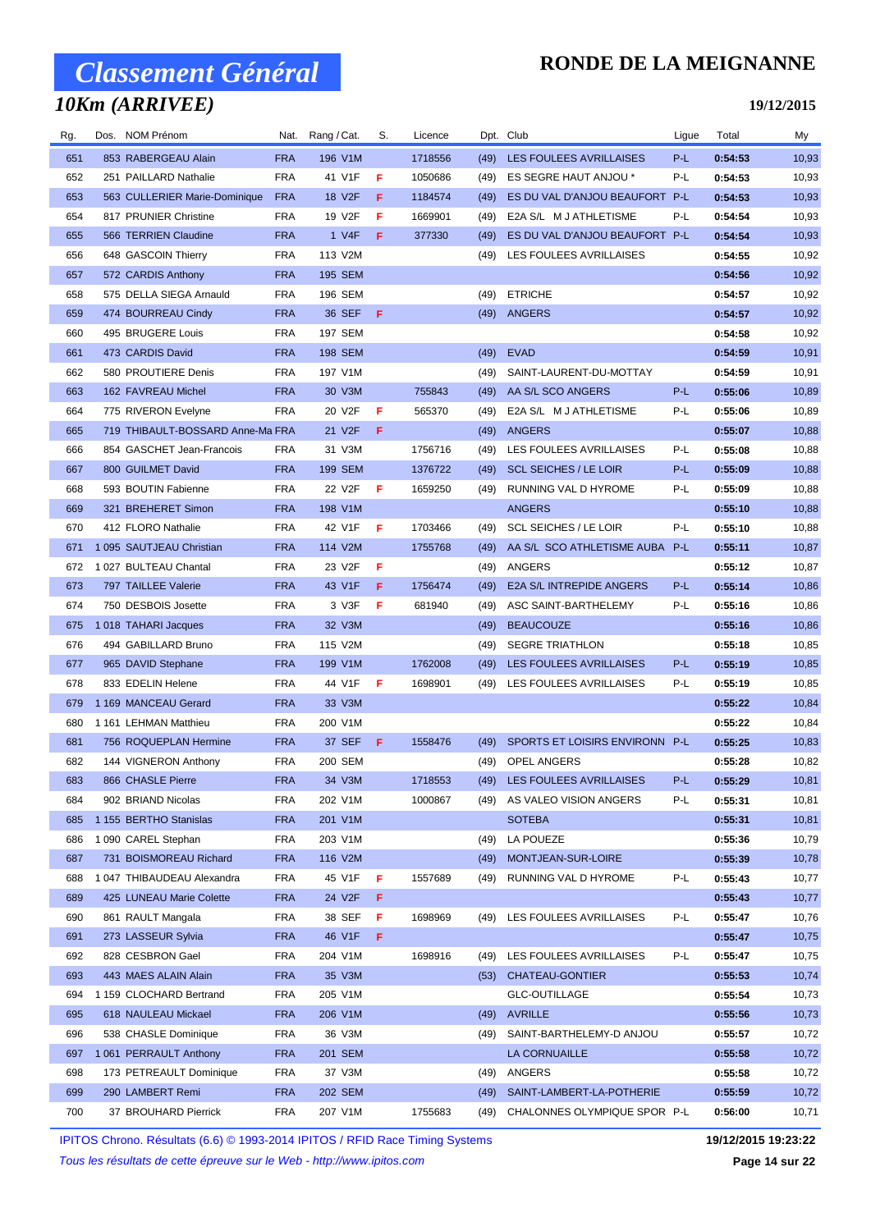### *10Km (ARRIVEE)*

### **RONDE DE LA MEIGNANNE**

#### **19/12/2015**

| Rg. | Dos. NOM Prénom                  |            | Nat. Rang / Cat. | S.  | Licence |      | Dpt. Club                      | Ligue | Total   | My    |
|-----|----------------------------------|------------|------------------|-----|---------|------|--------------------------------|-------|---------|-------|
| 651 | 853 RABERGEAU Alain              | <b>FRA</b> | 196 V1M          |     | 1718556 | (49) | LES FOULEES AVRILLAISES        | $P-L$ | 0:54:53 | 10,93 |
| 652 | 251 PAILLARD Nathalie            | <b>FRA</b> | 41 V1F           | F   | 1050686 | (49) | ES SEGRE HAUT ANJOU *          | P-L   | 0:54:53 | 10,93 |
| 653 | 563 CULLERIER Marie-Dominique    | <b>FRA</b> | 18 V2F           | F.  | 1184574 | (49) | ES DU VAL D'ANJOU BEAUFORT P-L |       | 0:54:53 | 10,93 |
| 654 | 817 PRUNIER Christine            | <b>FRA</b> | 19 V2F           | F   | 1669901 | (49) | E2A S/L M J ATHLETISME         | P-L   | 0:54:54 | 10,93 |
| 655 | 566 TERRIEN Claudine             | <b>FRA</b> | 1 V4F            | F.  | 377330  | (49) | ES DU VAL D'ANJOU BEAUFORT P-L |       | 0:54:54 | 10,93 |
| 656 | 648 GASCOIN Thierry              | <b>FRA</b> | 113 V2M          |     |         | (49) | LES FOULEES AVRILLAISES        |       | 0:54:55 | 10,92 |
| 657 | 572 CARDIS Anthony               | <b>FRA</b> | 195 SEM          |     |         |      |                                |       | 0:54:56 | 10,92 |
| 658 | 575 DELLA SIEGA Arnauld          | <b>FRA</b> | 196 SEM          |     |         | (49) | <b>ETRICHE</b>                 |       | 0:54:57 | 10,92 |
| 659 | 474 BOURREAU Cindy               | <b>FRA</b> | 36 SEF           | - F |         | (49) | <b>ANGERS</b>                  |       | 0:54:57 | 10,92 |
| 660 | 495 BRUGERE Louis                | <b>FRA</b> | <b>197 SEM</b>   |     |         |      |                                |       | 0:54:58 | 10,92 |
| 661 | 473 CARDIS David                 | <b>FRA</b> | 198 SEM          |     |         | (49) | <b>EVAD</b>                    |       | 0:54:59 | 10,91 |
| 662 | 580 PROUTIERE Denis              | <b>FRA</b> | 197 V1M          |     |         | (49) | SAINT-LAURENT-DU-MOTTAY        |       | 0:54:59 | 10,91 |
| 663 | 162 FAVREAU Michel               | <b>FRA</b> | 30 V3M           |     | 755843  | (49) | AA S/L SCO ANGERS              | P-L   | 0:55:06 | 10,89 |
| 664 | 775 RIVERON Evelyne              | <b>FRA</b> | 20 V2F           | F   | 565370  | (49) | E2A S/L M J ATHLETISME         | P-L   | 0:55:06 | 10,89 |
| 665 | 719 THIBAULT-BOSSARD Anne-Ma FRA |            | 21 V2F           | F   |         | (49) | ANGERS                         |       | 0:55:07 | 10,88 |
| 666 | 854 GASCHET Jean-Francois        | <b>FRA</b> | 31 V3M           |     | 1756716 | (49) | LES FOULEES AVRILLAISES        | P-L   | 0:55:08 | 10,88 |
| 667 | 800 GUILMET David                | <b>FRA</b> | <b>199 SEM</b>   |     | 1376722 | (49) | <b>SCL SEICHES / LE LOIR</b>   | P-L   | 0:55:09 | 10,88 |
| 668 | 593 BOUTIN Fabienne              | <b>FRA</b> | 22 V2F           | F.  | 1659250 | (49) | RUNNING VAL D HYROME           | P-L   | 0:55:09 | 10,88 |
| 669 | 321 BREHERET Simon               | <b>FRA</b> | 198 V1M          |     |         |      | <b>ANGERS</b>                  |       | 0:55:10 | 10,88 |
| 670 | 412 FLORO Nathalie               | <b>FRA</b> | 42 V1F           | F   | 1703466 | (49) | <b>SCL SEICHES / LE LOIR</b>   | P-L   | 0:55:10 | 10,88 |
| 671 | 1 095 SAUTJEAU Christian         | <b>FRA</b> | 114 V2M          |     | 1755768 | (49) | AA S/L SCO ATHLETISME AUBA P-L |       | 0:55:11 | 10,87 |
| 672 | 1 027 BULTEAU Chantal            | <b>FRA</b> | 23 V2F           | F   |         | (49) | ANGERS                         |       | 0:55:12 | 10,87 |
| 673 | 797 TAILLEE Valerie              | <b>FRA</b> | 43 V1F           | F   | 1756474 | (49) | E2A S/L INTREPIDE ANGERS       | P-L   | 0:55:14 | 10,86 |
| 674 | 750 DESBOIS Josette              | <b>FRA</b> | 3 V3F            | F   | 681940  | (49) | ASC SAINT-BARTHELEMY           | P-L   | 0:55:16 | 10,86 |
| 675 | 1018 TAHARI Jacques              | <b>FRA</b> | 32 V3M           |     |         | (49) | <b>BEAUCOUZE</b>               |       | 0:55:16 | 10,86 |
| 676 | 494 GABILLARD Bruno              | <b>FRA</b> | 115 V2M          |     |         | (49) | <b>SEGRE TRIATHLON</b>         |       | 0:55:18 | 10,85 |
| 677 | 965 DAVID Stephane               | <b>FRA</b> | 199 V1M          |     | 1762008 | (49) | LES FOULEES AVRILLAISES        | P-L   | 0:55:19 | 10,85 |
| 678 | 833 EDELIN Helene                | <b>FRA</b> | 44 V1F           | F   | 1698901 | (49) | LES FOULEES AVRILLAISES        | P-L   | 0:55:19 | 10,85 |
| 679 | 1 169 MANCEAU Gerard             | <b>FRA</b> | 33 V3M           |     |         |      |                                |       | 0:55:22 | 10,84 |
| 680 | 1 161 LEHMAN Matthieu            | <b>FRA</b> | 200 V1M          |     |         |      |                                |       | 0:55:22 | 10,84 |
| 681 | 756 ROQUEPLAN Hermine            | <b>FRA</b> | 37 SEF           | -F. | 1558476 | (49) | SPORTS ET LOISIRS ENVIRONN P-L |       | 0:55:25 | 10,83 |
| 682 | 144 VIGNERON Anthony             | <b>FRA</b> | 200 SEM          |     |         | (49) | <b>OPEL ANGERS</b>             |       | 0:55:28 | 10,82 |
| 683 | 866 CHASLE Pierre                | <b>FRA</b> | 34 V3M           |     | 1718553 |      | (49) LES FOULEES AVRILLAISES   | P-L   | 0:55:29 | 10,81 |
| 684 | 902 BRIAND Nicolas               | <b>FRA</b> | 202 V1M          |     | 1000867 | (49) | AS VALEO VISION ANGERS         | P-L   | 0:55:31 | 10,81 |
| 685 | 1 155 BERTHO Stanislas           | <b>FRA</b> | 201 V1M          |     |         |      | <b>SOTEBA</b>                  |       | 0:55:31 | 10,81 |
| 686 | 1 090 CAREL Stephan              | <b>FRA</b> | 203 V1M          |     |         | (49) | LA POUEZE                      |       | 0:55:36 | 10,79 |
| 687 | 731 BOISMOREAU Richard           | <b>FRA</b> | 116 V2M          |     |         | (49) | MONTJEAN-SUR-LOIRE             |       | 0:55:39 | 10,78 |
| 688 | 1047 THIBAUDEAU Alexandra        | <b>FRA</b> | 45 V1F           | F   | 1557689 | (49) | RUNNING VAL D HYROME           | P-L   | 0:55:43 | 10,77 |
| 689 | 425 LUNEAU Marie Colette         | <b>FRA</b> | 24 V2F           | F.  |         |      |                                |       | 0:55:43 | 10,77 |
| 690 | 861 RAULT Mangala                | <b>FRA</b> | 38 SEF           | F.  | 1698969 |      | (49) LES FOULEES AVRILLAISES   | P-L   | 0:55:47 | 10,76 |
| 691 | 273 LASSEUR Sylvia               | <b>FRA</b> | 46 V1F           | F   |         |      |                                |       | 0:55:47 | 10,75 |
| 692 | 828 CESBRON Gael                 | <b>FRA</b> | 204 V1M          |     | 1698916 | (49) | LES FOULEES AVRILLAISES        | P-L   | 0:55:47 | 10,75 |
| 693 | 443 MAES ALAIN Alain             | <b>FRA</b> | 35 V3M           |     |         | (53) | CHATEAU-GONTIER                |       | 0:55:53 | 10,74 |
| 694 | 1 159 CLOCHARD Bertrand          | <b>FRA</b> | 205 V1M          |     |         |      | <b>GLC-OUTILLAGE</b>           |       | 0:55:54 | 10,73 |
| 695 | 618 NAULEAU Mickael              | <b>FRA</b> | 206 V1M          |     |         | (49) | AVRILLE                        |       | 0:55:56 | 10,73 |
| 696 | 538 CHASLE Dominique             | <b>FRA</b> | 36 V3M           |     |         | (49) | SAINT-BARTHELEMY-D ANJOU       |       | 0:55:57 | 10,72 |
| 697 | 1 061 PERRAULT Anthony           | <b>FRA</b> | 201 SEM          |     |         |      | LA CORNUAILLE                  |       | 0:55:58 | 10,72 |
| 698 | 173 PETREAULT Dominique          | <b>FRA</b> | 37 V3M           |     |         | (49) | ANGERS                         |       | 0:55:58 | 10,72 |
| 699 | 290 LAMBERT Remi                 | <b>FRA</b> | 202 SEM          |     |         | (49) | SAINT-LAMBERT-LA-POTHERIE      |       | 0:55:59 | 10,72 |
| 700 | 37 BROUHARD Pierrick             | <b>FRA</b> | 207 V1M          |     | 1755683 | (49) | CHALONNES OLYMPIQUE SPOR P-L   |       | 0:56:00 | 10,71 |

IPITOS Chrono. Résultats (6.6) © 1993-2014 IPITOS / RFID Race Timing Systems **19/12/2015 19:23:22**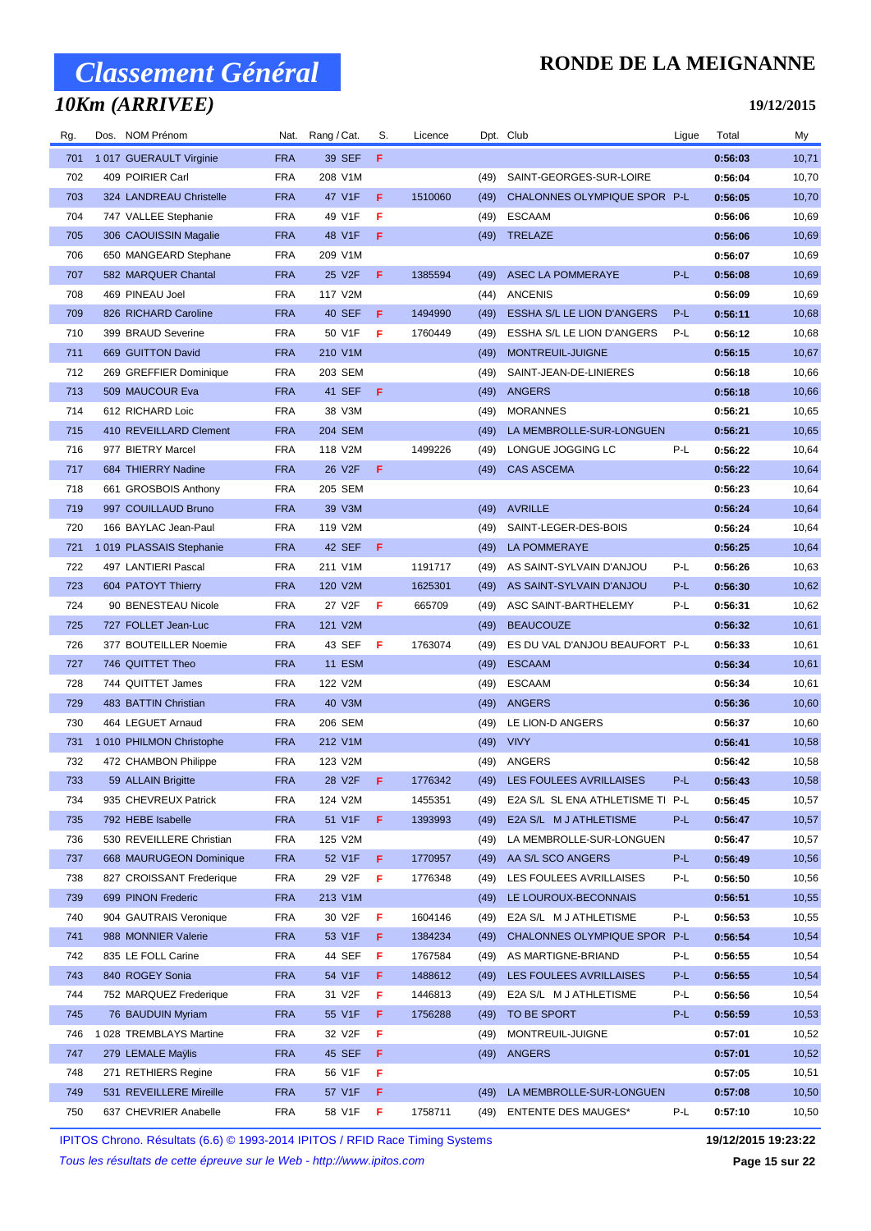## *10Km (ARRIVEE)*

### **RONDE DE LA MEIGNANNE**

#### **19/12/2015**

| Rg. | Dos. NOM Prénom          | Nat.       | Rang / Cat.   | S. | Licence |      | Dpt. Club                        | Ligue | Total   | My    |
|-----|--------------------------|------------|---------------|----|---------|------|----------------------------------|-------|---------|-------|
| 701 | 1017 GUERAULT Virginie   | <b>FRA</b> | 39 SEF        | F  |         |      |                                  |       | 0:56:03 | 10,71 |
| 702 | 409 POIRIER Carl         | <b>FRA</b> | 208 V1M       |    |         | (49) | SAINT-GEORGES-SUR-LOIRE          |       | 0:56:04 | 10,70 |
| 703 | 324 LANDREAU Christelle  | <b>FRA</b> | 47 V1F        | F  | 1510060 | (49) | CHALONNES OLYMPIQUE SPOR P-L     |       | 0:56:05 | 10,70 |
| 704 | 747 VALLEE Stephanie     | <b>FRA</b> | 49 V1F        | F  |         | (49) | <b>ESCAAM</b>                    |       | 0:56:06 | 10,69 |
| 705 | 306 CAOUISSIN Magalie    | <b>FRA</b> | 48 V1F        | F  |         | (49) | TRELAZE                          |       | 0:56:06 | 10,69 |
| 706 | 650 MANGEARD Stephane    | <b>FRA</b> | 209 V1M       |    |         |      |                                  |       | 0:56:07 | 10,69 |
| 707 | 582 MARQUER Chantal      | <b>FRA</b> | 25 V2F        | F  | 1385594 | (49) | <b>ASEC LA POMMERAYE</b>         | P-L   | 0:56:08 | 10,69 |
| 708 | 469 PINEAU Joel          | <b>FRA</b> | 117 V2M       |    |         | (44) | <b>ANCENIS</b>                   |       | 0:56:09 | 10,69 |
| 709 | 826 RICHARD Caroline     | <b>FRA</b> | 40 SEF        | F  | 1494990 | (49) | ESSHA S/L LE LION D'ANGERS       | P-L   | 0:56:11 | 10,68 |
| 710 | 399 BRAUD Severine       | <b>FRA</b> | 50 V1F        | F  | 1760449 | (49) | ESSHA S/L LE LION D'ANGERS       | P-L   | 0:56:12 | 10,68 |
| 711 | 669 GUITTON David        | <b>FRA</b> | 210 V1M       |    |         | (49) | MONTREUIL-JUIGNE                 |       | 0:56:15 | 10,67 |
| 712 | 269 GREFFIER Dominique   | <b>FRA</b> | 203 SEM       |    |         | (49) | SAINT-JEAN-DE-LINIERES           |       | 0:56:18 | 10,66 |
| 713 | 509 MAUCOUR Eva          | <b>FRA</b> | 41 SEF        | F  |         | (49) | <b>ANGERS</b>                    |       | 0:56:18 | 10,66 |
| 714 | 612 RICHARD Loic         | <b>FRA</b> | 38 V3M        |    |         | (49) | <b>MORANNES</b>                  |       | 0:56:21 | 10,65 |
| 715 | 410 REVEILLARD Clement   | <b>FRA</b> | 204 SEM       |    |         | (49) | LA MEMBROLLE-SUR-LONGUEN         |       | 0:56:21 | 10,65 |
| 716 | 977 BIETRY Marcel        | <b>FRA</b> | 118 V2M       |    | 1499226 | (49) | LONGUE JOGGING LC                | P-L   | 0:56:22 | 10,64 |
| 717 | 684 THIERRY Nadine       | <b>FRA</b> | 26 V2F        | F  |         | (49) | <b>CAS ASCEMA</b>                |       | 0:56:22 | 10,64 |
| 718 | 661 GROSBOIS Anthony     | <b>FRA</b> | 205 SEM       |    |         |      |                                  |       | 0:56:23 | 10,64 |
| 719 | 997 COUILLAUD Bruno      | <b>FRA</b> | 39 V3M        |    |         | (49) | <b>AVRILLE</b>                   |       | 0:56:24 | 10,64 |
| 720 | 166 BAYLAC Jean-Paul     | <b>FRA</b> | 119 V2M       |    |         | (49) | SAINT-LEGER-DES-BOIS             |       | 0:56:24 | 10,64 |
| 721 | 1019 PLASSAIS Stephanie  | <b>FRA</b> | 42 SEF        | F  |         | (49) | LA POMMERAYE                     |       | 0:56:25 | 10,64 |
| 722 | 497 LANTIERI Pascal      | <b>FRA</b> | 211 V1M       |    | 1191717 | (49) | AS SAINT-SYLVAIN D'ANJOU         | P-L   | 0:56:26 | 10,63 |
| 723 | 604 PATOYT Thierry       | <b>FRA</b> | 120 V2M       |    | 1625301 | (49) | AS SAINT-SYLVAIN D'ANJOU         | P-L   | 0:56:30 | 10,62 |
| 724 | 90 BENESTEAU Nicole      | <b>FRA</b> | 27 V2F        | F  | 665709  | (49) | ASC SAINT-BARTHELEMY             | P-L   | 0:56:31 | 10,62 |
| 725 | 727 FOLLET Jean-Luc      | <b>FRA</b> | 121 V2M       |    |         | (49) | <b>BEAUCOUZE</b>                 |       | 0:56:32 | 10,61 |
| 726 | 377 BOUTEILLER Noemie    | <b>FRA</b> | 43 SEF        | F  | 1763074 | (49) | ES DU VAL D'ANJOU BEAUFORT P-L   |       | 0:56:33 | 10,61 |
| 727 | 746 QUITTET Theo         | <b>FRA</b> | <b>11 ESM</b> |    |         | (49) | <b>ESCAAM</b>                    |       | 0:56:34 | 10,61 |
| 728 | 744 QUITTET James        | <b>FRA</b> | 122 V2M       |    |         | (49) | <b>ESCAAM</b>                    |       | 0:56:34 | 10,61 |
| 729 | 483 BATTIN Christian     | <b>FRA</b> | 40 V3M        |    |         | (49) | <b>ANGERS</b>                    |       | 0:56:36 | 10,60 |
| 730 | 464 LEGUET Arnaud        | <b>FRA</b> | 206 SEM       |    |         | (49) | LE LION-D ANGERS                 |       | 0:56:37 | 10,60 |
| 731 | 1 010 PHILMON Christophe | <b>FRA</b> | 212 V1M       |    |         | (49) | <b>VIVY</b>                      |       | 0:56:41 | 10,58 |
| 732 | 472 CHAMBON Philippe     | <b>FRA</b> | 123 V2M       |    |         | (49) | ANGERS                           |       | 0:56:42 | 10,58 |
| 733 | 59 ALLAIN Brigitte       | <b>FRA</b> | 28 V2F F      |    | 1776342 |      | (49) LES FOULEES AVRILLAISES     | P-L   | 0:56:43 | 10,58 |
| 734 | 935 CHEVREUX Patrick     | <b>FRA</b> | 124 V2M       |    | 1455351 | (49) | E2A S/L SL ENA ATHLETISME TI P-L |       | 0:56:45 | 10,57 |
| 735 | 792 HEBE Isabelle        | <b>FRA</b> | 51 V1F        | F  | 1393993 | (49) | E2A S/L M J ATHLETISME           | P-L   | 0:56:47 | 10,57 |
| 736 | 530 REVEILLERE Christian | <b>FRA</b> | 125 V2M       |    |         | (49) | LA MEMBROLLE-SUR-LONGUEN         |       | 0:56:47 | 10,57 |
| 737 | 668 MAURUGEON Dominique  | <b>FRA</b> | 52 V1F        | F. | 1770957 | (49) | AA S/L SCO ANGERS                | P-L   | 0:56:49 | 10,56 |
| 738 | 827 CROISSANT Frederique | <b>FRA</b> | 29 V2F        | F  | 1776348 | (49) | LES FOULEES AVRILLAISES          | P-L   | 0:56:50 | 10,56 |
| 739 | 699 PINON Frederic       | <b>FRA</b> | 213 V1M       |    |         | (49) | LE LOUROUX-BECONNAIS             |       | 0:56:51 | 10,55 |
| 740 | 904 GAUTRAIS Veronique   | <b>FRA</b> | 30 V2F        | F  | 1604146 | (49) | E2A S/L M J ATHLETISME           | P-L   | 0:56:53 | 10,55 |
| 741 | 988 MONNIER Valerie      | <b>FRA</b> | 53 V1F        | F. | 1384234 | (49) | CHALONNES OLYMPIQUE SPOR P-L     |       | 0:56:54 | 10,54 |
| 742 | 835 LE FOLL Carine       | <b>FRA</b> | 44 SEF        | F  | 1767584 | (49) | AS MARTIGNE-BRIAND               | P-L   | 0:56:55 | 10,54 |
| 743 | 840 ROGEY Sonia          | <b>FRA</b> | 54 V1F        | F  | 1488612 | (49) | LES FOULEES AVRILLAISES          | P-L   | 0:56:55 | 10,54 |
| 744 | 752 MARQUEZ Frederique   | <b>FRA</b> | 31 V2F        | F  | 1446813 | (49) | E2A S/L M J ATHLETISME           | P-L   | 0:56:56 | 10,54 |
| 745 | 76 BAUDUIN Myriam        | <b>FRA</b> | 55 V1F        | F  | 1756288 | (49) | TO BE SPORT                      | P-L   | 0:56:59 | 10,53 |
| 746 | 1 028 TREMBLAYS Martine  | <b>FRA</b> | 32 V2F        | F  |         | (49) | MONTREUIL-JUIGNE                 |       | 0:57:01 | 10,52 |
| 747 | 279 LEMALE Maÿlis        | <b>FRA</b> | 45 SEF        | F. |         | (49) | <b>ANGERS</b>                    |       | 0:57:01 | 10,52 |
| 748 | 271 RETHIERS Regine      | <b>FRA</b> | 56 V1F        | F  |         |      |                                  |       | 0:57:05 | 10,51 |
| 749 | 531 REVEILLERE Mireille  | <b>FRA</b> | 57 V1F        | F  |         | (49) | LA MEMBROLLE-SUR-LONGUEN         |       | 0:57:08 | 10,50 |
| 750 | 637 CHEVRIER Anabelle    | <b>FRA</b> | 58 V1F        | F  | 1758711 |      | (49) ENTENTE DES MAUGES*         | P-L   | 0:57:10 | 10,50 |

IPITOS Chrono. Résultats (6.6) © 1993-2014 IPITOS / RFID Race Timing Systems **19/12/2015 19:23:22**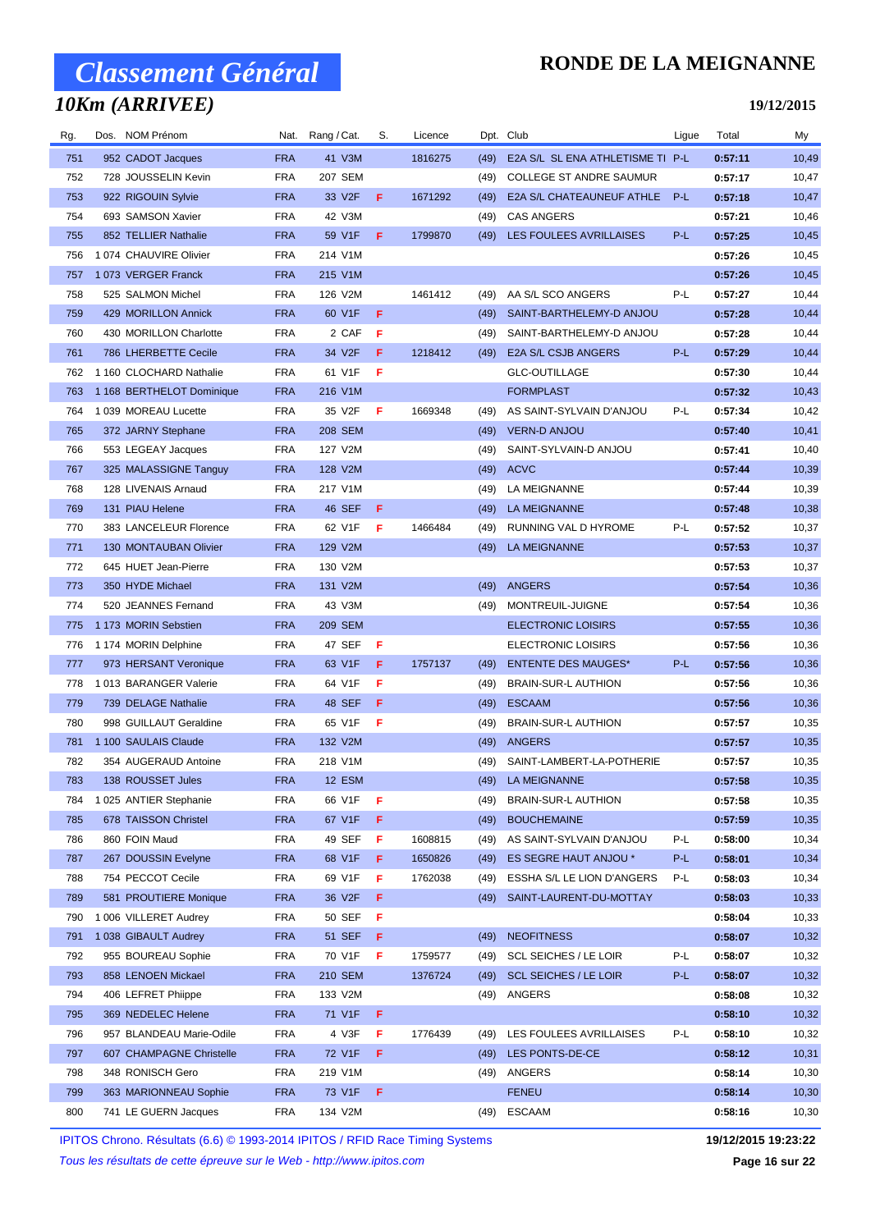## *10Km (ARRIVEE)*

### **RONDE DE LA MEIGNANNE**

#### **19/12/2015**

| Rg. | Dos. NOM Prénom              |            | Nat. Rang/Cat. | S. | Licence |      | Dpt. Club                        | Ligue | Total   | My    |
|-----|------------------------------|------------|----------------|----|---------|------|----------------------------------|-------|---------|-------|
| 751 | 952 CADOT Jacques            | <b>FRA</b> | 41 V3M         |    | 1816275 | (49) | E2A S/L SL ENA ATHLETISME TI P-L |       | 0:57:11 | 10,49 |
| 752 | 728 JOUSSELIN Kevin          | <b>FRA</b> | 207 SEM        |    |         | (49) | <b>COLLEGE ST ANDRE SAUMUR</b>   |       | 0:57:17 | 10,47 |
| 753 | 922 RIGOUIN Sylvie           | <b>FRA</b> | 33 V2F         | F. | 1671292 | (49) | E2A S/L CHATEAUNEUF ATHLE        | $P-L$ | 0:57:18 | 10,47 |
| 754 | 693 SAMSON Xavier            | <b>FRA</b> | 42 V3M         |    |         | (49) | <b>CAS ANGERS</b>                |       | 0:57:21 | 10,46 |
| 755 | 852 TELLIER Nathalie         | <b>FRA</b> | 59 V1F         | F  | 1799870 |      | (49) LES FOULEES AVRILLAISES     | $P-L$ | 0:57:25 | 10,45 |
| 756 | 1 074 CHAUVIRE Olivier       | <b>FRA</b> | 214 V1M        |    |         |      |                                  |       | 0:57:26 | 10,45 |
| 757 | 1073 VERGER Franck           | <b>FRA</b> | 215 V1M        |    |         |      |                                  |       | 0:57:26 | 10,45 |
| 758 | 525 SALMON Michel            | <b>FRA</b> | 126 V2M        |    | 1461412 | (49) | AA S/L SCO ANGERS                | P-L   | 0:57:27 | 10,44 |
| 759 | 429 MORILLON Annick          | <b>FRA</b> | 60 V1F         | F  |         | (49) | SAINT-BARTHELEMY-D ANJOU         |       | 0:57:28 | 10,44 |
| 760 | 430 MORILLON Charlotte       | <b>FRA</b> | 2 CAF          | F  |         | (49) | SAINT-BARTHELEMY-D ANJOU         |       | 0:57:28 | 10,44 |
| 761 | 786 LHERBETTE Cecile         | <b>FRA</b> | 34 V2F         | F. | 1218412 | (49) | E2A S/L CSJB ANGERS              | P-L   | 0:57:29 | 10,44 |
| 762 | 1 160 CLOCHARD Nathalie      | <b>FRA</b> | 61 V1F         | F  |         |      | <b>GLC-OUTILLAGE</b>             |       | 0:57:30 | 10,44 |
| 763 | 1 168 BERTHELOT Dominique    | <b>FRA</b> | 216 V1M        |    |         |      | <b>FORMPLAST</b>                 |       | 0:57:32 | 10,43 |
| 764 | 1039 MOREAU Lucette          | <b>FRA</b> | 35 V2F         | F  | 1669348 | (49) | AS SAINT-SYLVAIN D'ANJOU         | P-L   | 0:57:34 | 10,42 |
| 765 | 372 JARNY Stephane           | <b>FRA</b> | 208 SEM        |    |         | (49) | <b>VERN-D ANJOU</b>              |       | 0:57:40 | 10,41 |
| 766 | 553 LEGEAY Jacques           | <b>FRA</b> | 127 V2M        |    |         | (49) | SAINT-SYLVAIN-D ANJOU            |       | 0:57:41 | 10,40 |
| 767 | 325 MALASSIGNE Tanguy        | <b>FRA</b> | 128 V2M        |    |         | (49) | <b>ACVC</b>                      |       | 0:57:44 | 10,39 |
| 768 | 128 LIVENAIS Arnaud          | <b>FRA</b> | 217 V1M        |    |         | (49) | LA MEIGNANNE                     |       | 0:57:44 | 10,39 |
| 769 | 131 PIAU Helene              | <b>FRA</b> | 46 SEF         | F  |         | (49) | LA MEIGNANNE                     |       | 0:57:48 | 10,38 |
| 770 | 383 LANCELEUR Florence       | <b>FRA</b> | 62 V1F         | F  | 1466484 | (49) | RUNNING VAL D HYROME             | P-L   | 0:57:52 | 10,37 |
| 771 | <b>130 MONTAUBAN Olivier</b> | <b>FRA</b> | 129 V2M        |    |         | (49) | <b>LA MEIGNANNE</b>              |       | 0:57:53 | 10,37 |
| 772 | 645 HUET Jean-Pierre         | <b>FRA</b> | 130 V2M        |    |         |      |                                  |       | 0:57:53 | 10,37 |
| 773 | 350 HYDE Michael             | <b>FRA</b> | 131 V2M        |    |         | (49) | ANGERS                           |       | 0:57:54 | 10,36 |
| 774 | 520 JEANNES Fernand          | <b>FRA</b> | 43 V3M         |    |         |      | (49) MONTREUIL-JUIGNE            |       | 0:57:54 | 10,36 |
| 775 | 1 173 MORIN Sebstien         | <b>FRA</b> | 209 SEM        |    |         |      | <b>ELECTRONIC LOISIRS</b>        |       | 0:57:55 | 10,36 |
| 776 | 1 174 MORIN Delphine         | <b>FRA</b> | 47 SEF         | F  |         |      | ELECTRONIC LOISIRS               |       | 0:57:56 | 10,36 |
| 777 | 973 HERSANT Veronique        | <b>FRA</b> | 63 V1F         | F  | 1757137 | (49) | <b>ENTENTE DES MAUGES*</b>       | $P-L$ | 0:57:56 | 10,36 |
| 778 | 1013 BARANGER Valerie        | <b>FRA</b> | 64 V1F         | F  |         | (49) | <b>BRAIN-SUR-L AUTHION</b>       |       | 0:57:56 | 10,36 |
| 779 | 739 DELAGE Nathalie          | <b>FRA</b> | 48 SEF         | F  |         | (49) | <b>ESCAAM</b>                    |       | 0:57:56 | 10,36 |
| 780 | 998 GUILLAUT Geraldine       | <b>FRA</b> | 65 V1F         | F  |         | (49) | <b>BRAIN-SUR-L AUTHION</b>       |       | 0:57:57 | 10,35 |
| 781 | 1 100 SAULAIS Claude         | <b>FRA</b> | 132 V2M        |    |         | (49) | <b>ANGERS</b>                    |       | 0:57:57 | 10,35 |
| 782 | 354 AUGERAUD Antoine         | <b>FRA</b> | 218 V1M        |    |         | (49) | SAINT-LAMBERT-LA-POTHERIE        |       | 0:57:57 | 10,35 |
| 783 | 138 ROUSSET Jules            | <b>FRA</b> | 12 ESM         |    |         |      | (49) LA MEIGNANNE                |       | 0:57:58 | 10,35 |
| 784 | 1 025 ANTIER Stephanie       | <b>FRA</b> | 66 V1F         | F  |         | (49) | <b>BRAIN-SUR-L AUTHION</b>       |       | 0:57:58 | 10,35 |
| 785 | 678 TAISSON Christel         | <b>FRA</b> | 67 V1F         | F  |         | (49) | <b>BOUCHEMAINE</b>               |       | 0:57:59 | 10,35 |
| 786 | 860 FOIN Maud                | <b>FRA</b> | 49 SEF         | F  | 1608815 | (49) | AS SAINT-SYLVAIN D'ANJOU         | P-L   | 0:58:00 | 10,34 |
| 787 | 267 DOUSSIN Evelyne          | <b>FRA</b> | 68 V1F         | F  | 1650826 | (49) | ES SEGRE HAUT ANJOU *            | P-L   | 0:58:01 | 10,34 |
| 788 | 754 PECCOT Cecile            | <b>FRA</b> | 69 V1F         | F  | 1762038 | (49) | ESSHA S/L LE LION D'ANGERS       | P-L   | 0:58:03 | 10,34 |
| 789 | 581 PROUTIERE Monique        | <b>FRA</b> | 36 V2F         | F  |         | (49) | SAINT-LAURENT-DU-MOTTAY          |       | 0:58:03 | 10,33 |
| 790 | 1 006 VILLERET Audrey        | <b>FRA</b> | 50 SEF         | F  |         |      |                                  |       | 0:58:04 | 10,33 |
| 791 | 1038 GIBAULT Audrey          | <b>FRA</b> | 51 SEF         | F  |         | (49) | <b>NEOFITNESS</b>                |       | 0:58:07 | 10,32 |
| 792 | 955 BOUREAU Sophie           | <b>FRA</b> | 70 V1F         | F  | 1759577 | (49) | <b>SCL SEICHES / LE LOIR</b>     | P-L   | 0:58:07 | 10,32 |
| 793 | 858 LENOEN Mickael           | <b>FRA</b> | 210 SEM        |    | 1376724 | (49) | <b>SCL SEICHES / LE LOIR</b>     | P-L   | 0:58:07 | 10,32 |
| 794 | 406 LEFRET Phiippe           | <b>FRA</b> | 133 V2M        |    |         | (49) | ANGERS                           |       | 0:58:08 | 10,32 |
| 795 | 369 NEDELEC Helene           | <b>FRA</b> | 71 V1F         | F. |         |      |                                  |       | 0:58:10 | 10,32 |
| 796 | 957 BLANDEAU Marie-Odile     | <b>FRA</b> | 4 V3F          | F  | 1776439 | (49) | LES FOULEES AVRILLAISES          | P-L   | 0:58:10 | 10,32 |
| 797 | 607 CHAMPAGNE Christelle     | <b>FRA</b> | 72 V1F         | F  |         | (49) | LES PONTS-DE-CE                  |       | 0:58:12 | 10,31 |
| 798 | 348 RONISCH Gero             | <b>FRA</b> | 219 V1M        |    |         | (49) | ANGERS                           |       | 0:58:14 | 10,30 |
| 799 | 363 MARIONNEAU Sophie        | <b>FRA</b> | 73 V1F         | F  |         |      | <b>FENEU</b>                     |       | 0:58:14 | 10,30 |
| 800 | 741 LE GUERN Jacques         | <b>FRA</b> | 134 V2M        |    |         | (49) | <b>ESCAAM</b>                    |       | 0:58:16 | 10,30 |

IPITOS Chrono. Résultats (6.6) © 1993-2014 IPITOS / RFID Race Timing Systems **19/12/2015 19:23:22**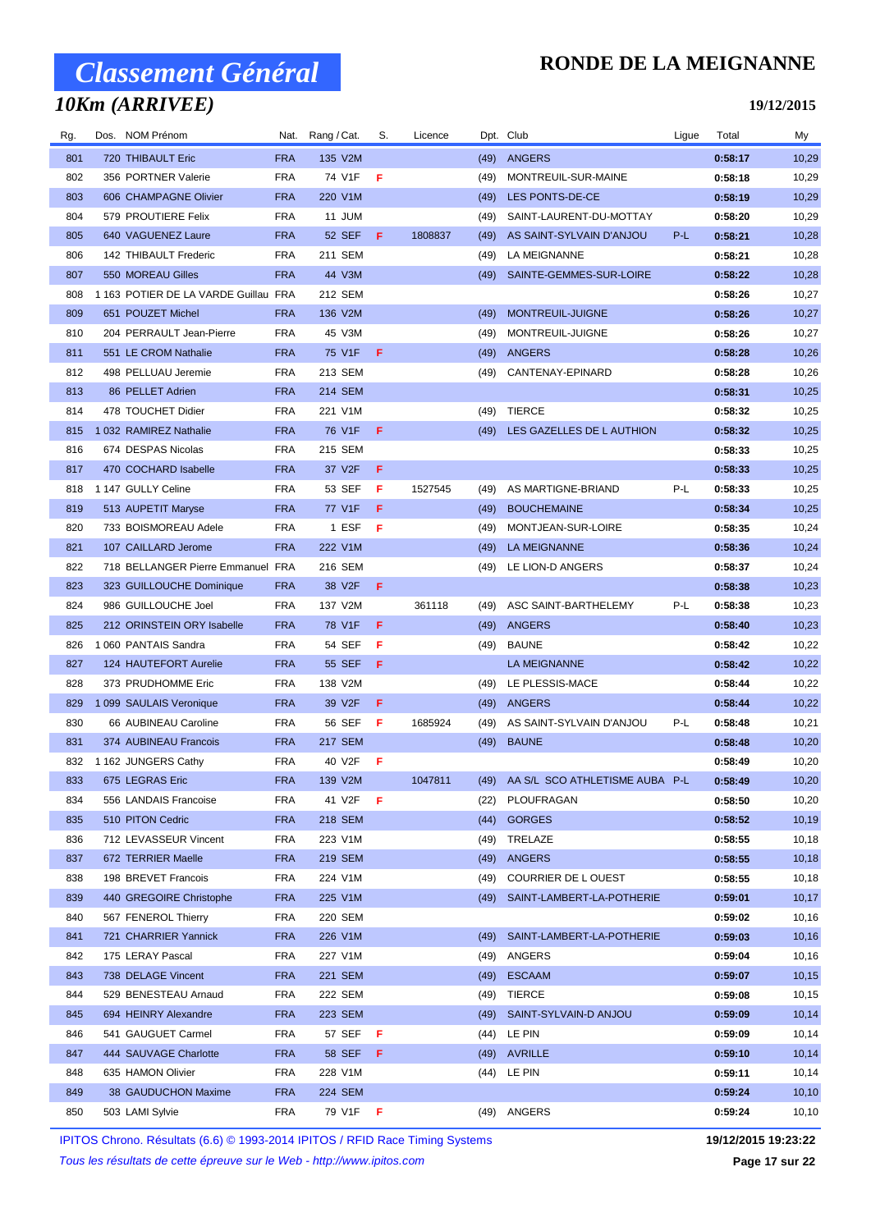## *10Km (ARRIVEE)*

#### **RONDE DE LA MEIGNANNE**

**19/12/2015**

| Rg. | Dos. NOM Prénom                      | Nat.       | Rang / Cat.     | S.  | Licence |      | Dpt. Club                       | Ligue | Total   | My     |
|-----|--------------------------------------|------------|-----------------|-----|---------|------|---------------------------------|-------|---------|--------|
| 801 | 720 THIBAULT Eric                    | <b>FRA</b> | 135 V2M         |     |         | (49) | <b>ANGERS</b>                   |       | 0:58:17 | 10,29  |
| 802 | 356 PORTNER Valerie                  | <b>FRA</b> | 74 V1F          | F   |         | (49) | MONTREUIL-SUR-MAINE             |       | 0:58:18 | 10,29  |
| 803 | 606 CHAMPAGNE Olivier                | <b>FRA</b> | 220 V1M         |     |         | (49) | LES PONTS-DE-CE                 |       | 0:58:19 | 10,29  |
| 804 | 579 PROUTIERE Felix                  | <b>FRA</b> | 11 JUM          |     |         | (49) | SAINT-LAURENT-DU-MOTTAY         |       | 0:58:20 | 10,29  |
| 805 | 640 VAGUENEZ Laure                   | <b>FRA</b> | <b>52 SEF</b>   | F.  | 1808837 | (49) | AS SAINT-SYLVAIN D'ANJOU        | P-L   | 0:58:21 | 10,28  |
| 806 | 142 THIBAULT Frederic                | <b>FRA</b> | 211 SEM         |     |         | (49) | LA MEIGNANNE                    |       | 0:58:21 | 10,28  |
| 807 | 550 MOREAU Gilles                    | <b>FRA</b> | 44 V3M          |     |         | (49) | SAINTE-GEMMES-SUR-LOIRE         |       | 0:58:22 | 10,28  |
| 808 | 1 163 POTIER DE LA VARDE Guillau FRA |            | 212 SEM         |     |         |      |                                 |       | 0:58:26 | 10,27  |
| 809 | 651 POUZET Michel                    | <b>FRA</b> | 136 V2M         |     |         | (49) | MONTREUIL-JUIGNE                |       | 0:58:26 | 10,27  |
| 810 | 204 PERRAULT Jean-Pierre             | <b>FRA</b> | 45 V3M          |     |         | (49) | MONTREUIL-JUIGNE                |       | 0:58:26 | 10,27  |
| 811 | 551 LE CROM Nathalie                 | <b>FRA</b> | 75 V1F          | F   |         | (49) | ANGERS                          |       | 0:58:28 | 10,26  |
| 812 | 498 PELLUAU Jeremie                  | <b>FRA</b> | 213 SEM         |     |         | (49) | CANTENAY-EPINARD                |       | 0:58:28 | 10,26  |
| 813 | 86 PELLET Adrien                     | <b>FRA</b> | <b>214 SEM</b>  |     |         |      |                                 |       | 0:58:31 | 10,25  |
| 814 | 478 TOUCHET Didier                   | <b>FRA</b> | 221 V1M         |     |         | (49) | <b>TIERCE</b>                   |       | 0:58:32 | 10,25  |
| 815 | 1 032 RAMIREZ Nathalie               | <b>FRA</b> | 76 V1F          | F.  |         | (49) | LES GAZELLES DE L AUTHION       |       | 0:58:32 | 10,25  |
| 816 | 674 DESPAS Nicolas                   | <b>FRA</b> | 215 SEM         |     |         |      |                                 |       | 0:58:33 | 10,25  |
| 817 | 470 COCHARD Isabelle                 | <b>FRA</b> | 37 V2F          | F   |         |      |                                 |       | 0:58:33 | 10,25  |
| 818 | 1 147 GULLY Celine                   | <b>FRA</b> | 53 SEF          | F   | 1527545 | (49) | AS MARTIGNE-BRIAND              | P-L   | 0:58:33 | 10,25  |
| 819 | 513 AUPETIT Maryse                   | <b>FRA</b> | 77 V1F          | F   |         | (49) | <b>BOUCHEMAINE</b>              |       | 0:58:34 | 10,25  |
| 820 | 733 BOISMOREAU Adele                 | <b>FRA</b> | 1 ESF           | F   |         | (49) | MONTJEAN-SUR-LOIRE              |       | 0:58:35 | 10,24  |
| 821 | 107 CAILLARD Jerome                  | <b>FRA</b> | 222 V1M         |     |         | (49) | LA MEIGNANNE                    |       | 0:58:36 | 10,24  |
| 822 | 718 BELLANGER Pierre Emmanuel FRA    |            | 216 SEM         |     |         | (49) | LE LION-D ANGERS                |       | 0:58:37 | 10,24  |
| 823 | 323 GUILLOUCHE Dominique             | <b>FRA</b> | 38 V2F          | F.  |         |      |                                 |       | 0:58:38 | 10,23  |
| 824 | 986 GUILLOUCHE Joel                  | <b>FRA</b> | 137 V2M         |     | 361118  | (49) | ASC SAINT-BARTHELEMY            | P-L   | 0:58:38 | 10,23  |
| 825 | 212 ORINSTEIN ORY Isabelle           | <b>FRA</b> | 78 V1F          | F   |         | (49) | ANGERS                          |       | 0:58:40 | 10,23  |
| 826 | 1060 PANTAIS Sandra                  | <b>FRA</b> | 54 SEF          | F   |         | (49) | <b>BAUNE</b>                    |       | 0:58:42 | 10,22  |
| 827 | 124 HAUTEFORT Aurelie                | <b>FRA</b> | <b>55 SEF</b>   | F   |         |      | <b>LA MEIGNANNE</b>             |       | 0:58:42 | 10,22  |
| 828 | 373 PRUDHOMME Eric                   | <b>FRA</b> | 138 V2M         |     |         | (49) | LE PLESSIS-MACE                 |       | 0:58:44 | 10,22  |
| 829 | 1 099 SAULAIS Veronique              | <b>FRA</b> | 39 V2F          | F   |         | (49) | <b>ANGERS</b>                   |       | 0:58:44 | 10,22  |
| 830 | 66 AUBINEAU Caroline                 | <b>FRA</b> | 56 SEF          | F   | 1685924 | (49) | AS SAINT-SYLVAIN D'ANJOU        | P-L   | 0:58:48 | 10,21  |
| 831 | 374 AUBINEAU Francois                | <b>FRA</b> | 217 SEM         |     |         | (49) | <b>BAUNE</b>                    |       | 0:58:48 | 10,20  |
| 832 | 1 162 JUNGERS Cathy                  | <b>FRA</b> | 40 V2F          | F   |         |      |                                 |       | 0:58:49 | 10,20  |
| 833 | 675 LEGRAS Eric                      | <b>FRA</b> | 139 V2M         |     | 1047811 |      | (49) AA S/L SCO ATHLETISME AUBA | $P-I$ | 0:58:49 | 10,20  |
| 834 | 556 LANDAIS Francoise                | <b>FRA</b> | 41 V2F          | -F  |         | (22) | PLOUFRAGAN                      |       | 0:58:50 | 10,20  |
| 835 | 510 PITON Cedric                     | FRA        | 218 SEM         |     |         | (44) | <b>GORGES</b>                   |       | 0:58:52 | 10,19  |
| 836 | 712 LEVASSEUR Vincent                | <b>FRA</b> | 223 V1M         |     |         | (49) | TRELAZE                         |       | 0:58:55 | 10,18  |
| 837 | 672 TERRIER Maelle                   | FRA        | 219 SEM         |     |         | (49) | ANGERS                          |       | 0:58:55 | 10,18  |
| 838 | 198 BREVET Francois                  | <b>FRA</b> | 224 V1M         |     |         | (49) | COURRIER DE LOUEST              |       | 0:58:55 | 10,18  |
| 839 | 440 GREGOIRE Christophe              | <b>FRA</b> | 225 V1M         |     |         |      | (49) SAINT-LAMBERT-LA-POTHERIE  |       | 0:59:01 | 10,17  |
| 840 | 567 FENEROL Thierry                  | <b>FRA</b> | 220 SEM         |     |         |      |                                 |       | 0:59:02 | 10,16  |
| 841 | 721 CHARRIER Yannick                 | <b>FRA</b> | 226 V1M         |     |         | (49) | SAINT-LAMBERT-LA-POTHERIE       |       | 0:59:03 | 10,16  |
| 842 | 175 LERAY Pascal                     | <b>FRA</b> | 227 V1M         |     |         | (49) | ANGERS                          |       | 0:59:04 | 10,16  |
| 843 | 738 DELAGE Vincent                   | FRA        | 221 SEM         |     |         | (49) | <b>ESCAAM</b>                   |       | 0:59:07 | 10, 15 |
| 844 | 529 BENESTEAU Arnaud                 | <b>FRA</b> | 222 SEM         |     |         |      | (49) TIERCE                     |       | 0:59:08 | 10,15  |
| 845 | 694 HEINRY Alexandre                 | FRA        | 223 SEM         |     |         | (49) | SAINT-SYLVAIN-D ANJOU           |       | 0:59:09 | 10,14  |
| 846 | 541 GAUGUET Carmel                   | <b>FRA</b> | 57 SEF <b>F</b> |     |         | (44) | LE PIN                          |       | 0:59:09 | 10,14  |
| 847 | 444 SAUVAGE Charlotte                | FRA        | 58 SEF <b>F</b> |     |         | (49) | AVRILLE                         |       | 0:59:10 | 10,14  |
| 848 | 635 HAMON Olivier                    | <b>FRA</b> | 228 V1M         |     |         | (44) | LE PIN                          |       | 0:59:11 | 10,14  |
| 849 | 38 GAUDUCHON Maxime                  | FRA        | 224 SEM         |     |         |      |                                 |       | 0:59:24 | 10, 10 |
| 850 | 503 LAMI Sylvie                      | <b>FRA</b> | 79 V1F          | - F |         | (49) | ANGERS                          |       | 0:59:24 | 10,10  |
|     |                                      |            |                 |     |         |      |                                 |       |         |        |

IPITOS Chrono. Résultats (6.6) © 1993-2014 IPITOS / RFID Race Timing Systems **19/12/2015 19:23:22**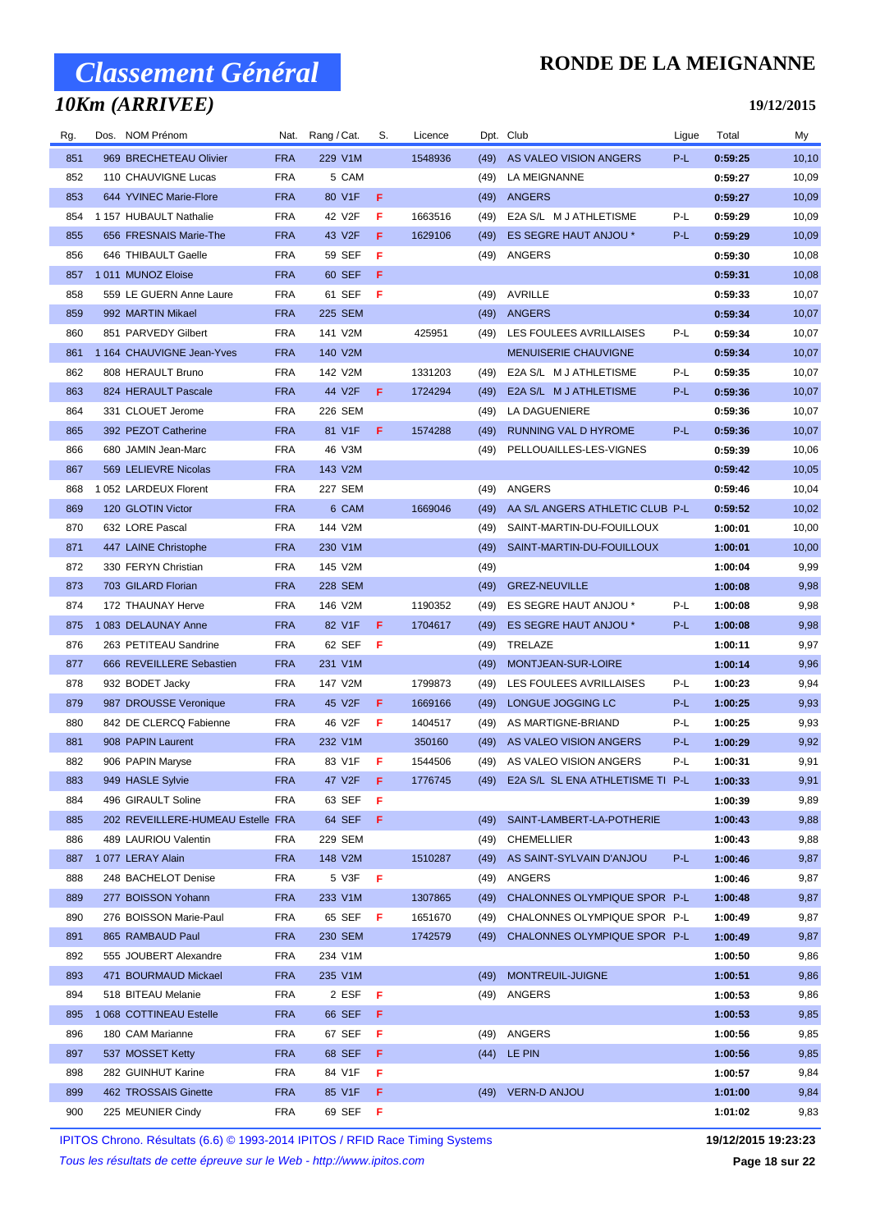### *10Km (ARRIVEE)*

### **RONDE DE LA MEIGNANNE**

#### **19/12/2015**

| Rg. | Dos. NOM Prénom                   |            | Nat. Rang / Cat. | S.  | Licence |      | Dpt. Club                             | Ligue | Total   | My     |
|-----|-----------------------------------|------------|------------------|-----|---------|------|---------------------------------------|-------|---------|--------|
| 851 | 969 BRECHETEAU Olivier            | <b>FRA</b> | 229 V1M          |     | 1548936 | (49) | AS VALEO VISION ANGERS                | P-L   | 0:59:25 | 10, 10 |
| 852 | 110 CHAUVIGNE Lucas               | FRA        | 5 CAM            |     |         | (49) | LA MEIGNANNE                          |       | 0:59:27 | 10,09  |
| 853 | 644 YVINEC Marie-Flore            | <b>FRA</b> | 80 V1F           | F   |         | (49) | ANGERS                                |       | 0:59:27 | 10,09  |
| 854 | 1 157 HUBAULT Nathalie            | FRA        | 42 V2F           | F   | 1663516 | (49) | E2A S/L M J ATHLETISME                | P-L   | 0:59:29 | 10,09  |
| 855 | 656 FRESNAIS Marie-The            | <b>FRA</b> | 43 V2F           | F   | 1629106 | (49) | ES SEGRE HAUT ANJOU *                 | P-L   | 0:59:29 | 10,09  |
| 856 | 646 THIBAULT Gaelle               | FRA        | 59 SEF           | F   |         | (49) | ANGERS                                |       | 0:59:30 | 10,08  |
| 857 | 1011 MUNOZ Eloise                 | <b>FRA</b> | 60 SEF           | F.  |         |      |                                       |       | 0:59:31 | 10,08  |
| 858 | 559 LE GUERN Anne Laure           | <b>FRA</b> | 61 SEF           | -F  |         | (49) | AVRILLE                               |       | 0:59:33 | 10,07  |
| 859 | 992 MARTIN Mikael                 | <b>FRA</b> | 225 SEM          |     |         | (49) | <b>ANGERS</b>                         |       | 0:59:34 | 10,07  |
| 860 | 851 PARVEDY Gilbert               | FRA        | 141 V2M          |     | 425951  | (49) | LES FOULEES AVRILLAISES               | P-L   | 0:59:34 | 10,07  |
| 861 | 1 164 CHAUVIGNE Jean-Yves         | <b>FRA</b> | 140 V2M          |     |         |      | <b>MENUISERIE CHAUVIGNE</b>           |       | 0:59:34 | 10,07  |
| 862 | 808 HERAULT Bruno                 | FRA        | 142 V2M          |     | 1331203 | (49) | E2A S/L M J ATHLETISME                | P-L   | 0:59:35 | 10,07  |
| 863 | 824 HERAULT Pascale               | <b>FRA</b> | 44 V2F           | F.  | 1724294 | (49) | E2A S/L M J ATHLETISME                | P-L   | 0:59:36 | 10,07  |
| 864 | 331 CLOUET Jerome                 | <b>FRA</b> | 226 SEM          |     |         | (49) | LA DAGUENIERE                         |       | 0:59:36 | 10,07  |
| 865 | 392 PEZOT Catherine               | <b>FRA</b> | 81 V1F           | F.  | 1574288 | (49) | RUNNING VAL D HYROME                  | P-L   | 0:59:36 | 10,07  |
| 866 | 680 JAMIN Jean-Marc               | FRA        | 46 V3M           |     |         | (49) | PELLOUAILLES-LES-VIGNES               |       | 0:59:39 | 10,06  |
| 867 | 569 LELIEVRE Nicolas              | <b>FRA</b> | 143 V2M          |     |         |      |                                       |       | 0:59:42 | 10,05  |
| 868 | 1 052 LARDEUX Florent             | FRA        | 227 SEM          |     |         | (49) | ANGERS                                |       | 0:59:46 | 10,04  |
| 869 | 120 GLOTIN Victor                 | <b>FRA</b> | 6 CAM            |     | 1669046 | (49) | AA S/L ANGERS ATHLETIC CLUB P-L       |       | 0:59:52 | 10,02  |
| 870 | 632 LORE Pascal                   | <b>FRA</b> | 144 V2M          |     |         | (49) | SAINT-MARTIN-DU-FOUILLOUX             |       | 1:00:01 | 10,00  |
| 871 | 447 LAINE Christophe              | <b>FRA</b> | 230 V1M          |     |         | (49) | SAINT-MARTIN-DU-FOUILLOUX             |       | 1:00:01 | 10,00  |
| 872 | 330 FERYN Christian               | FRA        | 145 V2M          |     |         | (49) |                                       |       | 1:00:04 | 9,99   |
| 873 | 703 GILARD Florian                | <b>FRA</b> | 228 SEM          |     |         | (49) | <b>GREZ-NEUVILLE</b>                  |       | 1:00:08 | 9,98   |
| 874 | 172 THAUNAY Herve                 | FRA        | 146 V2M          |     | 1190352 | (49) | ES SEGRE HAUT ANJOU *                 | P-L   | 1:00:08 | 9,98   |
| 875 | 1083 DELAUNAY Anne                | <b>FRA</b> | 82 V1F           | F   | 1704617 | (49) | ES SEGRE HAUT ANJOU *                 | P-L   | 1:00:08 | 9,98   |
| 876 | 263 PETITEAU Sandrine             | <b>FRA</b> | 62 SEF           | -F. |         | (49) | TRELAZE                               |       | 1:00:11 | 9,97   |
| 877 | 666 REVEILLERE Sebastien          | <b>FRA</b> | 231 V1M          |     |         | (49) | MONTJEAN-SUR-LOIRE                    |       | 1:00:14 | 9,96   |
| 878 | 932 BODET Jacky                   | FRA        | 147 V2M          |     | 1799873 | (49) | LES FOULEES AVRILLAISES               | P-L   | 1:00:23 | 9,94   |
| 879 | 987 DROUSSE Veronique             | <b>FRA</b> | 45 V2F           | F   | 1669166 | (49) | LONGUE JOGGING LC                     | P-L   | 1:00:25 | 9,93   |
| 880 | 842 DE CLERCQ Fabienne            | FRA        | 46 V2F           | F   | 1404517 | (49) | AS MARTIGNE-BRIAND                    | P-L   | 1:00:25 | 9,93   |
| 881 | 908 PAPIN Laurent                 | <b>FRA</b> | 232 V1M          |     | 350160  | (49) | AS VALEO VISION ANGERS                | P-L   | 1:00:29 | 9,92   |
| 882 | 906 PAPIN Maryse                  | FRA        | 83 V1F           | F   | 1544506 | (49) | AS VALEO VISION ANGERS                | P-L   | 1:00:31 | 9,91   |
| 883 | 949 HASLE Sylvie                  | FRA        | 47 V2F <b>F</b>  |     | 1776745 |      | (49) E2A S/L SL ENA ATHLETISME TI P-L |       | 1:00:33 | 9,91   |
| 884 | 496 GIRAULT Soline                | <b>FRA</b> | 63 SEF           | - F |         |      |                                       |       | 1:00:39 | 9,89   |
| 885 | 202 REVEILLERE-HUMEAU Estelle FRA |            | 64 SEF           | - F |         | (49) | SAINT-LAMBERT-LA-POTHERIE             |       | 1:00:43 | 9,88   |
| 886 | 489 LAURIOU Valentin              | FRA        | 229 SEM          |     |         | (49) | CHEMELLIER                            |       | 1:00:43 | 9,88   |
| 887 | 1077 LERAY Alain                  | <b>FRA</b> | 148 V2M          |     | 1510287 | (49) | AS SAINT-SYLVAIN D'ANJOU              | P-L   | 1:00:46 | 9,87   |
| 888 | 248 BACHELOT Denise               | FRA        | 5 V3F            | -F  |         | (49) | ANGERS                                |       | 1:00:46 | 9,87   |
| 889 | 277 BOISSON Yohann                | <b>FRA</b> | 233 V1M          |     | 1307865 | (49) | CHALONNES OLYMPIQUE SPOR P-L          |       | 1:00:48 | 9,87   |
| 890 | 276 BOISSON Marie-Paul            | FRA        | 65 SEF           | - F | 1651670 | (49) | CHALONNES OLYMPIQUE SPOR P-L          |       | 1:00:49 | 9,87   |
| 891 | 865 RAMBAUD Paul                  | <b>FRA</b> | 230 SEM          |     | 1742579 | (49) | CHALONNES OLYMPIQUE SPOR P-L          |       | 1:00:49 | 9,87   |
| 892 | 555 JOUBERT Alexandre             | FRA        | 234 V1M          |     |         |      |                                       |       | 1:00:50 | 9,86   |
| 893 | 471 BOURMAUD Mickael              | <b>FRA</b> | 235 V1M          |     |         | (49) | MONTREUIL-JUIGNE                      |       | 1:00:51 | 9,86   |
| 894 | 518 BITEAU Melanie                | FRA        | 2 ESF            | -F  |         | (49) | ANGERS                                |       | 1:00:53 | 9,86   |
| 895 | 1 068 COTTINEAU Estelle           | <b>FRA</b> | 66 SEF           | - F |         |      |                                       |       | 1:00:53 | 9,85   |
| 896 | 180 CAM Marianne                  | FRA        | 67 SEF           | - F |         | (49) | ANGERS                                |       | 1:00:56 | 9,85   |
| 897 | 537 MOSSET Ketty                  | <b>FRA</b> | 68 SEF           | F   |         |      | (44) LE PIN                           |       | 1:00:56 | 9,85   |
| 898 | 282 GUINHUT Karine                | FRA        | 84 V1F           | F   |         |      |                                       |       | 1:00:57 | 9,84   |
| 899 | 462 TROSSAIS Ginette              | <b>FRA</b> | 85 V1F           | F.  |         |      | (49) VERN-D ANJOU                     |       | 1:01:00 | 9,84   |
| 900 | 225 MEUNIER Cindy                 | FRA        | 69 SEF <b>F</b>  |     |         |      |                                       |       | 1:01:02 | 9,83   |

IPITOS Chrono. Résultats (6.6) © 1993-2014 IPITOS / RFID Race Timing Systems **19/12/2015 19:23:23**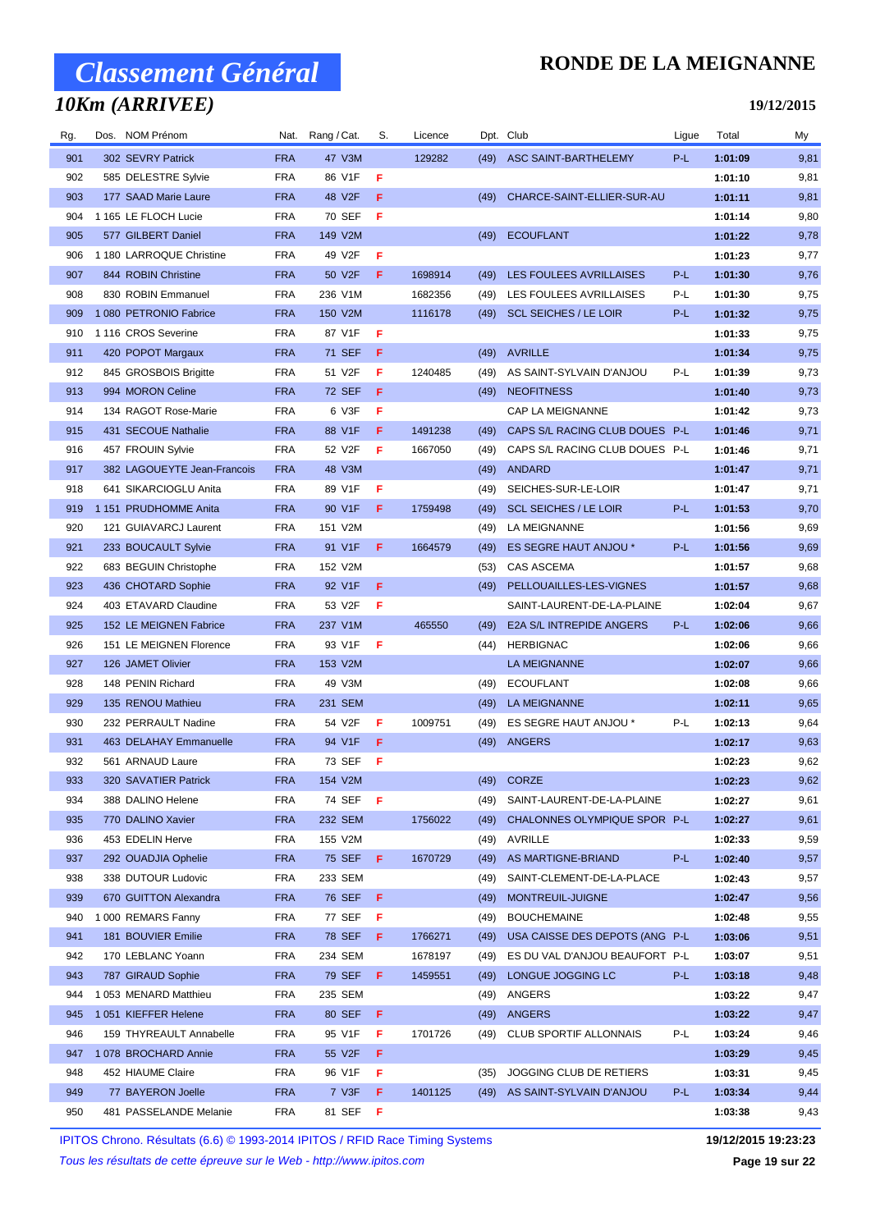## *10Km (ARRIVEE)*

### **RONDE DE LA MEIGNANNE**

#### **19/12/2015**

| Rg. | Dos. NOM Prénom             | Nat.       | Rang / Cat.   | S.  | Licence | Dpt. Club |                                | Ligue | Total   | My   |
|-----|-----------------------------|------------|---------------|-----|---------|-----------|--------------------------------|-------|---------|------|
| 901 | 302 SEVRY Patrick           | <b>FRA</b> | 47 V3M        |     | 129282  | (49)      | ASC SAINT-BARTHELEMY           | P-L   | 1:01:09 | 9,81 |
| 902 | 585 DELESTRE Sylvie         | FRA        | 86 V1F        | F   |         |           |                                |       | 1:01:10 | 9,81 |
| 903 | 177 SAAD Marie Laure        | <b>FRA</b> | 48 V2F        | F   |         | (49)      | CHARCE-SAINT-ELLIER-SUR-AU     |       | 1:01:11 | 9,81 |
| 904 | 1 165 LE FLOCH Lucie        | FRA        | 70 SEF        | F   |         |           |                                |       | 1:01:14 | 9,80 |
| 905 | 577 GILBERT Daniel          | <b>FRA</b> | 149 V2M       |     |         | (49)      | <b>ECOUFLANT</b>               |       | 1:01:22 | 9,78 |
| 906 | 1 180 LARROQUE Christine    | <b>FRA</b> | 49 V2F        | F   |         |           |                                |       | 1:01:23 | 9,77 |
| 907 | 844 ROBIN Christine         | <b>FRA</b> | 50 V2F        | F   | 1698914 | (49)      | LES FOULEES AVRILLAISES        | P-L   | 1:01:30 | 9,76 |
| 908 | 830 ROBIN Emmanuel          | <b>FRA</b> | 236 V1M       |     | 1682356 | (49)      | LES FOULEES AVRILLAISES        | P-L   | 1:01:30 | 9,75 |
| 909 | 1 080 PETRONIO Fabrice      | <b>FRA</b> | 150 V2M       |     | 1116178 | (49)      | <b>SCL SEICHES / LE LOIR</b>   | P-L   | 1:01:32 | 9,75 |
| 910 | 1 116 CROS Severine         | <b>FRA</b> | 87 V1F        | Æ   |         |           |                                |       | 1:01:33 | 9,75 |
| 911 | 420 POPOT Margaux           | <b>FRA</b> | 71 SEF        | F   |         | (49)      | <b>AVRILLE</b>                 |       | 1:01:34 | 9,75 |
| 912 | 845 GROSBOIS Brigitte       | FRA        | 51 V2F        | F   | 1240485 | (49)      | AS SAINT-SYLVAIN D'ANJOU       | P-L   | 1:01:39 | 9,73 |
| 913 | 994 MORON Celine            | <b>FRA</b> | <b>72 SEF</b> | F   |         | (49)      | <b>NEOFITNESS</b>              |       | 1:01:40 | 9,73 |
| 914 | 134 RAGOT Rose-Marie        | FRA        | 6 V3F         | F   |         |           | CAP LA MEIGNANNE               |       | 1:01:42 | 9,73 |
| 915 | 431 SECOUE Nathalie         | <b>FRA</b> | 88 V1F        | F   | 1491238 | (49)      | CAPS S/L RACING CLUB DOUES P-L |       | 1:01:46 | 9,71 |
| 916 | 457 FROUIN Sylvie           | <b>FRA</b> | 52 V2F        | F   | 1667050 | (49)      | CAPS S/L RACING CLUB DOUES P-L |       | 1:01:46 | 9,71 |
| 917 | 382 LAGOUEYTE Jean-Francois | <b>FRA</b> | 48 V3M        |     |         | (49)      | ANDARD                         |       | 1:01:47 | 9,71 |
| 918 | 641 SIKARCIOGLU Anita       | <b>FRA</b> | 89 V1F        | F   |         | (49)      | SEICHES-SUR-LE-LOIR            |       | 1:01:47 | 9,71 |
| 919 | 1 151 PRUDHOMME Anita       | <b>FRA</b> | 90 V1F        | F.  | 1759498 | (49)      | <b>SCL SEICHES / LE LOIR</b>   | P-L   | 1:01:53 | 9,70 |
| 920 | 121 GUIAVARCJ Laurent       | FRA        | 151 V2M       |     |         | (49)      | LA MEIGNANNE                   |       | 1:01:56 | 9,69 |
| 921 | 233 BOUCAULT Sylvie         | <b>FRA</b> | 91 V1F        | F   | 1664579 |           | ES SEGRE HAUT ANJOU *          | P-L   |         | 9,69 |
| 922 |                             |            |               |     |         | (49)      |                                |       | 1:01:56 |      |
|     | 683 BEGUIN Christophe       | FRA        | 152 V2M       |     |         | (53)      | CAS ASCEMA                     |       | 1:01:57 | 9,68 |
| 923 | 436 CHOTARD Sophie          | <b>FRA</b> | 92 V1F        | F   |         | (49)      | PELLOUAILLES-LES-VIGNES        |       | 1:01:57 | 9,68 |
| 924 | 403 ETAVARD Claudine        | <b>FRA</b> | 53 V2F        | F   |         |           | SAINT-LAURENT-DE-LA-PLAINE     |       | 1:02:04 | 9,67 |
| 925 | 152 LE MEIGNEN Fabrice      | <b>FRA</b> | 237 V1M       |     | 465550  | (49)      | E2A S/L INTREPIDE ANGERS       | P-L   | 1:02:06 | 9,66 |
| 926 | 151 LE MEIGNEN Florence     | FRA        | 93 V1F        | F   |         | (44)      | <b>HERBIGNAC</b>               |       | 1:02:06 | 9,66 |
| 927 | 126 JAMET Olivier           | <b>FRA</b> | 153 V2M       |     |         |           | LA MEIGNANNE                   |       | 1:02:07 | 9,66 |
| 928 | 148 PENIN Richard           | FRA        | 49 V3M        |     |         | (49)      | <b>ECOUFLANT</b>               |       | 1:02:08 | 9,66 |
| 929 | 135 RENOU Mathieu           | <b>FRA</b> | 231 SEM       |     |         | (49)      | <b>LA MEIGNANNE</b>            |       | 1:02:11 | 9,65 |
| 930 | 232 PERRAULT Nadine         | FRA        | 54 V2F        | F   | 1009751 | (49)      | ES SEGRE HAUT ANJOU *          | P-L   | 1:02:13 | 9,64 |
| 931 | 463 DELAHAY Emmanuelle      | <b>FRA</b> | 94 V1F        | F   |         | (49)      | <b>ANGERS</b>                  |       | 1:02:17 | 9,63 |
| 932 | 561 ARNAUD Laure            | FRA        | 73 SEF        | Æ   |         |           |                                |       | 1:02:23 | 9,62 |
| 933 | 320 SAVATIER Patrick        | <b>FRA</b> | 154 V2M       |     |         | (49)      | CORZE                          |       | 1:02:23 | 9,62 |
| 934 | 388 DALINO Helene           | FRA        | 74 SEF        | - F |         | (49)      | SAINT-LAURENT-DE-LA-PLAINE     |       | 1:02:27 | 9,61 |
| 935 | 770 DALINO Xavier           | <b>FRA</b> | 232 SEM       |     | 1756022 | (49)      | CHALONNES OLYMPIQUE SPOR P-L   |       | 1:02:27 | 9,61 |
| 936 | 453 EDELIN Herve            | FRA        | 155 V2M       |     |         | (49)      | AVRILLE                        |       | 1:02:33 | 9,59 |
| 937 | 292 OUADJIA Ophelie         | <b>FRA</b> | 75 SEF        | - F | 1670729 | (49)      | AS MARTIGNE-BRIAND             | P-L   | 1:02:40 | 9,57 |
| 938 | 338 DUTOUR Ludovic          | FRA        | 233 SEM       |     |         | (49)      | SAINT-CLEMENT-DE-LA-PLACE      |       | 1:02:43 | 9,57 |
| 939 | 670 GUITTON Alexandra       | <b>FRA</b> | 76 SEF        | -F  |         | (49)      | MONTREUIL-JUIGNE               |       | 1:02:47 | 9,56 |
| 940 | 1 000 REMARS Fanny          | FRA        | 77 SEF        | F   |         | (49)      | <b>BOUCHEMAINE</b>             |       | 1:02:48 | 9,55 |
| 941 | 181 BOUVIER Emilie          | <b>FRA</b> | 78 SEF        | -F. | 1766271 | (49)      | USA CAISSE DES DEPOTS (ANG P-L |       | 1:03:06 | 9,51 |
| 942 | 170 LEBLANC Yoann           | FRA        | 234 SEM       |     | 1678197 | (49)      | ES DU VAL D'ANJOU BEAUFORT P-L |       | 1:03:07 | 9,51 |
| 943 | 787 GIRAUD Sophie           | <b>FRA</b> | 79 SEF        | F   | 1459551 | (49)      | LONGUE JOGGING LC              | P-L   | 1:03:18 | 9,48 |
| 944 | 1053 MENARD Matthieu        | FRA        | 235 SEM       |     |         | (49)      | ANGERS                         |       | 1:03:22 | 9,47 |
| 945 | 1 051 KIEFFER Helene        | <b>FRA</b> | 80 SEF        | -F  |         | (49)      | <b>ANGERS</b>                  |       | 1:03:22 | 9,47 |
| 946 | 159 THYREAULT Annabelle     | FRA        | 95 V1F        | F   | 1701726 | (49)      | <b>CLUB SPORTIF ALLONNAIS</b>  | P-L   | 1:03:24 | 9,46 |
| 947 | 1078 BROCHARD Annie         | <b>FRA</b> | 55 V2F        | F   |         |           |                                |       | 1:03:29 | 9,45 |
| 948 | 452 HIAUME Claire           | FRA        | 96 V1F        | F   |         | (35)      | JOGGING CLUB DE RETIERS        |       | 1:03:31 | 9,45 |
| 949 | 77 BAYERON Joelle           | <b>FRA</b> | 7 V3F         | F.  | 1401125 | (49)      | AS SAINT-SYLVAIN D'ANJOU       | P-L   | 1:03:34 | 9,44 |
| 950 | 481 PASSELANDE Melanie      | FRA        | 81 SEF        | F   |         |           |                                |       | 1:03:38 | 9,43 |

IPITOS Chrono. Résultats (6.6) © 1993-2014 IPITOS / RFID Race Timing Systems **19/12/2015 19:23:23**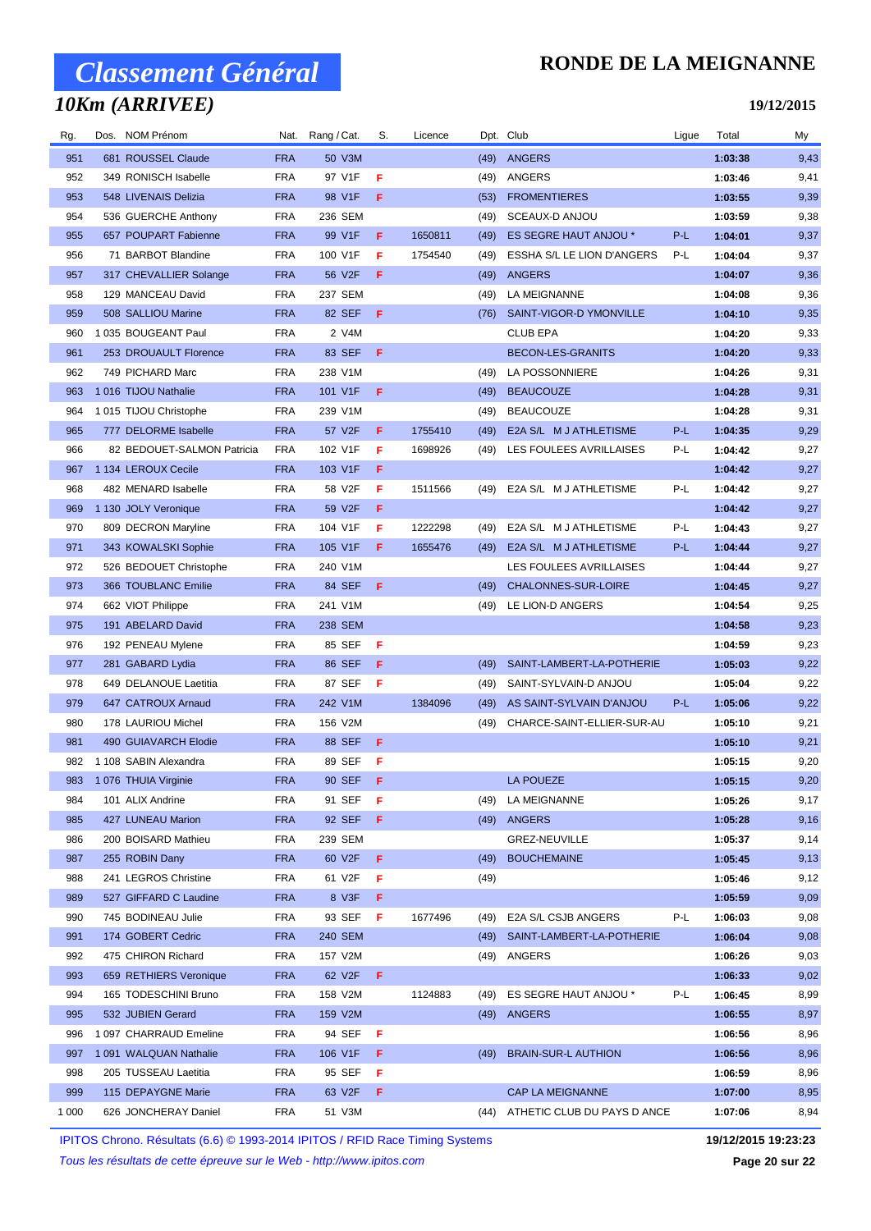## *10Km (ARRIVEE)*

### **RONDE DE LA MEIGNANNE**

**19/12/2015**

| Rg.     | Dos. NOM Prénom            | Nat.       | Rang / Cat.         | S.  | Licence |      | Dpt. Club                        | Ligue | Total   | My     |
|---------|----------------------------|------------|---------------------|-----|---------|------|----------------------------------|-------|---------|--------|
| 951     | 681 ROUSSEL Claude         | <b>FRA</b> | 50 V3M              |     |         | (49) | <b>ANGERS</b>                    |       | 1:03:38 | 9,43   |
| 952     | 349 RONISCH Isabelle       | <b>FRA</b> | 97 V1F              | F   |         | (49) | ANGERS                           |       | 1:03:46 | 9,41   |
| 953     | 548 LIVENAIS Delizia       | <b>FRA</b> | 98 V1F              | F   |         | (53) | <b>FROMENTIERES</b>              |       | 1:03:55 | 9,39   |
| 954     | 536 GUERCHE Anthony        | <b>FRA</b> | 236 SEM             |     |         | (49) | <b>SCEAUX-D ANJOU</b>            |       | 1:03:59 | 9,38   |
| 955     | 657 POUPART Fabienne       | <b>FRA</b> | 99 V1F              | F   | 1650811 | (49) | ES SEGRE HAUT ANJOU *            | P-L   | 1:04:01 | 9,37   |
| 956     | 71 BARBOT Blandine         | <b>FRA</b> | 100 V1F             | F   | 1754540 | (49) | ESSHA S/L LE LION D'ANGERS       | P-L   | 1:04:04 | 9,37   |
| 957     | 317 CHEVALLIER Solange     | <b>FRA</b> | 56 V2F              | F   |         | (49) | ANGERS                           |       | 1:04:07 | 9,36   |
| 958     | 129 MANCEAU David          | <b>FRA</b> | 237 SEM             |     |         | (49) | LA MEIGNANNE                     |       | 1:04:08 | 9,36   |
| 959     | 508 SALLIOU Marine         | <b>FRA</b> | 82 SEF              | F   |         | (76) | SAINT-VIGOR-D YMONVILLE          |       | 1:04:10 | 9,35   |
| 960     | 1035 BOUGEANT Paul         | <b>FRA</b> | 2 V4M               |     |         |      | <b>CLUB EPA</b>                  |       | 1:04:20 | 9,33   |
| 961     | 253 DROUAULT Florence      | <b>FRA</b> | 83 SEF              | F   |         |      | <b>BECON-LES-GRANITS</b>         |       | 1:04:20 | 9,33   |
| 962     | 749 PICHARD Marc           | <b>FRA</b> | 238 V1M             |     |         | (49) | LA POSSONNIERE                   |       | 1:04:26 | 9,31   |
| 963     | 1016 TIJOU Nathalie        | <b>FRA</b> | 101 V1F             | F   |         | (49) | <b>BEAUCOUZE</b>                 |       | 1:04:28 | 9,31   |
| 964     | 1015 TIJOU Christophe      | <b>FRA</b> | 239 V1M             |     |         | (49) | <b>BEAUCOUZE</b>                 |       | 1:04:28 | 9,31   |
| 965     | 777 DELORME Isabelle       | <b>FRA</b> | 57 V2F              | F   | 1755410 | (49) | E2A S/L M J ATHLETISME           | P-L   | 1:04:35 | 9,29   |
| 966     | 82 BEDOUET-SALMON Patricia | <b>FRA</b> | 102 V1F             | F   | 1698926 | (49) | LES FOULEES AVRILLAISES          | P-L   | 1:04:42 | 9,27   |
| 967     | 1 134 LEROUX Cecile        | <b>FRA</b> | 103 V1F             | F   |         |      |                                  |       | 1:04:42 | 9,27   |
| 968     | 482 MENARD Isabelle        | <b>FRA</b> | 58 V2F              | F   | 1511566 | (49) | E2A S/L M J ATHLETISME           | P-L   | 1:04:42 | 9,27   |
| 969     | 1 130 JOLY Veronique       | <b>FRA</b> | 59 V2F              | F   |         |      |                                  |       | 1:04:42 | 9,27   |
| 970     | 809 DECRON Maryline        | <b>FRA</b> | 104 V1F             | F   | 1222298 | (49) | E2A S/L M J ATHLETISME           | P-L   | 1:04:43 | 9,27   |
| 971     | 343 KOWALSKI Sophie        | <b>FRA</b> | 105 V1F             | F   | 1655476 | (49) | E2A S/L M J ATHLETISME           | P-L   | 1:04:44 | 9,27   |
| 972     | 526 BEDOUET Christophe     | <b>FRA</b> | 240 V1M             |     |         |      | LES FOULEES AVRILLAISES          |       | 1:04:44 | 9,27   |
| 973     | 366 TOUBLANC Emilie        | <b>FRA</b> | 84 SEF              | F   |         | (49) | CHALONNES-SUR-LOIRE              |       | 1:04:45 | 9,27   |
| 974     | 662 VIOT Philippe          | <b>FRA</b> | 241 V1M             |     |         | (49) | LE LION-D ANGERS                 |       | 1:04:54 | 9,25   |
| 975     | 191 ABELARD David          | <b>FRA</b> | 238 SEM             |     |         |      |                                  |       | 1:04:58 | 9,23   |
| 976     | 192 PENEAU Mylene          | <b>FRA</b> | 85 SEF              | F   |         |      |                                  |       | 1:04:59 | 9,23   |
| 977     | 281 GABARD Lydia           | <b>FRA</b> | 86 SEF              | F   |         | (49) | SAINT-LAMBERT-LA-POTHERIE        |       | 1:05:03 | 9,22   |
| 978     | 649 DELANOUE Laetitia      | <b>FRA</b> | 87 SEF              | -F  |         | (49) | SAINT-SYLVAIN-D ANJOU            |       | 1:05:04 | 9,22   |
| 979     | 647 CATROUX Arnaud         | <b>FRA</b> | 242 V1M             |     | 1384096 | (49) | AS SAINT-SYLVAIN D'ANJOU         | P-L   | 1:05:06 | 9,22   |
| 980     | 178 LAURIOU Michel         | <b>FRA</b> | 156 V2M             |     |         | (49) | CHARCE-SAINT-ELLIER-SUR-AU       |       | 1:05:10 | 9,21   |
| 981     | 490 GUIAVARCH Elodie       | <b>FRA</b> | 88 SEF              | F   |         |      |                                  |       | 1:05:10 | 9,21   |
| 982     | 1 108 SABIN Alexandra      | <b>FRA</b> | 89 SEF              | F   |         |      |                                  |       | 1:05:15 | 9,20   |
| 983     | 1 076 THUIA Virginie       | <b>FRA</b> | 90 SEF              | F   |         |      | <b>LA POUEZE</b>                 |       | 1:05:15 | $9,20$ |
| 984     | 101 ALIX Andrine           | <b>FRA</b> | 91 SEF              | - F |         |      | (49) LA MEIGNANNE                |       | 1:05:26 | 9,17   |
| 985     | 427 LUNEAU Marion          | <b>FRA</b> | 92 SEF              | - F |         |      | (49) ANGERS                      |       | 1:05:28 | 9,16   |
| 986     | 200 BOISARD Mathieu        | <b>FRA</b> | 239 SEM             |     |         |      | <b>GREZ-NEUVILLE</b>             |       | 1:05:37 | 9,14   |
| 987     | 255 ROBIN Dany             | <b>FRA</b> | 60 V <sub>2</sub> F | F   |         | (49) | <b>BOUCHEMAINE</b>               |       | 1:05:45 | 9,13   |
| 988     | 241 LEGROS Christine       | <b>FRA</b> | 61 V2F              | F   |         | (49) |                                  |       | 1:05:46 | 9,12   |
| 989     | 527 GIFFARD C Laudine      | <b>FRA</b> | 8 V3F               | F   |         |      |                                  |       | 1:05:59 | 9,09   |
| 990     | 745 BODINEAU Julie         | <b>FRA</b> | 93 SEF              | F   | 1677496 | (49) | E2A S/L CSJB ANGERS              | P-L   | 1:06:03 | 9,08   |
| 991     | 174 GOBERT Cedric          | <b>FRA</b> | 240 SEM             |     |         | (49) | SAINT-LAMBERT-LA-POTHERIE        |       | 1:06:04 | 9,08   |
| 992     | 475 CHIRON Richard         | <b>FRA</b> | 157 V2M             |     |         |      | (49) ANGERS                      |       | 1:06:26 | 9,03   |
| 993     | 659 RETHIERS Veronique     | <b>FRA</b> | 62 V2F              | -F  |         |      |                                  |       | 1:06:33 | 9,02   |
| 994     | 165 TODESCHINI Bruno       | <b>FRA</b> | 158 V2M             |     | 1124883 | (49) | ES SEGRE HAUT ANJOU *            | P-L   | 1:06:45 | 8,99   |
| 995     | 532 JUBIEN Gerard          | <b>FRA</b> | 159 V2M             |     |         |      | (49) ANGERS                      |       | 1:06:55 | 8,97   |
| 996     | 1 097 CHARRAUD Emeline     | <b>FRA</b> | 94 SEF              | - F |         |      |                                  |       | 1:06:56 | 8,96   |
| 997     | 1 091 WALQUAN Nathalie     | <b>FRA</b> | 106 V1F             | -F  |         | (49) | <b>BRAIN-SUR-L AUTHION</b>       |       | 1:06:56 | 8,96   |
| 998     | 205 TUSSEAU Laetitia       | <b>FRA</b> | 95 SEF              | F   |         |      |                                  |       | 1:06:59 | 8,96   |
| 999     | 115 DEPAYGNE Marie         | <b>FRA</b> | 63 V2F              | F   |         |      | <b>CAP LA MEIGNANNE</b>          |       | 1:07:00 | 8,95   |
| 1 0 0 0 | 626 JONCHERAY Daniel       | <b>FRA</b> | 51 V3M              |     |         |      | (44) ATHETIC CLUB DU PAYS D ANCE |       | 1:07:06 | 8,94   |
|         |                            |            |                     |     |         |      |                                  |       |         |        |

IPITOS Chrono. Résultats (6.6) © 1993-2014 IPITOS / RFID Race Timing Systems **19/12/2015 19:23:23**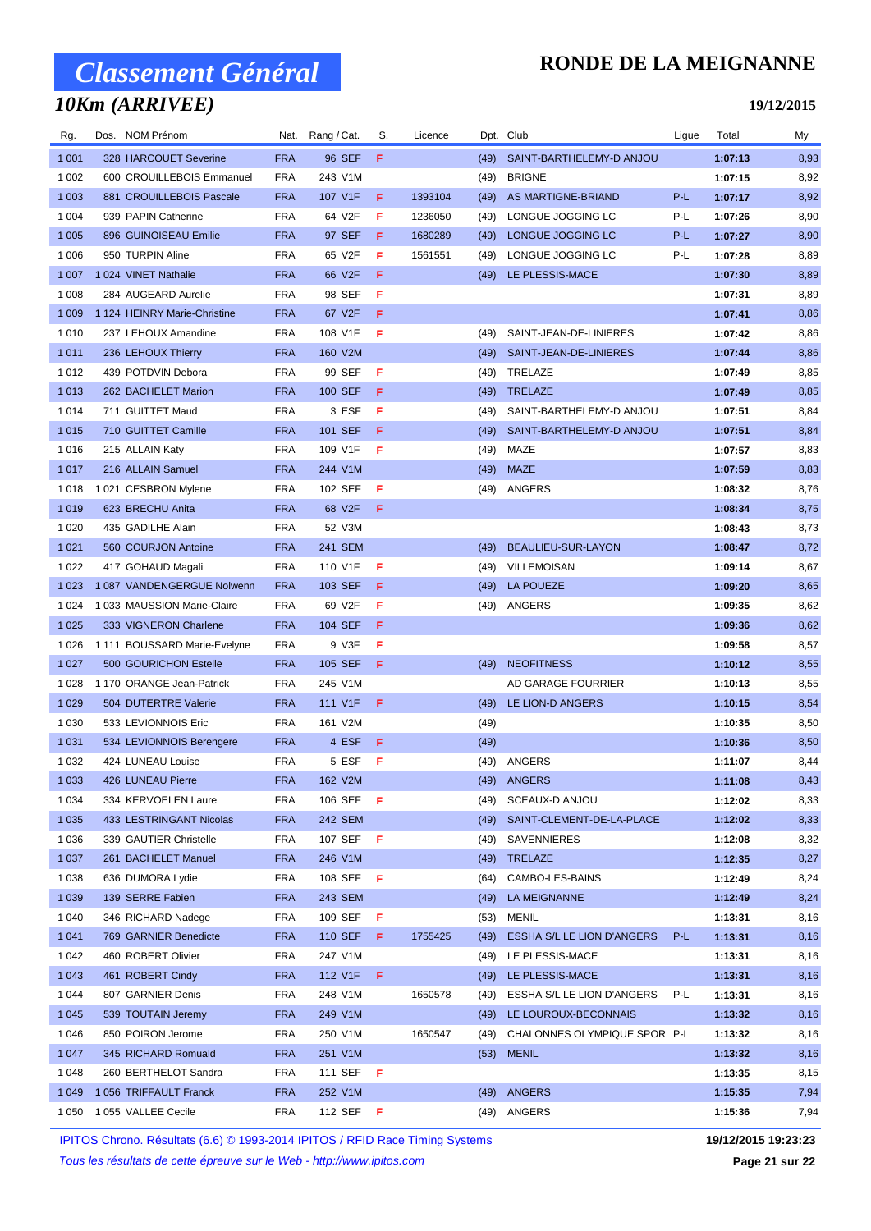### *10Km (ARRIVEE)*

#### **RONDE DE LA MEIGNANNE**

#### **19/12/2015**

| Rg.     | Dos. NOM Prénom              | Nat.       | Rang / Cat.      | S. | Licence |      | Dpt. Club                      | Ligue | Total   | My   |
|---------|------------------------------|------------|------------------|----|---------|------|--------------------------------|-------|---------|------|
| 1 0 0 1 | 328 HARCOUET Severine        | <b>FRA</b> | 96 SEF           | F. |         | (49) | SAINT-BARTHELEMY-D ANJOU       |       | 1:07:13 | 8,93 |
| 1 0 0 2 | 600 CROUILLEBOIS Emmanuel    | <b>FRA</b> | 243 V1M          |    |         | (49) | <b>BRIGNE</b>                  |       | 1:07:15 | 8,92 |
| 1 0 0 3 | 881 CROUILLEBOIS Pascale     | <b>FRA</b> | 107 V1F          | F  | 1393104 | (49) | AS MARTIGNE-BRIAND             | P-L   | 1:07:17 | 8,92 |
| 1 0 0 4 | 939 PAPIN Catherine          | <b>FRA</b> | 64 V2F           | F  | 1236050 | (49) | LONGUE JOGGING LC              | P-L   | 1:07:26 | 8,90 |
| 1 0 0 5 | 896 GUINOISEAU Emilie        | <b>FRA</b> | 97 SEF           | F  | 1680289 | (49) | LONGUE JOGGING LC              | P-L   | 1:07:27 | 8,90 |
| 1 0 0 6 | 950 TURPIN Aline             | FRA        | 65 V2F           | F  | 1561551 | (49) | LONGUE JOGGING LC              | P-L   | 1:07:28 | 8,89 |
| 1 0 0 7 | 1 024 VINET Nathalie         | <b>FRA</b> | 66 V2F           | F  |         | (49) | LE PLESSIS-MACE                |       | 1:07:30 | 8,89 |
| 1 0 0 8 | 284 AUGEARD Aurelie          | <b>FRA</b> | 98 SEF           | F  |         |      |                                |       | 1:07:31 | 8,89 |
| 1 0 0 9 | 1 124 HEINRY Marie-Christine | <b>FRA</b> | 67 V2F           | F  |         |      |                                |       | 1:07:41 | 8,86 |
| 1 0 1 0 | 237 LEHOUX Amandine          | <b>FRA</b> | 108 V1F          | F  |         | (49) | SAINT-JEAN-DE-LINIERES         |       | 1:07:42 | 8,86 |
| 1 0 1 1 | 236 LEHOUX Thierry           | <b>FRA</b> | 160 V2M          |    |         | (49) | SAINT-JEAN-DE-LINIERES         |       | 1:07:44 | 8,86 |
| 1 0 1 2 | 439 POTDVIN Debora           | <b>FRA</b> | 99 SEF           | F  |         | (49) | TRELAZE                        |       | 1:07:49 | 8,85 |
| 1 0 1 3 | 262 BACHELET Marion          | <b>FRA</b> | 100 SEF          | F  |         | (49) | TRELAZE                        |       | 1:07:49 | 8,85 |
| 1 0 1 4 | 711 GUITTET Maud             | <b>FRA</b> | 3 ESF            | F  |         | (49) | SAINT-BARTHELEMY-D ANJOU       |       | 1:07:51 | 8,84 |
| 1 0 1 5 | 710 GUITTET Camille          | <b>FRA</b> | 101 SEF          | F  |         | (49) | SAINT-BARTHELEMY-D ANJOU       |       | 1:07:51 | 8,84 |
| 1 0 1 6 | 215 ALLAIN Katy              | <b>FRA</b> | 109 V1F          | F  |         | (49) | MAZE                           |       | 1:07:57 | 8,83 |
| 1 0 1 7 | 216 ALLAIN Samuel            | <b>FRA</b> | 244 V1M          |    |         | (49) | <b>MAZE</b>                    |       | 1:07:59 | 8,83 |
| 1 0 1 8 | 1 021 CESBRON Mylene         | <b>FRA</b> | 102 SEF          | F  |         |      | (49) ANGERS                    |       | 1:08:32 | 8,76 |
| 1 0 1 9 | 623 BRECHU Anita             | <b>FRA</b> | 68 V2F           | F. |         |      |                                |       | 1:08:34 | 8,75 |
| 1 0 2 0 | 435 GADILHE Alain            | FRA        | 52 V3M           |    |         |      |                                |       | 1:08:43 | 8,73 |
| 1 0 2 1 | 560 COURJON Antoine          | <b>FRA</b> | 241 SEM          |    |         | (49) | BEAULIEU-SUR-LAYON             |       | 1:08:47 | 8,72 |
| 1 0 2 2 | 417 GOHAUD Magali            | FRA        | 110 V1F          | F  |         | (49) | VILLEMOISAN                    |       | 1:09:14 | 8,67 |
| 1 0 2 3 | 1 087 VANDENGERGUE Nolwenn   | <b>FRA</b> | 103 SEF          | F  |         | (49) | <b>LA POUEZE</b>               |       | 1:09:20 | 8,65 |
| 1 0 2 4 | 1 033 MAUSSION Marie-Claire  | <b>FRA</b> | 69 V2F           | F  |         | (49) | ANGERS                         |       | 1:09:35 | 8,62 |
| 1 0 2 5 | 333 VIGNERON Charlene        | <b>FRA</b> | 104 SEF          | F  |         |      |                                |       | 1:09:36 | 8,62 |
| 1 0 2 6 | 1 111 BOUSSARD Marie-Evelyne | FRA        | 9 V3F            | F  |         |      |                                |       | 1:09:58 | 8,57 |
| 1 0 2 7 | 500 GOURICHON Estelle        | <b>FRA</b> | 105 SEF          | F  |         | (49) | <b>NEOFITNESS</b>              |       | 1:10:12 | 8,55 |
| 1 0 2 8 | 1 170 ORANGE Jean-Patrick    | FRA        | 245 V1M          |    |         |      | AD GARAGE FOURRIER             |       | 1:10:13 | 8,55 |
| 1 0 2 9 | 504 DUTERTRE Valerie         | <b>FRA</b> | 111 V1F          | F  |         | (49) | LE LION-D ANGERS               |       | 1:10:15 | 8,54 |
| 1 0 3 0 | 533 LEVIONNOIS Eric          | <b>FRA</b> | 161 V2M          |    |         | (49) |                                |       | 1:10:35 | 8,50 |
| 1 0 3 1 | 534 LEVIONNOIS Berengere     | <b>FRA</b> | 4 ESF            | F  |         | (49) |                                |       | 1:10:36 | 8,50 |
| 1 0 3 2 | 424 LUNEAU Louise            | <b>FRA</b> | 5 ESF            | F  |         | (49) | ANGERS                         |       | 1:11:07 | 8,44 |
| 1 0 3 3 | 426 LUNEAU Pierre            | <b>FRA</b> | 162 V2M          |    |         |      | (49) ANGERS                    |       | 1:11:08 | 8,43 |
| 1 0 3 4 | 334 KERVOELEN Laure          | FRA        | 106 SEF F        |    |         | (49) | SCEAUX-D ANJOU                 |       | 1:12:02 | 8,33 |
| 1 0 3 5 | 433 LESTRINGANT Nicolas      | <b>FRA</b> | 242 SEM          |    |         |      | (49) SAINT-CLEMENT-DE-LA-PLACE |       | 1:12:02 | 8,33 |
| 1 0 3 6 | 339 GAUTIER Christelle       | FRA        | 107 SEF <b>F</b> |    |         |      | (49) SAVENNIERES               |       | 1:12:08 | 8,32 |
| 1 0 3 7 | 261 BACHELET Manuel          | <b>FRA</b> | 246 V1M          |    |         |      | (49) TRELAZE                   |       | 1:12:35 | 8,27 |
| 1 0 3 8 | 636 DUMORA Lydie             | FRA        | 108 SEF <b>F</b> |    |         | (64) | CAMBO-LES-BAINS                |       | 1:12:49 | 8,24 |
| 1 0 3 9 | 139 SERRE Fabien             | <b>FRA</b> | 243 SEM          |    |         | (49) | LA MEIGNANNE                   |       | 1:12:49 | 8,24 |
| 1 0 4 0 | 346 RICHARD Nadege           | FRA        | 109 SEF          | F  |         | (53) | MENIL                          |       | 1:13:31 | 8,16 |
| 1 0 4 1 | 769 GARNIER Benedicte        | <b>FRA</b> | 110 SEF          | F. | 1755425 | (49) | ESSHA S/L LE LION D'ANGERS     | P-L   | 1:13:31 | 8,16 |
| 1 0 4 2 | 460 ROBERT Olivier           | FRA        | 247 V1M          |    |         | (49) | LE PLESSIS-MACE                |       | 1:13:31 | 8,16 |
| 1 0 4 3 | 461 ROBERT Cindy             | <b>FRA</b> | 112 V1F          | F. |         | (49) | LE PLESSIS-MACE                |       | 1:13:31 | 8,16 |
| 1 0 4 4 | 807 GARNIER Denis            | FRA        | 248 V1M          |    | 1650578 | (49) | ESSHA S/L LE LION D'ANGERS     | P-L   | 1:13:31 | 8,16 |
| 1 0 4 5 | 539 TOUTAIN Jeremy           | <b>FRA</b> | 249 V1M          |    |         |      | (49) LE LOUROUX-BECONNAIS      |       | 1:13:32 | 8,16 |
| 1 0 4 6 | 850 POIRON Jerome            | FRA        | 250 V1M          |    | 1650547 | (49) | CHALONNES OLYMPIQUE SPOR P-L   |       | 1:13:32 | 8,16 |
| 1 0 4 7 | 345 RICHARD Romuald          | <b>FRA</b> | 251 V1M          |    |         | (53) | <b>MENIL</b>                   |       | 1:13:32 | 8,16 |
| 1 0 4 8 | 260 BERTHELOT Sandra         | FRA        | 111 SEF F        |    |         |      |                                |       | 1:13:35 | 8,15 |
| 1 0 4 9 | 1056 TRIFFAULT Franck        | <b>FRA</b> | 252 V1M          |    |         |      | (49) ANGERS                    |       | 1:15:35 | 7,94 |
| 1 0 5 0 | 1 055 VALLEE Cecile          | FRA        | 112 SEF <b>F</b> |    |         |      | (49) ANGERS                    |       | 1:15:36 | 7,94 |
|         |                              |            |                  |    |         |      |                                |       |         |      |

IPITOS Chrono. Résultats (6.6) © 1993-2014 IPITOS / RFID Race Timing Systems **19/12/2015 19:23:23**